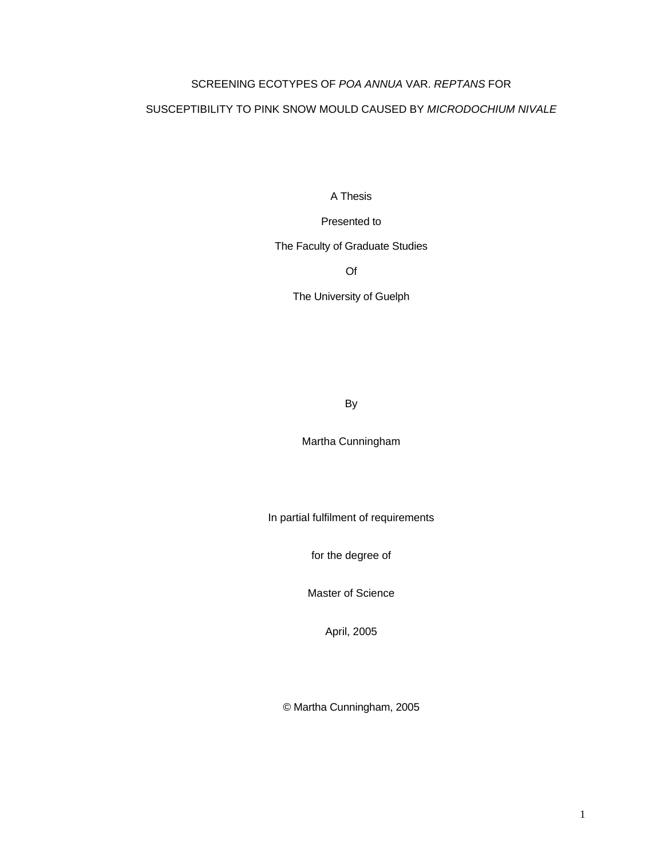#### SCREENING ECOTYPES OF *POA ANNUA* VAR. *REPTANS* FOR

#### SUSCEPTIBILITY TO PINK SNOW MOULD CAUSED BY *MICRODOCHIUM NIVALE*

A Thesis

Presented to

The Faculty of Graduate Studies

Of

The University of Guelph

By

Martha Cunningham

In partial fulfilment of requirements

for the degree of

Master of Science

April, 2005

© Martha Cunningham, 2005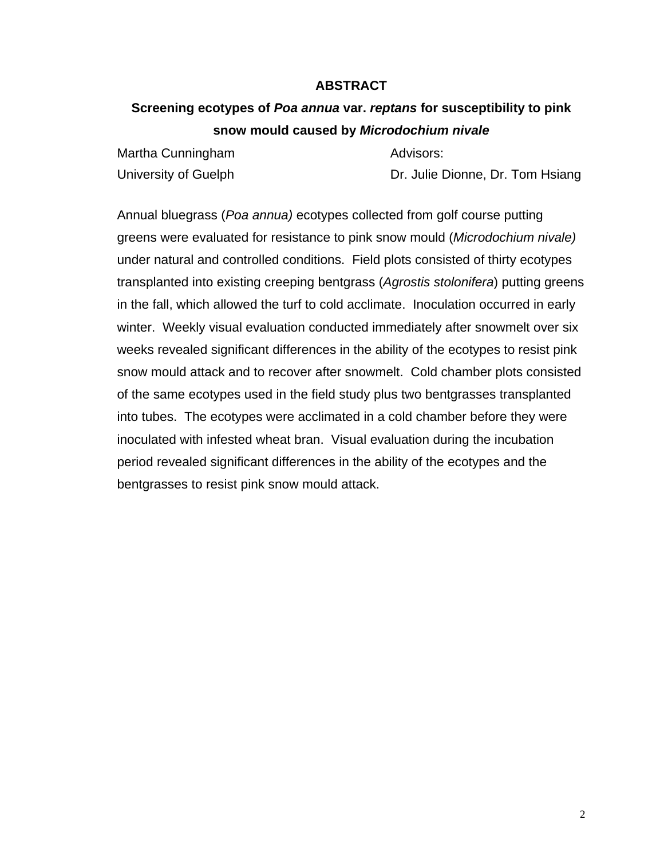### **ABSTRACT**

# **Screening ecotypes of** *Poa annua* **var.** *reptans* **for susceptibility to pink snow mould caused by** *Microdochium nivale*

| Martha Cunningham    | Advisors:                        |
|----------------------|----------------------------------|
| University of Guelph | Dr. Julie Dionne, Dr. Tom Hsiang |

Annual bluegrass (*Poa annua)* ecotypes collected from golf course putting greens were evaluated for resistance to pink snow mould (*Microdochium nivale)* under natural and controlled conditions. Field plots consisted of thirty ecotypes transplanted into existing creeping bentgrass (*Agrostis stolonifera*) putting greens in the fall, which allowed the turf to cold acclimate. Inoculation occurred in early winter. Weekly visual evaluation conducted immediately after snowmelt over six weeks revealed significant differences in the ability of the ecotypes to resist pink snow mould attack and to recover after snowmelt. Cold chamber plots consisted of the same ecotypes used in the field study plus two bentgrasses transplanted into tubes. The ecotypes were acclimated in a cold chamber before they were inoculated with infested wheat bran. Visual evaluation during the incubation period revealed significant differences in the ability of the ecotypes and the bentgrasses to resist pink snow mould attack.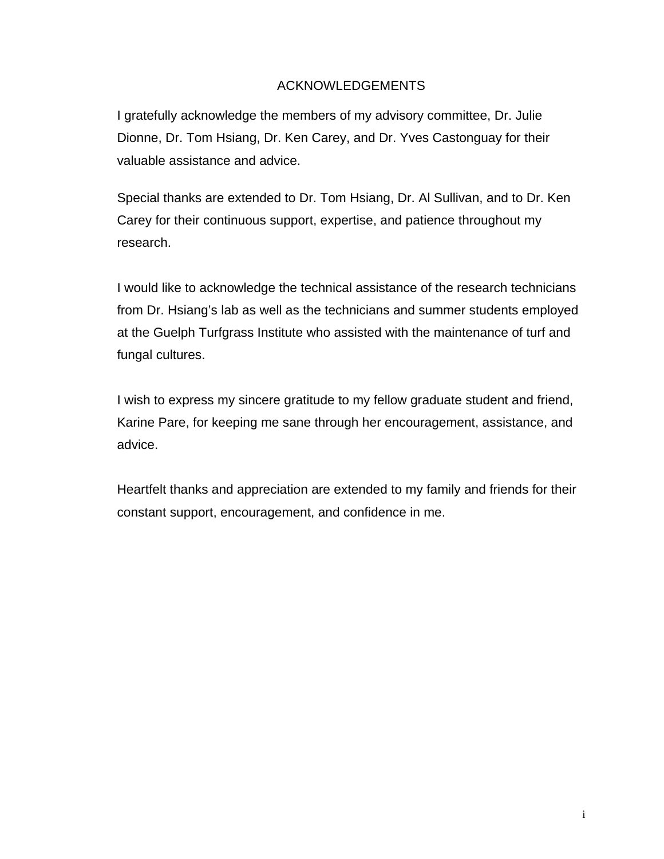# ACKNOWLEDGEMENTS

I gratefully acknowledge the members of my advisory committee, Dr. Julie Dionne, Dr. Tom Hsiang, Dr. Ken Carey, and Dr. Yves Castonguay for their valuable assistance and advice.

Special thanks are extended to Dr. Tom Hsiang, Dr. Al Sullivan, and to Dr. Ken Carey for their continuous support, expertise, and patience throughout my research.

I would like to acknowledge the technical assistance of the research technicians from Dr. Hsiang's lab as well as the technicians and summer students employed at the Guelph Turfgrass Institute who assisted with the maintenance of turf and fungal cultures.

I wish to express my sincere gratitude to my fellow graduate student and friend, Karine Pare, for keeping me sane through her encouragement, assistance, and advice.

Heartfelt thanks and appreciation are extended to my family and friends for their constant support, encouragement, and confidence in me.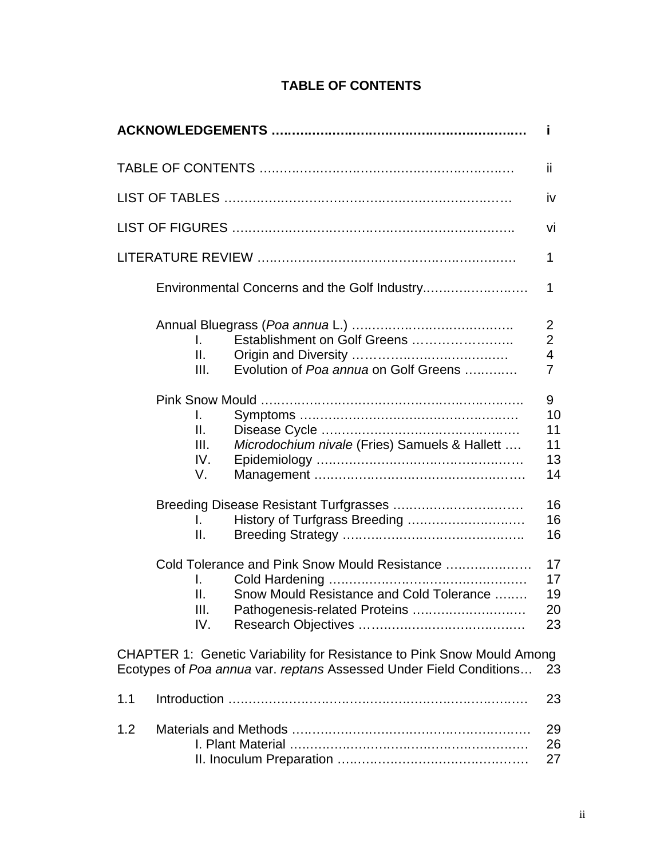|                                                                                                                                                       | Ĩ.                                                                            |
|-------------------------------------------------------------------------------------------------------------------------------------------------------|-------------------------------------------------------------------------------|
|                                                                                                                                                       | ii                                                                            |
|                                                                                                                                                       | iv                                                                            |
|                                                                                                                                                       | vi                                                                            |
|                                                                                                                                                       | 1                                                                             |
|                                                                                                                                                       | 1                                                                             |
| Establishment on Golf Greens<br>L.<br>Ш.<br>Evolution of Poa annua on Golf Greens<br>III.                                                             | $\overline{c}$<br>$\overline{c}$<br>$\overline{\mathbf{4}}$<br>$\overline{7}$ |
| L.<br>Ш.<br>Microdochium nivale (Fries) Samuels & Hallett<br>III.<br>IV.<br>V.                                                                        | 9<br>10<br>11<br>11<br>13<br>14                                               |
| History of Turfgrass Breeding<br>I.<br>Ш.                                                                                                             | 16<br>16<br>16                                                                |
| Cold Tolerance and Pink Snow Mould Resistance<br>L.<br>Snow Mould Resistance and Cold Tolerance<br>Ш.<br>Pathogenesis-related Proteins<br>III.<br>IV. | 17<br>17<br>19<br>20<br>23                                                    |
| <b>CHAPTER 1: Genetic Variability for Resistance to Pink Snow Mould Among</b><br>Ecotypes of Poa annua var. reptans Assessed Under Field Conditions   | 23                                                                            |
| 1.1                                                                                                                                                   | 23                                                                            |
| 1.2                                                                                                                                                   | 29<br>26<br>27                                                                |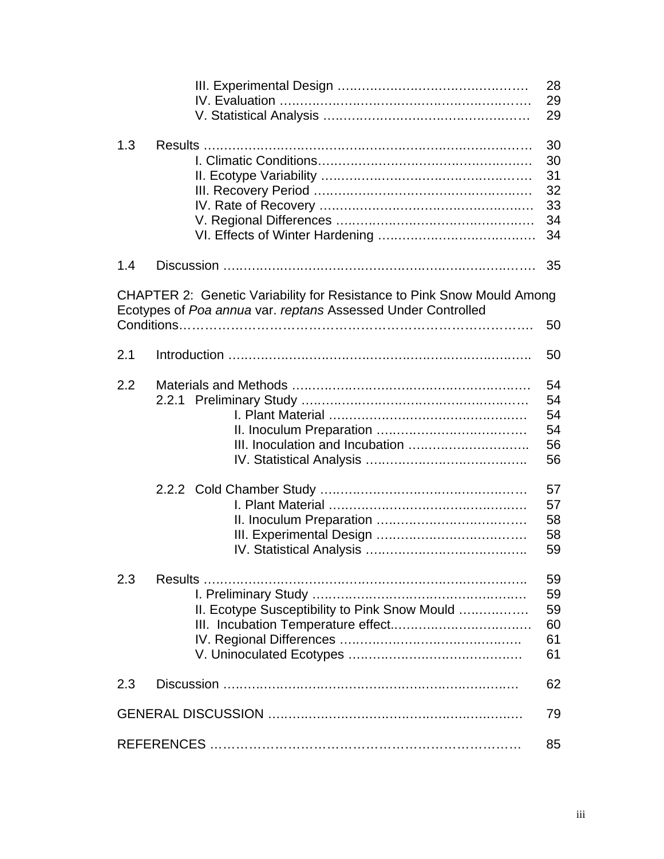|     |                                                                                                                                               | 28<br>29<br>29                                     |
|-----|-----------------------------------------------------------------------------------------------------------------------------------------------|----------------------------------------------------|
| 1.3 |                                                                                                                                               | 30<br>30<br>31<br>32<br>33<br>34<br>34             |
| 1.4 |                                                                                                                                               | 35                                                 |
|     | <b>CHAPTER 2: Genetic Variability for Resistance to Pink Snow Mould Among</b><br>Ecotypes of Poa annua var. reptans Assessed Under Controlled | 50                                                 |
| 2.1 |                                                                                                                                               | 50                                                 |
| 2.2 |                                                                                                                                               | 54<br>54<br>54<br>54<br>56<br>56<br>57<br>57<br>58 |
|     |                                                                                                                                               | 58<br>59                                           |
| 2.3 | II. Ecotype Susceptibility to Pink Snow Mould                                                                                                 | 59<br>59<br>59<br>60<br>61<br>61                   |
| 2.3 |                                                                                                                                               | 62                                                 |
|     |                                                                                                                                               | 79                                                 |
|     |                                                                                                                                               | 85                                                 |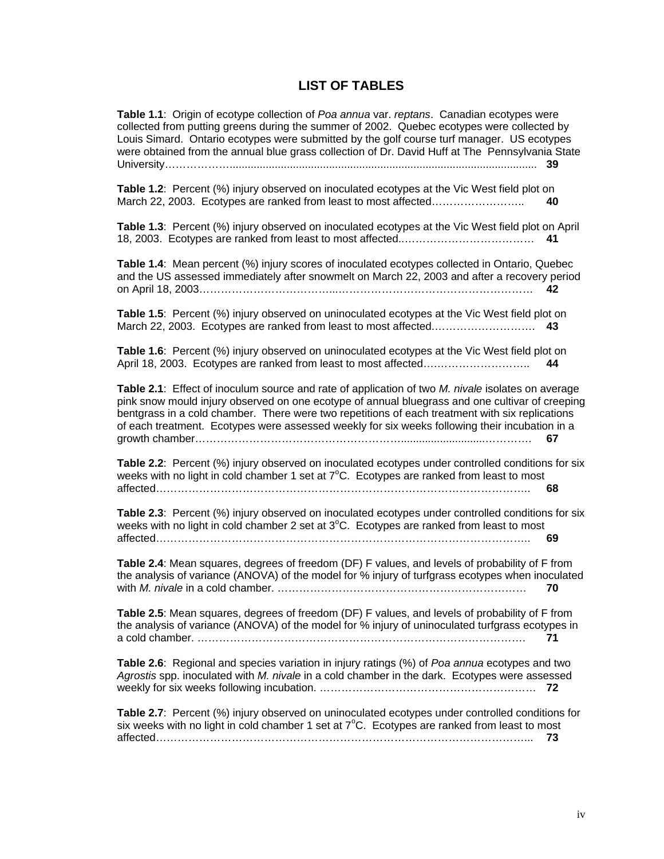# **LIST OF TABLES**

| Table 1.1: Origin of ecotype collection of Poa annua var. reptans. Canadian ecotypes were<br>collected from putting greens during the summer of 2002. Quebec ecotypes were collected by<br>Louis Simard. Ontario ecotypes were submitted by the golf course turf manager. US ecotypes<br>were obtained from the annual blue grass collection of Dr. David Huff at The Pennsylvania State                        |
|-----------------------------------------------------------------------------------------------------------------------------------------------------------------------------------------------------------------------------------------------------------------------------------------------------------------------------------------------------------------------------------------------------------------|
| Table 1.2: Percent (%) injury observed on inoculated ecotypes at the Vic West field plot on<br>March 22, 2003. Ecotypes are ranked from least to most affected<br>40                                                                                                                                                                                                                                            |
| Table 1.3: Percent (%) injury observed on inoculated ecotypes at the Vic West field plot on April<br>41                                                                                                                                                                                                                                                                                                         |
| Table 1.4: Mean percent (%) injury scores of inoculated ecotypes collected in Ontario, Quebec<br>and the US assessed immediately after snowmelt on March 22, 2003 and after a recovery period<br>42                                                                                                                                                                                                             |
| Table 1.5: Percent (%) injury observed on uninoculated ecotypes at the Vic West field plot on<br>43                                                                                                                                                                                                                                                                                                             |
| Table 1.6: Percent (%) injury observed on uninoculated ecotypes at the Vic West field plot on<br>44                                                                                                                                                                                                                                                                                                             |
| Table 2.1: Effect of inoculum source and rate of application of two M. nivale isolates on average<br>pink snow mould injury observed on one ecotype of annual bluegrass and one cultivar of creeping<br>bentgrass in a cold chamber. There were two repetitions of each treatment with six replications<br>of each treatment. Ecotypes were assessed weekly for six weeks following their incubation in a<br>67 |
| Table 2.2: Percent (%) injury observed on inoculated ecotypes under controlled conditions for six<br>weeks with no light in cold chamber 1 set at $7^{\circ}$ C. Ecotypes are ranked from least to most<br>68                                                                                                                                                                                                   |
| Table 2.3: Percent (%) injury observed on inoculated ecotypes under controlled conditions for six<br>weeks with no light in cold chamber 2 set at $3^{\circ}$ C. Ecotypes are ranked from least to most<br>69                                                                                                                                                                                                   |
| Table 2.4: Mean squares, degrees of freedom (DF) F values, and levels of probability of F from<br>the analysis of variance (ANOVA) of the model for % injury of turfgrass ecotypes when inoculated<br>70                                                                                                                                                                                                        |
| Table 2.5: Mean squares, degrees of freedom (DF) F values, and levels of probability of F from<br>the analysis of variance (ANOVA) of the model for % injury of uninoculated turfgrass ecotypes in<br>71                                                                                                                                                                                                        |
| Table 2.6: Regional and species variation in injury ratings (%) of Poa annua ecotypes and two<br>Agrostis spp. inoculated with M. nivale in a cold chamber in the dark. Ecotypes were assessed                                                                                                                                                                                                                  |
| Table 2.7: Percent (%) injury observed on uninoculated ecotypes under controlled conditions for<br>six weeks with no light in cold chamber 1 set at $7^{\circ}$ C. Ecotypes are ranked from least to most<br>73                                                                                                                                                                                                 |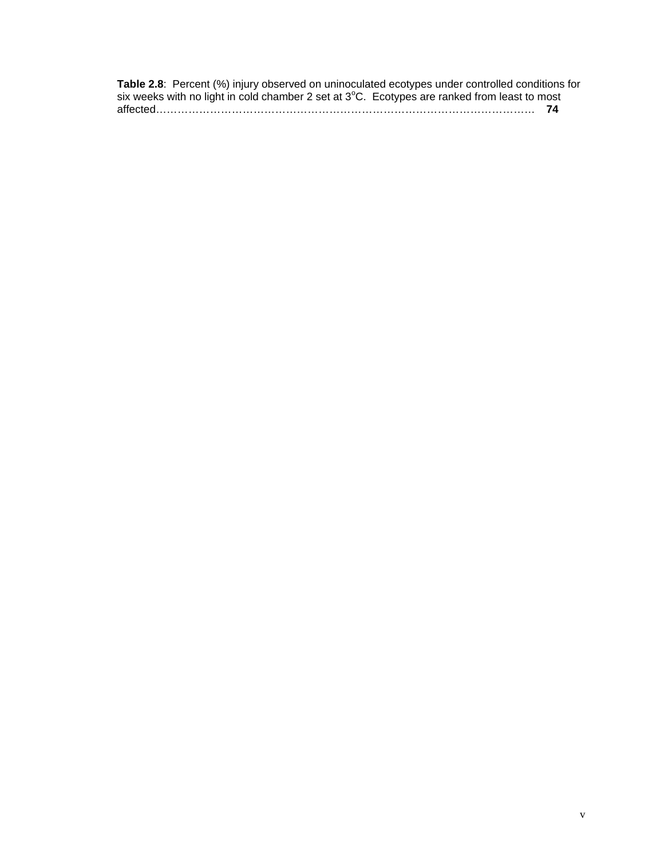**Table 2.8**: Percent (%) injury observed on uninoculated ecotypes under controlled conditions for six weeks with no light in cold chamber 2 set at 3°C. Ecotypes are ranked from least to most affected…………………………………………………………………………………………… **74**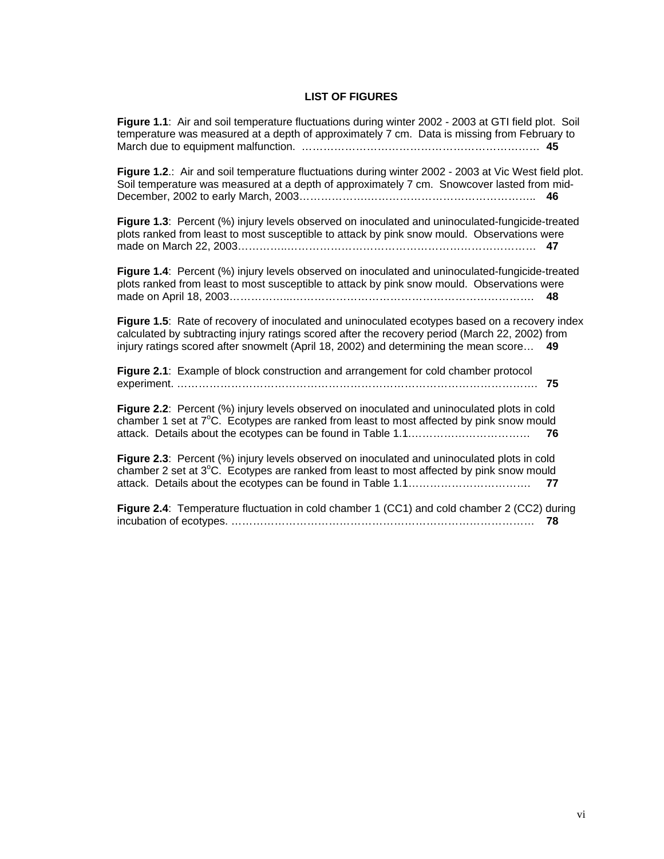#### **LIST OF FIGURES**

**Figure 1.1**: Air and soil temperature fluctuations during winter 2002 - 2003 at GTI field plot. Soil temperature was measured at a depth of approximately 7 cm. Data is missing from February to March due to equipment malfunction. ………………………………………………………… **45**

**Figure 1.2**.: Air and soil temperature fluctuations during winter 2002 - 2003 at Vic West field plot. Soil temperature was measured at a depth of approximately 7 cm. Snowcover lasted from mid-December, 2002 to early March, 2003……………….……………………………………….. **46**

**Figure 1.3**: Percent (%) injury levels observed on inoculated and uninoculated-fungicide-treated plots ranked from least to most susceptible to attack by pink snow mould. Observations were made on March 22, 2003…………..…………………………………………………………… **47**

**Figure 1.4**: Percent (%) injury levels observed on inoculated and uninoculated-fungicide-treated plots ranked from least to most susceptible to attack by pink snow mould. Observations were made on April 18, 2003……………...…………………………………………………………. **48**

**Figure 1.5**: Rate of recovery of inoculated and uninoculated ecotypes based on a recovery index calculated by subtracting injury ratings scored after the recovery period (March 22, 2002) from injury ratings scored after snowmelt (April 18, 2002) and determining the mean score… **49**

| Figure 2.1: Example of block construction and arrangement for cold chamber protocol<br>75                                                                                                                |  |
|----------------------------------------------------------------------------------------------------------------------------------------------------------------------------------------------------------|--|
| Figure 2.2: Percent (%) injury levels observed on inoculated and uninoculated plots in cold<br>chamber 1 set at $7^{\circ}$ C. Ecotypes are ranked from least to most affected by pink snow mould<br>-76 |  |
| Figure 2.3: Percent (%) injury levels observed on inoculated and uninoculated plots in cold<br>chamber 2 set at 3°C. Ecotypes are ranked from least to most affected by pink snow mould                  |  |
| Figure 2.4: Temperature fluctuation in cold chamber 1 (CC1) and cold chamber 2 (CC2) during<br>78                                                                                                        |  |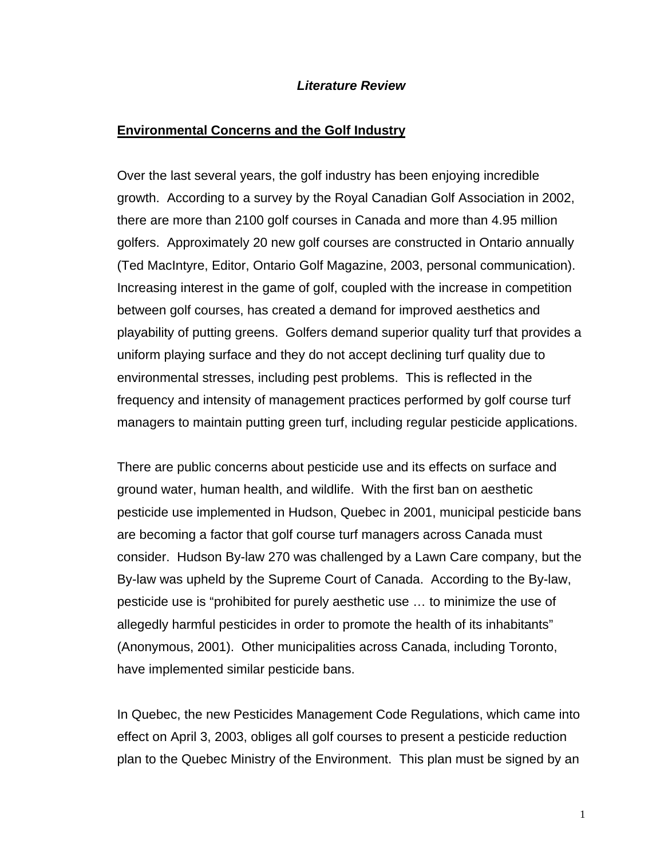### *Literature Review*

### **Environmental Concerns and the Golf Industry**

Over the last several years, the golf industry has been enjoying incredible growth. According to a survey by the Royal Canadian Golf Association in 2002, there are more than 2100 golf courses in Canada and more than 4.95 million golfers. Approximately 20 new golf courses are constructed in Ontario annually (Ted MacIntyre, Editor, Ontario Golf Magazine, 2003, personal communication). Increasing interest in the game of golf, coupled with the increase in competition between golf courses, has created a demand for improved aesthetics and playability of putting greens. Golfers demand superior quality turf that provides a uniform playing surface and they do not accept declining turf quality due to environmental stresses, including pest problems. This is reflected in the frequency and intensity of management practices performed by golf course turf managers to maintain putting green turf, including regular pesticide applications.

There are public concerns about pesticide use and its effects on surface and ground water, human health, and wildlife. With the first ban on aesthetic pesticide use implemented in Hudson, Quebec in 2001, municipal pesticide bans are becoming a factor that golf course turf managers across Canada must consider. Hudson By-law 270 was challenged by a Lawn Care company, but the By-law was upheld by the Supreme Court of Canada. According to the By-law, pesticide use is "prohibited for purely aesthetic use … to minimize the use of allegedly harmful pesticides in order to promote the health of its inhabitants" (Anonymous, 2001). Other municipalities across Canada, including Toronto, have implemented similar pesticide bans.

In Quebec, the new Pesticides Management Code Regulations, which came into effect on April 3, 2003, obliges all golf courses to present a pesticide reduction plan to the Quebec Ministry of the Environment. This plan must be signed by an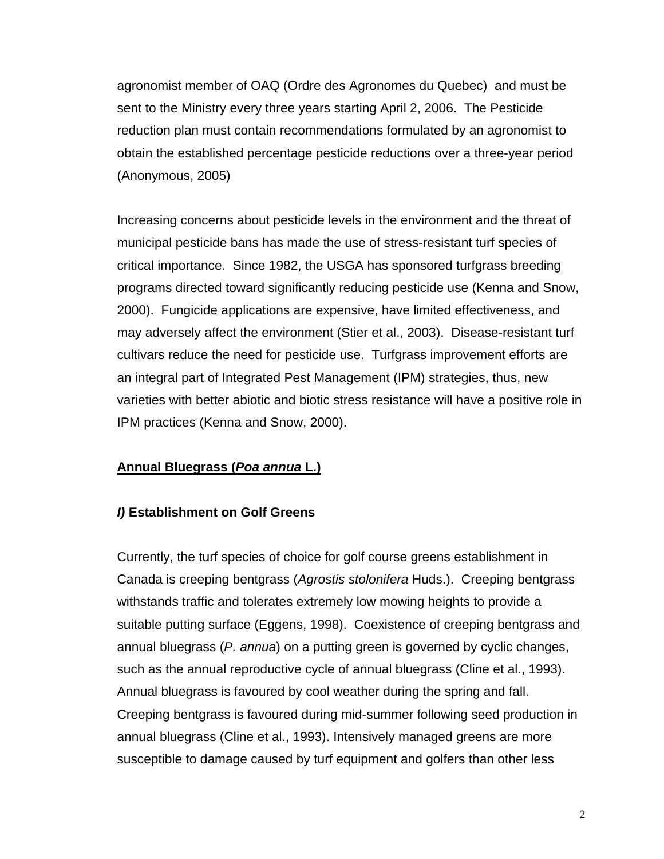agronomist member of OAQ (Ordre des Agronomes du Quebec) and must be sent to the Ministry every three years starting April 2, 2006. The Pesticide reduction plan must contain recommendations formulated by an agronomist to obtain the established percentage pesticide reductions over a three-year period (Anonymous, 2005)

Increasing concerns about pesticide levels in the environment and the threat of municipal pesticide bans has made the use of stress-resistant turf species of critical importance. Since 1982, the USGA has sponsored turfgrass breeding programs directed toward significantly reducing pesticide use (Kenna and Snow, 2000). Fungicide applications are expensive, have limited effectiveness, and may adversely affect the environment (Stier et al., 2003). Disease-resistant turf cultivars reduce the need for pesticide use. Turfgrass improvement efforts are an integral part of Integrated Pest Management (IPM) strategies, thus, new varieties with better abiotic and biotic stress resistance will have a positive role in IPM practices (Kenna and Snow, 2000).

# **Annual Bluegrass (***Poa annua* **L.)**

### *I)* **Establishment on Golf Greens**

Currently, the turf species of choice for golf course greens establishment in Canada is creeping bentgrass (*Agrostis stolonifera* Huds.). Creeping bentgrass withstands traffic and tolerates extremely low mowing heights to provide a suitable putting surface (Eggens, 1998). Coexistence of creeping bentgrass and annual bluegrass (*P. annua*) on a putting green is governed by cyclic changes, such as the annual reproductive cycle of annual bluegrass (Cline et al., 1993). Annual bluegrass is favoured by cool weather during the spring and fall. Creeping bentgrass is favoured during mid-summer following seed production in annual bluegrass (Cline et al., 1993). Intensively managed greens are more susceptible to damage caused by turf equipment and golfers than other less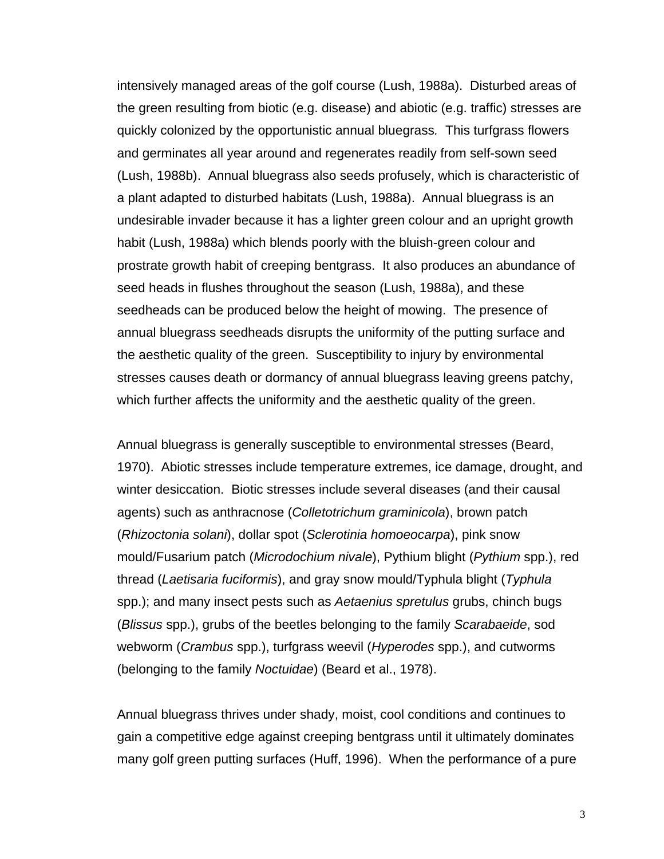intensively managed areas of the golf course (Lush, 1988a). Disturbed areas of the green resulting from biotic (e.g. disease) and abiotic (e.g. traffic) stresses are quickly colonized by the opportunistic annual bluegrass*.* This turfgrass flowers and germinates all year around and regenerates readily from self-sown seed (Lush, 1988b). Annual bluegrass also seeds profusely, which is characteristic of a plant adapted to disturbed habitats (Lush, 1988a). Annual bluegrass is an undesirable invader because it has a lighter green colour and an upright growth habit (Lush, 1988a) which blends poorly with the bluish-green colour and prostrate growth habit of creeping bentgrass. It also produces an abundance of seed heads in flushes throughout the season (Lush, 1988a), and these seedheads can be produced below the height of mowing. The presence of annual bluegrass seedheads disrupts the uniformity of the putting surface and the aesthetic quality of the green. Susceptibility to injury by environmental stresses causes death or dormancy of annual bluegrass leaving greens patchy, which further affects the uniformity and the aesthetic quality of the green.

Annual bluegrass is generally susceptible to environmental stresses (Beard, 1970). Abiotic stresses include temperature extremes, ice damage, drought, and winter desiccation. Biotic stresses include several diseases (and their causal agents) such as anthracnose (*Colletotrichum graminicola*), brown patch (*Rhizoctonia solani*), dollar spot (*Sclerotinia homoeocarpa*), pink snow mould/Fusarium patch (*Microdochium nivale*), Pythium blight (*Pythium* spp.), red thread (*Laetisaria fuciformis*), and gray snow mould/Typhula blight (*Typhula* spp.); and many insect pests such as *Aetaenius spretulus* grubs, chinch bugs (*Blissus* spp.), grubs of the beetles belonging to the family *Scarabaeide*, sod webworm (*Crambus* spp.), turfgrass weevil (*Hyperodes* spp.), and cutworms (belonging to the family *Noctuidae*) (Beard et al., 1978).

Annual bluegrass thrives under shady, moist, cool conditions and continues to gain a competitive edge against creeping bentgrass until it ultimately dominates many golf green putting surfaces (Huff, 1996). When the performance of a pure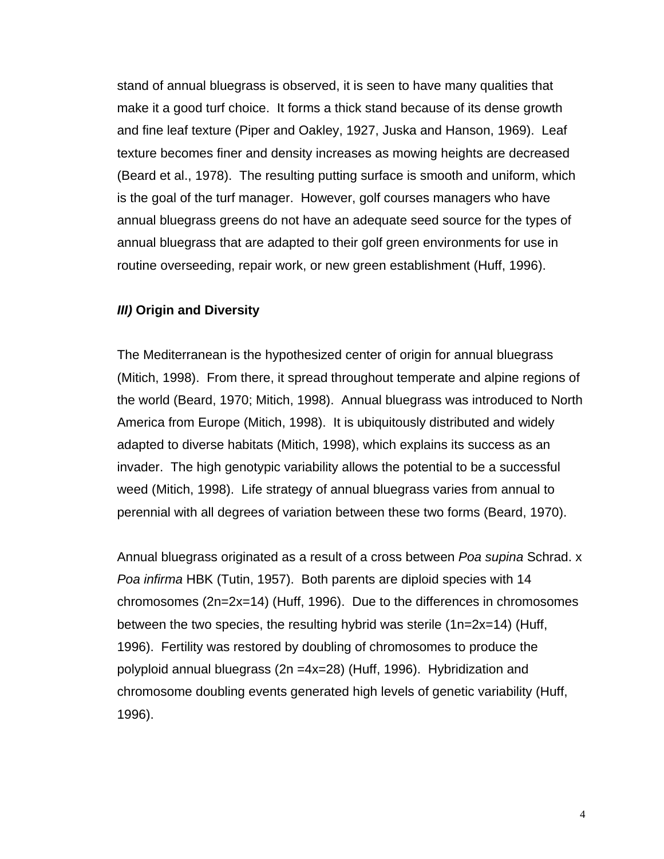stand of annual bluegrass is observed, it is seen to have many qualities that make it a good turf choice. It forms a thick stand because of its dense growth and fine leaf texture (Piper and Oakley, 1927, Juska and Hanson, 1969). Leaf texture becomes finer and density increases as mowing heights are decreased (Beard et al., 1978). The resulting putting surface is smooth and uniform, which is the goal of the turf manager. However, golf courses managers who have annual bluegrass greens do not have an adequate seed source for the types of annual bluegrass that are adapted to their golf green environments for use in routine overseeding, repair work, or new green establishment (Huff, 1996).

### *III)* **Origin and Diversity**

The Mediterranean is the hypothesized center of origin for annual bluegrass (Mitich, 1998). From there, it spread throughout temperate and alpine regions of the world (Beard, 1970; Mitich, 1998). Annual bluegrass was introduced to North America from Europe (Mitich, 1998). It is ubiquitously distributed and widely adapted to diverse habitats (Mitich, 1998), which explains its success as an invader. The high genotypic variability allows the potential to be a successful weed (Mitich, 1998). Life strategy of annual bluegrass varies from annual to perennial with all degrees of variation between these two forms (Beard, 1970).

Annual bluegrass originated as a result of a cross between *Poa supina* Schrad. x *Poa infirma* HBK (Tutin, 1957). Both parents are diploid species with 14 chromosomes (2n=2x=14) (Huff, 1996). Due to the differences in chromosomes between the two species, the resulting hybrid was sterile (1n=2x=14) (Huff, 1996). Fertility was restored by doubling of chromosomes to produce the polyploid annual bluegrass (2n =4x=28) (Huff, 1996). Hybridization and chromosome doubling events generated high levels of genetic variability (Huff, 1996).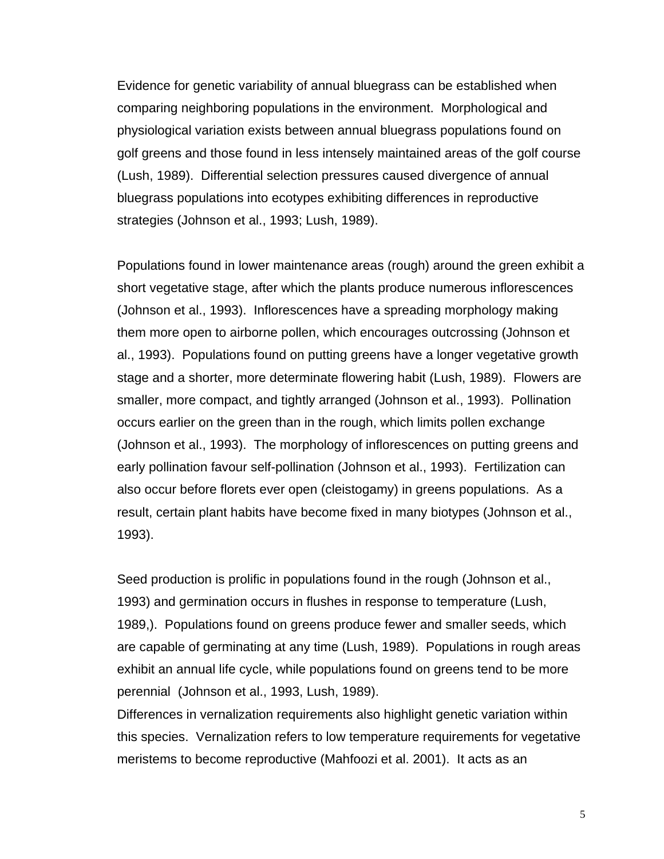Evidence for genetic variability of annual bluegrass can be established when comparing neighboring populations in the environment. Morphological and physiological variation exists between annual bluegrass populations found on golf greens and those found in less intensely maintained areas of the golf course (Lush, 1989). Differential selection pressures caused divergence of annual bluegrass populations into ecotypes exhibiting differences in reproductive strategies (Johnson et al., 1993; Lush, 1989).

Populations found in lower maintenance areas (rough) around the green exhibit a short vegetative stage, after which the plants produce numerous inflorescences (Johnson et al., 1993). Inflorescences have a spreading morphology making them more open to airborne pollen, which encourages outcrossing (Johnson et al., 1993). Populations found on putting greens have a longer vegetative growth stage and a shorter, more determinate flowering habit (Lush, 1989). Flowers are smaller, more compact, and tightly arranged (Johnson et al., 1993). Pollination occurs earlier on the green than in the rough, which limits pollen exchange (Johnson et al., 1993). The morphology of inflorescences on putting greens and early pollination favour self-pollination (Johnson et al., 1993). Fertilization can also occur before florets ever open (cleistogamy) in greens populations. As a result, certain plant habits have become fixed in many biotypes (Johnson et al., 1993).

Seed production is prolific in populations found in the rough (Johnson et al., 1993) and germination occurs in flushes in response to temperature (Lush, 1989,). Populations found on greens produce fewer and smaller seeds, which are capable of germinating at any time (Lush, 1989). Populations in rough areas exhibit an annual life cycle, while populations found on greens tend to be more perennial (Johnson et al., 1993, Lush, 1989).

Differences in vernalization requirements also highlight genetic variation within this species. Vernalization refers to low temperature requirements for vegetative meristems to become reproductive (Mahfoozi et al. 2001). It acts as an

5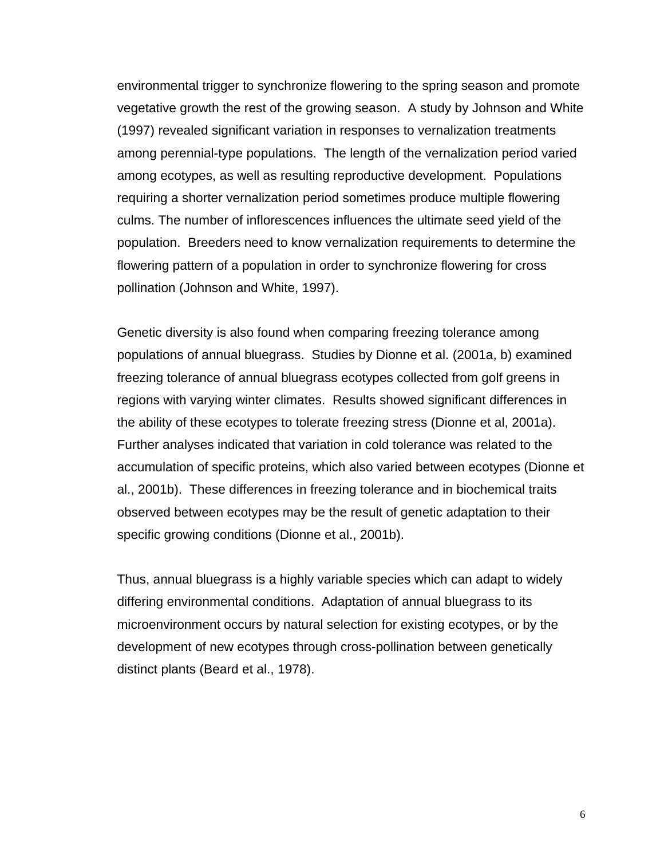environmental trigger to synchronize flowering to the spring season and promote vegetative growth the rest of the growing season. A study by Johnson and White (1997) revealed significant variation in responses to vernalization treatments among perennial-type populations. The length of the vernalization period varied among ecotypes, as well as resulting reproductive development. Populations requiring a shorter vernalization period sometimes produce multiple flowering culms. The number of inflorescences influences the ultimate seed yield of the population. Breeders need to know vernalization requirements to determine the flowering pattern of a population in order to synchronize flowering for cross pollination (Johnson and White, 1997).

Genetic diversity is also found when comparing freezing tolerance among populations of annual bluegrass. Studies by Dionne et al. (2001a, b) examined freezing tolerance of annual bluegrass ecotypes collected from golf greens in regions with varying winter climates. Results showed significant differences in the ability of these ecotypes to tolerate freezing stress (Dionne et al, 2001a). Further analyses indicated that variation in cold tolerance was related to the accumulation of specific proteins, which also varied between ecotypes (Dionne et al., 2001b). These differences in freezing tolerance and in biochemical traits observed between ecotypes may be the result of genetic adaptation to their specific growing conditions (Dionne et al., 2001b).

Thus, annual bluegrass is a highly variable species which can adapt to widely differing environmental conditions. Adaptation of annual bluegrass to its microenvironment occurs by natural selection for existing ecotypes, or by the development of new ecotypes through cross-pollination between genetically distinct plants (Beard et al., 1978).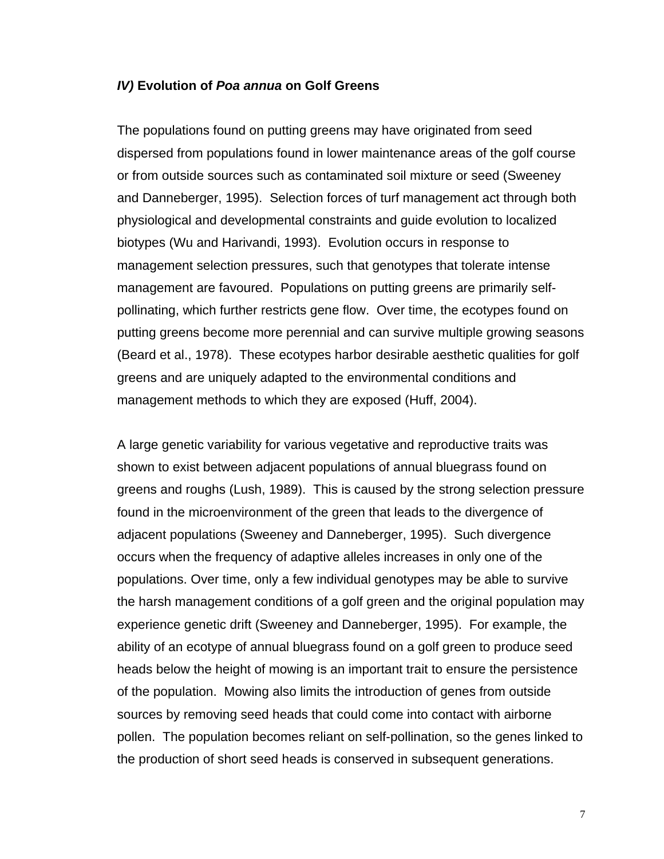#### *IV)* **Evolution of** *Poa annua* **on Golf Greens**

The populations found on putting greens may have originated from seed dispersed from populations found in lower maintenance areas of the golf course or from outside sources such as contaminated soil mixture or seed (Sweeney and Danneberger, 1995). Selection forces of turf management act through both physiological and developmental constraints and guide evolution to localized biotypes (Wu and Harivandi, 1993). Evolution occurs in response to management selection pressures, such that genotypes that tolerate intense management are favoured. Populations on putting greens are primarily selfpollinating, which further restricts gene flow. Over time, the ecotypes found on putting greens become more perennial and can survive multiple growing seasons (Beard et al., 1978). These ecotypes harbor desirable aesthetic qualities for golf greens and are uniquely adapted to the environmental conditions and management methods to which they are exposed (Huff, 2004).

A large genetic variability for various vegetative and reproductive traits was shown to exist between adjacent populations of annual bluegrass found on greens and roughs (Lush, 1989). This is caused by the strong selection pressure found in the microenvironment of the green that leads to the divergence of adjacent populations (Sweeney and Danneberger, 1995). Such divergence occurs when the frequency of adaptive alleles increases in only one of the populations. Over time, only a few individual genotypes may be able to survive the harsh management conditions of a golf green and the original population may experience genetic drift (Sweeney and Danneberger, 1995). For example, the ability of an ecotype of annual bluegrass found on a golf green to produce seed heads below the height of mowing is an important trait to ensure the persistence of the population. Mowing also limits the introduction of genes from outside sources by removing seed heads that could come into contact with airborne pollen. The population becomes reliant on self-pollination, so the genes linked to the production of short seed heads is conserved in subsequent generations.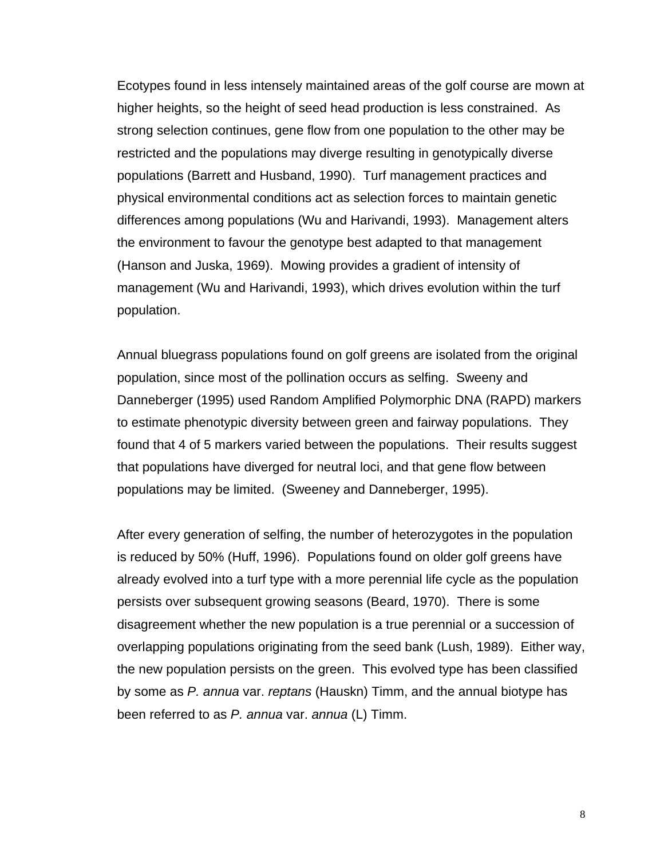Ecotypes found in less intensely maintained areas of the golf course are mown at higher heights, so the height of seed head production is less constrained. As strong selection continues, gene flow from one population to the other may be restricted and the populations may diverge resulting in genotypically diverse populations (Barrett and Husband, 1990). Turf management practices and physical environmental conditions act as selection forces to maintain genetic differences among populations (Wu and Harivandi, 1993). Management alters the environment to favour the genotype best adapted to that management (Hanson and Juska, 1969). Mowing provides a gradient of intensity of management (Wu and Harivandi, 1993), which drives evolution within the turf population.

Annual bluegrass populations found on golf greens are isolated from the original population, since most of the pollination occurs as selfing. Sweeny and Danneberger (1995) used Random Amplified Polymorphic DNA (RAPD) markers to estimate phenotypic diversity between green and fairway populations. They found that 4 of 5 markers varied between the populations. Their results suggest that populations have diverged for neutral loci, and that gene flow between populations may be limited. (Sweeney and Danneberger, 1995).

After every generation of selfing, the number of heterozygotes in the population is reduced by 50% (Huff, 1996). Populations found on older golf greens have already evolved into a turf type with a more perennial life cycle as the population persists over subsequent growing seasons (Beard, 1970). There is some disagreement whether the new population is a true perennial or a succession of overlapping populations originating from the seed bank (Lush, 1989). Either way, the new population persists on the green. This evolved type has been classified by some as *P. annua* var. *reptans* (Hauskn) Timm, and the annual biotype has been referred to as *P. annua* var. *annua* (L) Timm.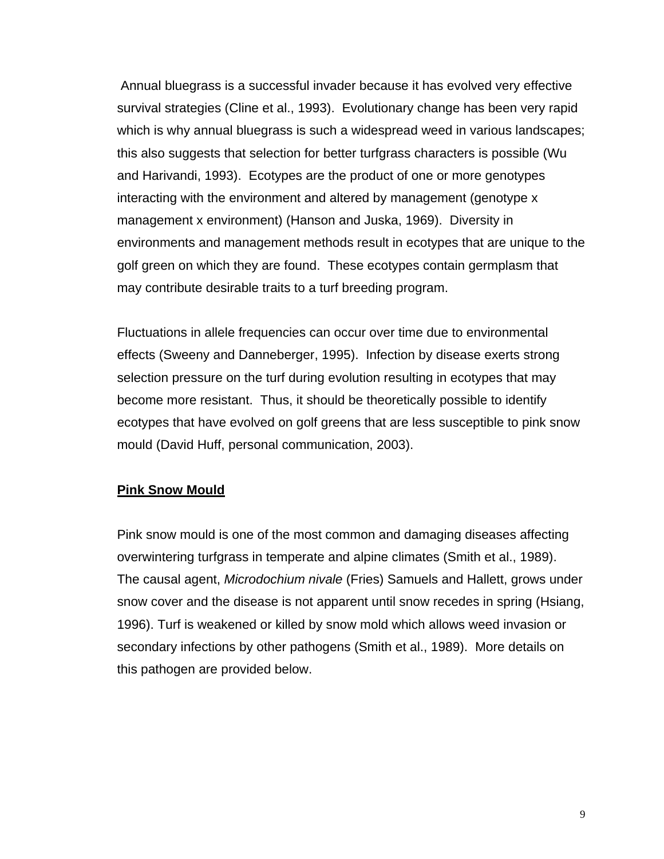Annual bluegrass is a successful invader because it has evolved very effective survival strategies (Cline et al., 1993). Evolutionary change has been very rapid which is why annual bluegrass is such a widespread weed in various landscapes; this also suggests that selection for better turfgrass characters is possible (Wu and Harivandi, 1993). Ecotypes are the product of one or more genotypes interacting with the environment and altered by management (genotype x management x environment) (Hanson and Juska, 1969). Diversity in environments and management methods result in ecotypes that are unique to the golf green on which they are found. These ecotypes contain germplasm that may contribute desirable traits to a turf breeding program.

Fluctuations in allele frequencies can occur over time due to environmental effects (Sweeny and Danneberger, 1995). Infection by disease exerts strong selection pressure on the turf during evolution resulting in ecotypes that may become more resistant. Thus, it should be theoretically possible to identify ecotypes that have evolved on golf greens that are less susceptible to pink snow mould (David Huff, personal communication, 2003).

# **Pink Snow Mould**

Pink snow mould is one of the most common and damaging diseases affecting overwintering turfgrass in temperate and alpine climates (Smith et al., 1989). The causal agent, *Microdochium nivale* (Fries) Samuels and Hallett, grows under snow cover and the disease is not apparent until snow recedes in spring (Hsiang, 1996). Turf is weakened or killed by snow mold which allows weed invasion or secondary infections by other pathogens (Smith et al., 1989). More details on this pathogen are provided below.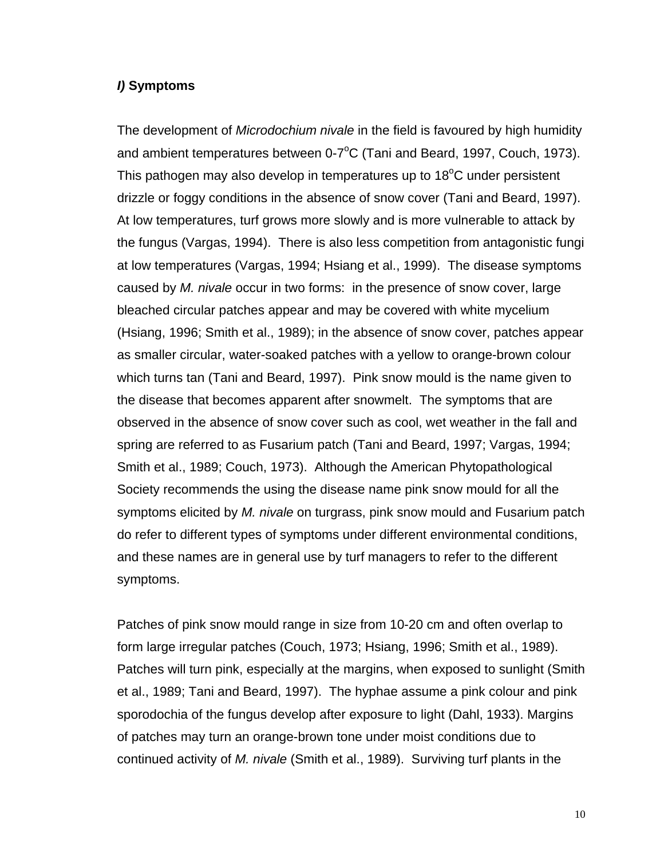#### *I)* **Symptoms**

The development of *Microdochium nivale* in the field is favoured by high humidity and ambient temperatures between 0-7 $\mathrm{^{\circ}C}$  (Tani and Beard, 1997, Couch, 1973). This pathogen may also develop in temperatures up to 18 $^{\circ}$ C under persistent drizzle or foggy conditions in the absence of snow cover (Tani and Beard, 1997). At low temperatures, turf grows more slowly and is more vulnerable to attack by the fungus (Vargas, 1994). There is also less competition from antagonistic fungi at low temperatures (Vargas, 1994; Hsiang et al., 1999). The disease symptoms caused by *M. nivale* occur in two forms: in the presence of snow cover, large bleached circular patches appear and may be covered with white mycelium (Hsiang, 1996; Smith et al., 1989); in the absence of snow cover, patches appear as smaller circular, water-soaked patches with a yellow to orange-brown colour which turns tan (Tani and Beard, 1997). Pink snow mould is the name given to the disease that becomes apparent after snowmelt. The symptoms that are observed in the absence of snow cover such as cool, wet weather in the fall and spring are referred to as Fusarium patch (Tani and Beard, 1997; Vargas, 1994; Smith et al., 1989; Couch, 1973). Although the American Phytopathological Society recommends the using the disease name pink snow mould for all the symptoms elicited by *M. nivale* on turgrass, pink snow mould and Fusarium patch do refer to different types of symptoms under different environmental conditions, and these names are in general use by turf managers to refer to the different symptoms.

Patches of pink snow mould range in size from 10-20 cm and often overlap to form large irregular patches (Couch, 1973; Hsiang, 1996; Smith et al., 1989). Patches will turn pink, especially at the margins, when exposed to sunlight (Smith et al., 1989; Tani and Beard, 1997). The hyphae assume a pink colour and pink sporodochia of the fungus develop after exposure to light (Dahl, 1933). Margins of patches may turn an orange-brown tone under moist conditions due to continued activity of *M. nivale* (Smith et al., 1989). Surviving turf plants in the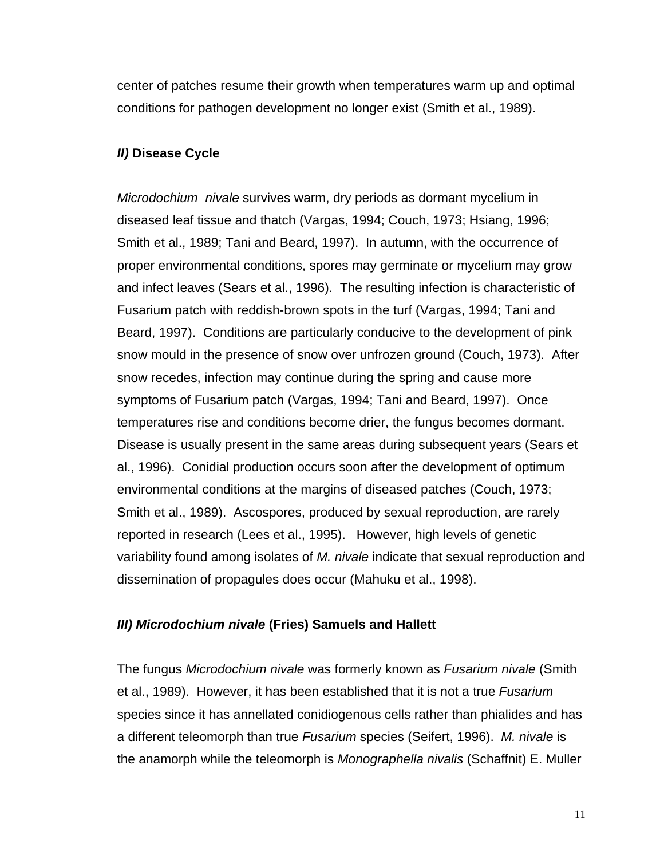center of patches resume their growth when temperatures warm up and optimal conditions for pathogen development no longer exist (Smith et al., 1989).

### *II)* **Disease Cycle**

*Microdochium nivale* survives warm, dry periods as dormant mycelium in diseased leaf tissue and thatch (Vargas, 1994; Couch, 1973; Hsiang, 1996; Smith et al., 1989; Tani and Beard, 1997). In autumn, with the occurrence of proper environmental conditions, spores may germinate or mycelium may grow and infect leaves (Sears et al., 1996). The resulting infection is characteristic of Fusarium patch with reddish-brown spots in the turf (Vargas, 1994; Tani and Beard, 1997). Conditions are particularly conducive to the development of pink snow mould in the presence of snow over unfrozen ground (Couch, 1973). After snow recedes, infection may continue during the spring and cause more symptoms of Fusarium patch (Vargas, 1994; Tani and Beard, 1997). Once temperatures rise and conditions become drier, the fungus becomes dormant. Disease is usually present in the same areas during subsequent years (Sears et al., 1996). Conidial production occurs soon after the development of optimum environmental conditions at the margins of diseased patches (Couch, 1973; Smith et al., 1989). Ascospores, produced by sexual reproduction, are rarely reported in research (Lees et al., 1995). However, high levels of genetic variability found among isolates of *M. nivale* indicate that sexual reproduction and dissemination of propagules does occur (Mahuku et al., 1998).

#### *III) Microdochium nivale* **(Fries) Samuels and Hallett**

The fungus *Microdochium nivale* was formerly known as *Fusarium nivale* (Smith et al., 1989). However, it has been established that it is not a true *Fusarium* species since it has annellated conidiogenous cells rather than phialides and has a different teleomorph than true *Fusarium* species (Seifert, 1996). *M. nivale* is the anamorph while the teleomorph is *Monographella nivalis* (Schaffnit) E. Muller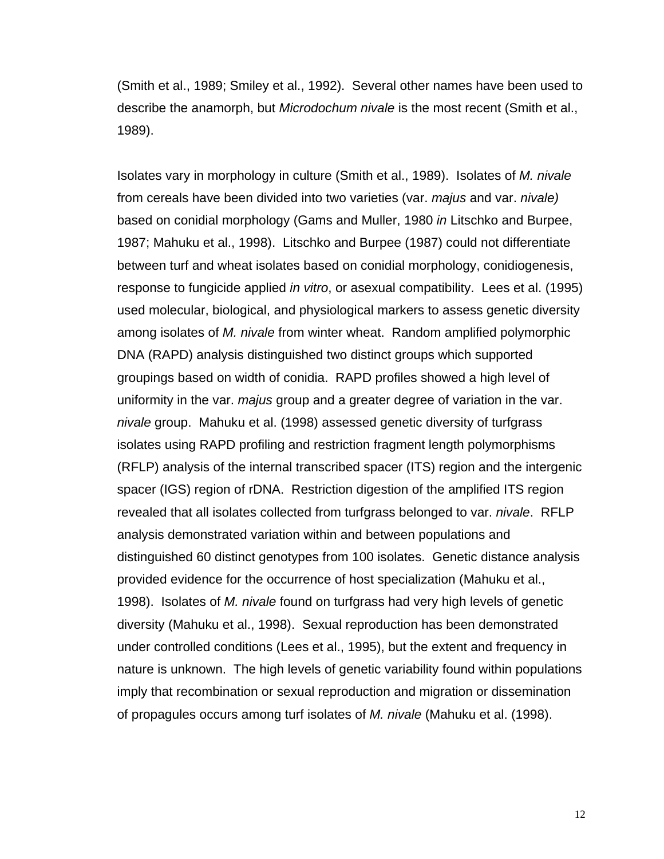(Smith et al., 1989; Smiley et al., 1992). Several other names have been used to describe the anamorph, but *Microdochum nivale* is the most recent (Smith et al., 1989).

Isolates vary in morphology in culture (Smith et al., 1989). Isolates of *M. nivale* from cereals have been divided into two varieties (var. *majus* and var. *nivale)* based on conidial morphology (Gams and Muller, 1980 *in* Litschko and Burpee, 1987; Mahuku et al., 1998). Litschko and Burpee (1987) could not differentiate between turf and wheat isolates based on conidial morphology, conidiogenesis, response to fungicide applied *in vitro*, or asexual compatibility. Lees et al. (1995) used molecular, biological, and physiological markers to assess genetic diversity among isolates of *M. nivale* from winter wheat. Random amplified polymorphic DNA (RAPD) analysis distinguished two distinct groups which supported groupings based on width of conidia. RAPD profiles showed a high level of uniformity in the var. *majus* group and a greater degree of variation in the var. *nivale* group. Mahuku et al. (1998) assessed genetic diversity of turfgrass isolates using RAPD profiling and restriction fragment length polymorphisms (RFLP) analysis of the internal transcribed spacer (ITS) region and the intergenic spacer (IGS) region of rDNA. Restriction digestion of the amplified ITS region revealed that all isolates collected from turfgrass belonged to var. *nivale*. RFLP analysis demonstrated variation within and between populations and distinguished 60 distinct genotypes from 100 isolates. Genetic distance analysis provided evidence for the occurrence of host specialization (Mahuku et al., 1998). Isolates of *M. nivale* found on turfgrass had very high levels of genetic diversity (Mahuku et al., 1998). Sexual reproduction has been demonstrated under controlled conditions (Lees et al., 1995), but the extent and frequency in nature is unknown. The high levels of genetic variability found within populations imply that recombination or sexual reproduction and migration or dissemination of propagules occurs among turf isolates of *M. nivale* (Mahuku et al. (1998).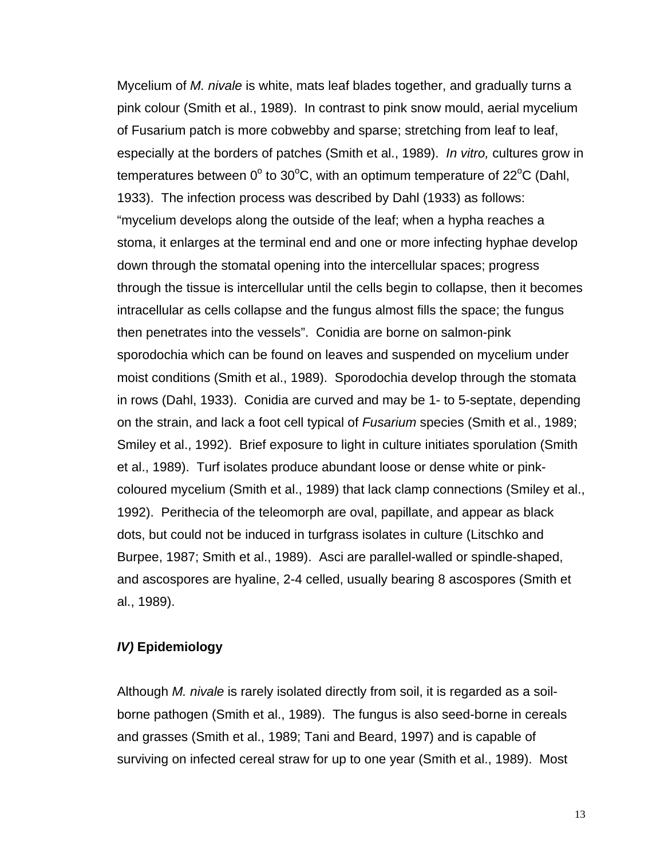Mycelium of *M. nivale* is white, mats leaf blades together, and gradually turns a pink colour (Smith et al., 1989). In contrast to pink snow mould, aerial mycelium of Fusarium patch is more cobwebby and sparse; stretching from leaf to leaf, especially at the borders of patches (Smith et al., 1989). *In vitro,* cultures grow in temperatures between 0 $^{\circ}$  to 30 $^{\circ}$ C, with an optimum temperature of 22 $^{\circ}$ C (Dahl, 1933). The infection process was described by Dahl (1933) as follows: "mycelium develops along the outside of the leaf; when a hypha reaches a stoma, it enlarges at the terminal end and one or more infecting hyphae develop down through the stomatal opening into the intercellular spaces; progress through the tissue is intercellular until the cells begin to collapse, then it becomes intracellular as cells collapse and the fungus almost fills the space; the fungus then penetrates into the vessels". Conidia are borne on salmon-pink sporodochia which can be found on leaves and suspended on mycelium under moist conditions (Smith et al., 1989). Sporodochia develop through the stomata in rows (Dahl, 1933). Conidia are curved and may be 1- to 5-septate, depending on the strain, and lack a foot cell typical of *Fusarium* species (Smith et al., 1989; Smiley et al., 1992). Brief exposure to light in culture initiates sporulation (Smith et al., 1989). Turf isolates produce abundant loose or dense white or pinkcoloured mycelium (Smith et al., 1989) that lack clamp connections (Smiley et al., 1992). Perithecia of the teleomorph are oval, papillate, and appear as black dots, but could not be induced in turfgrass isolates in culture (Litschko and Burpee, 1987; Smith et al., 1989). Asci are parallel-walled or spindle-shaped, and ascospores are hyaline, 2-4 celled, usually bearing 8 ascospores (Smith et al., 1989).

### *IV)* **Epidemiology**

Although *M. nivale* is rarely isolated directly from soil, it is regarded as a soilborne pathogen (Smith et al., 1989). The fungus is also seed-borne in cereals and grasses (Smith et al., 1989; Tani and Beard, 1997) and is capable of surviving on infected cereal straw for up to one year (Smith et al., 1989). Most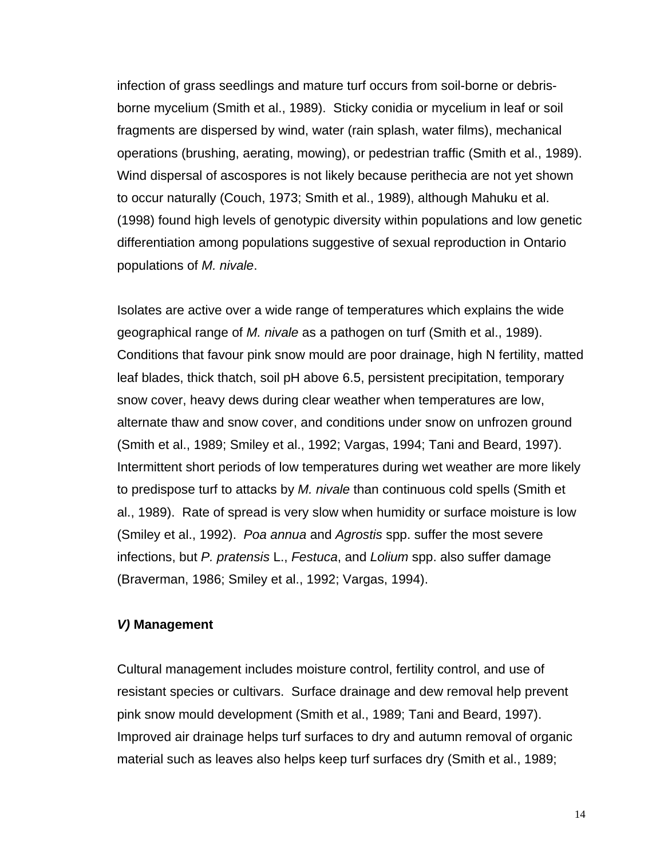infection of grass seedlings and mature turf occurs from soil-borne or debrisborne mycelium (Smith et al., 1989). Sticky conidia or mycelium in leaf or soil fragments are dispersed by wind, water (rain splash, water films), mechanical operations (brushing, aerating, mowing), or pedestrian traffic (Smith et al., 1989). Wind dispersal of ascospores is not likely because perithecia are not yet shown to occur naturally (Couch, 1973; Smith et al., 1989), although Mahuku et al. (1998) found high levels of genotypic diversity within populations and low genetic differentiation among populations suggestive of sexual reproduction in Ontario populations of *M. nivale*.

Isolates are active over a wide range of temperatures which explains the wide geographical range of *M. nivale* as a pathogen on turf (Smith et al., 1989). Conditions that favour pink snow mould are poor drainage, high N fertility, matted leaf blades, thick thatch, soil pH above 6.5, persistent precipitation, temporary snow cover, heavy dews during clear weather when temperatures are low, alternate thaw and snow cover, and conditions under snow on unfrozen ground (Smith et al., 1989; Smiley et al., 1992; Vargas, 1994; Tani and Beard, 1997). Intermittent short periods of low temperatures during wet weather are more likely to predispose turf to attacks by *M. nivale* than continuous cold spells (Smith et al., 1989). Rate of spread is very slow when humidity or surface moisture is low (Smiley et al., 1992). *Poa annua* and *Agrostis* spp. suffer the most severe infections, but *P. pratensis* L., *Festuca*, and *Lolium* spp. also suffer damage (Braverman, 1986; Smiley et al., 1992; Vargas, 1994).

#### *V)* **Management**

Cultural management includes moisture control, fertility control, and use of resistant species or cultivars. Surface drainage and dew removal help prevent pink snow mould development (Smith et al., 1989; Tani and Beard, 1997). Improved air drainage helps turf surfaces to dry and autumn removal of organic material such as leaves also helps keep turf surfaces dry (Smith et al., 1989;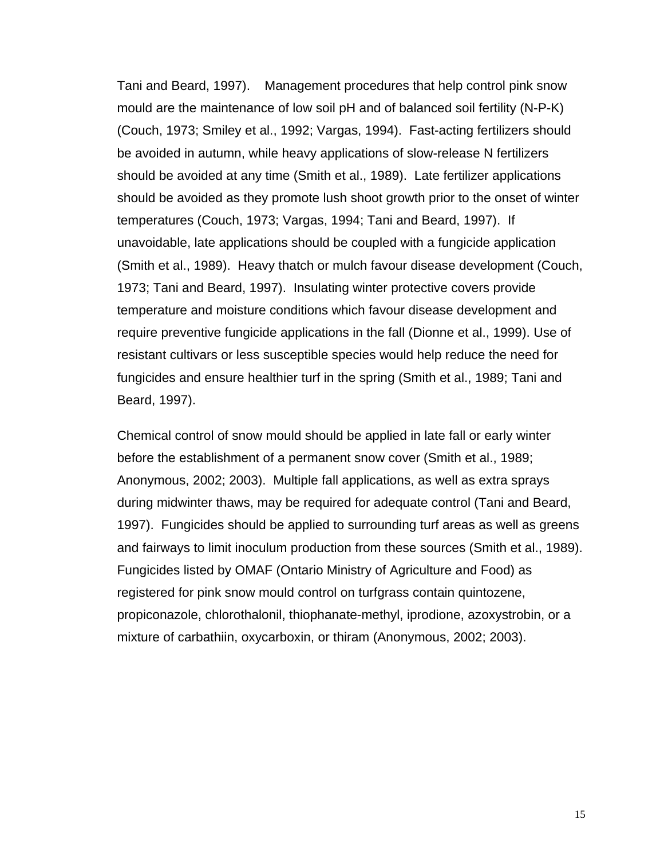Tani and Beard, 1997). Management procedures that help control pink snow mould are the maintenance of low soil pH and of balanced soil fertility (N-P-K) (Couch, 1973; Smiley et al., 1992; Vargas, 1994). Fast-acting fertilizers should be avoided in autumn, while heavy applications of slow-release N fertilizers should be avoided at any time (Smith et al., 1989). Late fertilizer applications should be avoided as they promote lush shoot growth prior to the onset of winter temperatures (Couch, 1973; Vargas, 1994; Tani and Beard, 1997). If unavoidable, late applications should be coupled with a fungicide application (Smith et al., 1989). Heavy thatch or mulch favour disease development (Couch, 1973; Tani and Beard, 1997). Insulating winter protective covers provide temperature and moisture conditions which favour disease development and require preventive fungicide applications in the fall (Dionne et al., 1999). Use of resistant cultivars or less susceptible species would help reduce the need for fungicides and ensure healthier turf in the spring (Smith et al., 1989; Tani and Beard, 1997).

Chemical control of snow mould should be applied in late fall or early winter before the establishment of a permanent snow cover (Smith et al., 1989; Anonymous, 2002; 2003). Multiple fall applications, as well as extra sprays during midwinter thaws, may be required for adequate control (Tani and Beard, 1997). Fungicides should be applied to surrounding turf areas as well as greens and fairways to limit inoculum production from these sources (Smith et al., 1989). Fungicides listed by OMAF (Ontario Ministry of Agriculture and Food) as registered for pink snow mould control on turfgrass contain quintozene, propiconazole, chlorothalonil, thiophanate-methyl, iprodione, azoxystrobin, or a mixture of carbathiin, oxycarboxin, or thiram (Anonymous, 2002; 2003).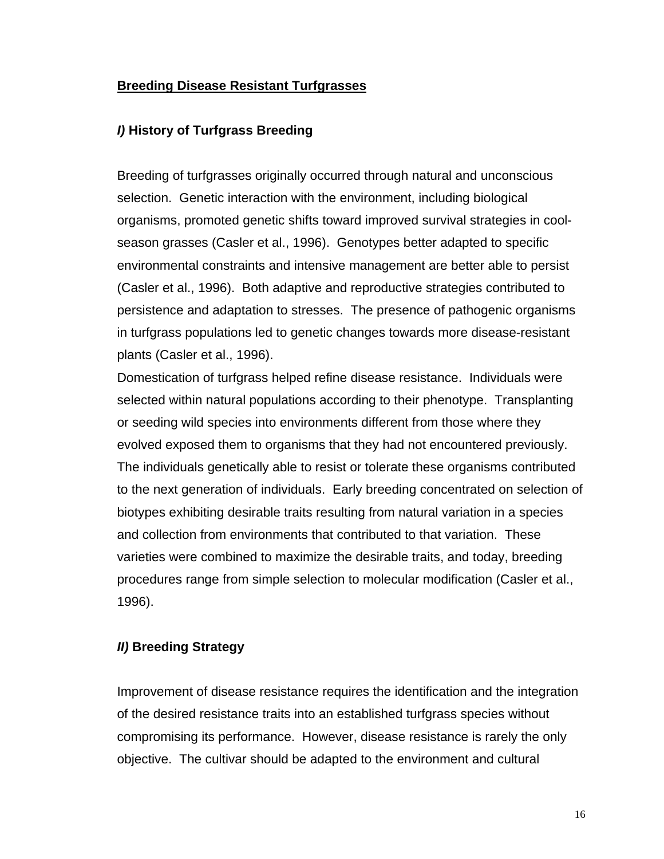# **Breeding Disease Resistant Turfgrasses**

# *I)* **History of Turfgrass Breeding**

Breeding of turfgrasses originally occurred through natural and unconscious selection. Genetic interaction with the environment, including biological organisms, promoted genetic shifts toward improved survival strategies in coolseason grasses (Casler et al., 1996). Genotypes better adapted to specific environmental constraints and intensive management are better able to persist (Casler et al., 1996). Both adaptive and reproductive strategies contributed to persistence and adaptation to stresses. The presence of pathogenic organisms in turfgrass populations led to genetic changes towards more disease-resistant plants (Casler et al., 1996).

Domestication of turfgrass helped refine disease resistance. Individuals were selected within natural populations according to their phenotype. Transplanting or seeding wild species into environments different from those where they evolved exposed them to organisms that they had not encountered previously. The individuals genetically able to resist or tolerate these organisms contributed to the next generation of individuals. Early breeding concentrated on selection of biotypes exhibiting desirable traits resulting from natural variation in a species and collection from environments that contributed to that variation. These varieties were combined to maximize the desirable traits, and today, breeding procedures range from simple selection to molecular modification (Casler et al., 1996).

# *II)* **Breeding Strategy**

Improvement of disease resistance requires the identification and the integration of the desired resistance traits into an established turfgrass species without compromising its performance. However, disease resistance is rarely the only objective. The cultivar should be adapted to the environment and cultural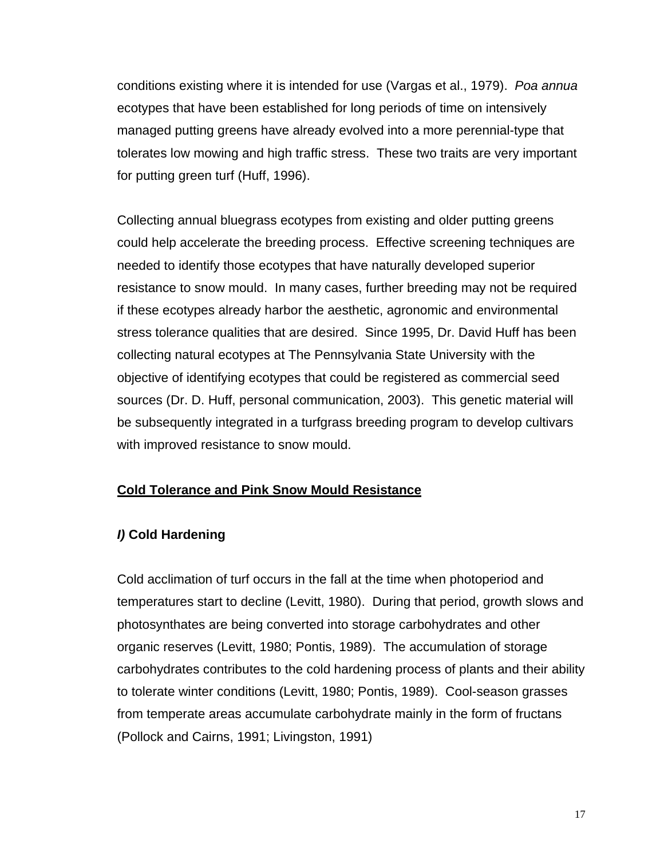conditions existing where it is intended for use (Vargas et al., 1979). *Poa annua* ecotypes that have been established for long periods of time on intensively managed putting greens have already evolved into a more perennial-type that tolerates low mowing and high traffic stress. These two traits are very important for putting green turf (Huff, 1996).

Collecting annual bluegrass ecotypes from existing and older putting greens could help accelerate the breeding process. Effective screening techniques are needed to identify those ecotypes that have naturally developed superior resistance to snow mould. In many cases, further breeding may not be required if these ecotypes already harbor the aesthetic, agronomic and environmental stress tolerance qualities that are desired. Since 1995, Dr. David Huff has been collecting natural ecotypes at The Pennsylvania State University with the objective of identifying ecotypes that could be registered as commercial seed sources (Dr. D. Huff, personal communication, 2003). This genetic material will be subsequently integrated in a turfgrass breeding program to develop cultivars with improved resistance to snow mould.

# **Cold Tolerance and Pink Snow Mould Resistance**

# *I)* **Cold Hardening**

Cold acclimation of turf occurs in the fall at the time when photoperiod and temperatures start to decline (Levitt, 1980). During that period, growth slows and photosynthates are being converted into storage carbohydrates and other organic reserves (Levitt, 1980; Pontis, 1989). The accumulation of storage carbohydrates contributes to the cold hardening process of plants and their ability to tolerate winter conditions (Levitt, 1980; Pontis, 1989). Cool-season grasses from temperate areas accumulate carbohydrate mainly in the form of fructans (Pollock and Cairns, 1991; Livingston, 1991)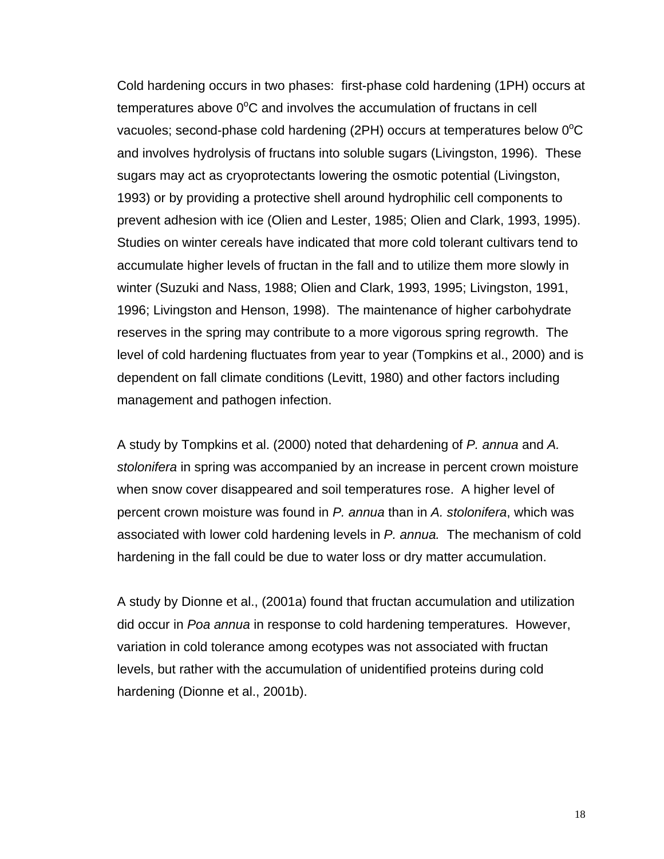Cold hardening occurs in two phases: first-phase cold hardening (1PH) occurs at temperatures above  $0^{\circ}$ C and involves the accumulation of fructans in cell vacuoles; second-phase cold hardening (2PH) occurs at temperatures below  $0^{\circ}$ C and involves hydrolysis of fructans into soluble sugars (Livingston, 1996). These sugars may act as cryoprotectants lowering the osmotic potential (Livingston, 1993) or by providing a protective shell around hydrophilic cell components to prevent adhesion with ice (Olien and Lester, 1985; Olien and Clark, 1993, 1995). Studies on winter cereals have indicated that more cold tolerant cultivars tend to accumulate higher levels of fructan in the fall and to utilize them more slowly in winter (Suzuki and Nass, 1988; Olien and Clark, 1993, 1995; Livingston, 1991, 1996; Livingston and Henson, 1998). The maintenance of higher carbohydrate reserves in the spring may contribute to a more vigorous spring regrowth. The level of cold hardening fluctuates from year to year (Tompkins et al., 2000) and is dependent on fall climate conditions (Levitt, 1980) and other factors including management and pathogen infection.

A study by Tompkins et al. (2000) noted that dehardening of *P. annua* and *A. stolonifera* in spring was accompanied by an increase in percent crown moisture when snow cover disappeared and soil temperatures rose. A higher level of percent crown moisture was found in *P. annua* than in *A. stolonifera*, which was associated with lower cold hardening levels in *P. annua.* The mechanism of cold hardening in the fall could be due to water loss or dry matter accumulation.

A study by Dionne et al., (2001a) found that fructan accumulation and utilization did occur in *Poa annua* in response to cold hardening temperatures. However, variation in cold tolerance among ecotypes was not associated with fructan levels, but rather with the accumulation of unidentified proteins during cold hardening (Dionne et al., 2001b).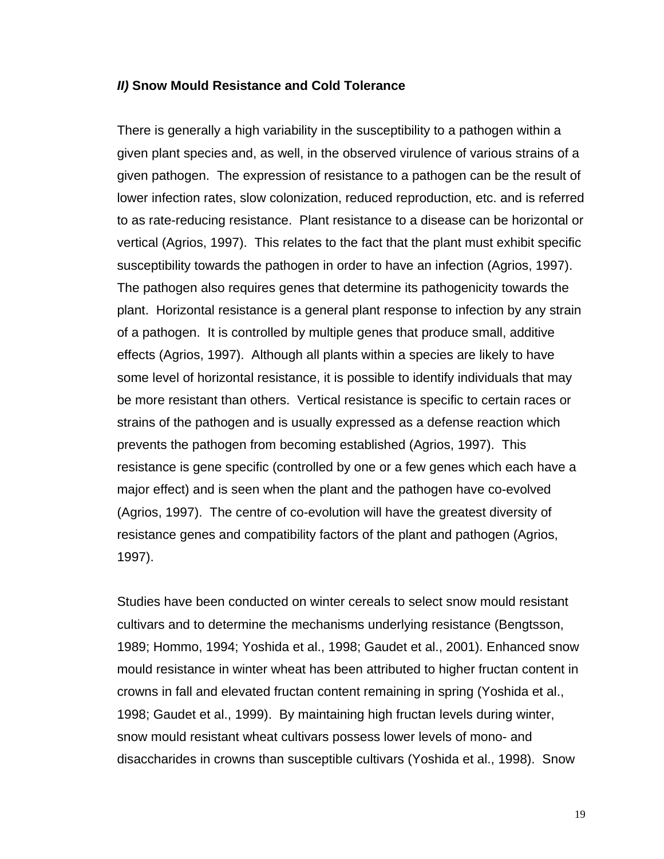#### *II)* **Snow Mould Resistance and Cold Tolerance**

There is generally a high variability in the susceptibility to a pathogen within a given plant species and, as well, in the observed virulence of various strains of a given pathogen. The expression of resistance to a pathogen can be the result of lower infection rates, slow colonization, reduced reproduction, etc. and is referred to as rate-reducing resistance. Plant resistance to a disease can be horizontal or vertical (Agrios, 1997). This relates to the fact that the plant must exhibit specific susceptibility towards the pathogen in order to have an infection (Agrios, 1997). The pathogen also requires genes that determine its pathogenicity towards the plant. Horizontal resistance is a general plant response to infection by any strain of a pathogen. It is controlled by multiple genes that produce small, additive effects (Agrios, 1997). Although all plants within a species are likely to have some level of horizontal resistance, it is possible to identify individuals that may be more resistant than others. Vertical resistance is specific to certain races or strains of the pathogen and is usually expressed as a defense reaction which prevents the pathogen from becoming established (Agrios, 1997). This resistance is gene specific (controlled by one or a few genes which each have a major effect) and is seen when the plant and the pathogen have co-evolved (Agrios, 1997). The centre of co-evolution will have the greatest diversity of resistance genes and compatibility factors of the plant and pathogen (Agrios, 1997).

Studies have been conducted on winter cereals to select snow mould resistant cultivars and to determine the mechanisms underlying resistance (Bengtsson, 1989; Hommo, 1994; Yoshida et al., 1998; Gaudet et al., 2001). Enhanced snow mould resistance in winter wheat has been attributed to higher fructan content in crowns in fall and elevated fructan content remaining in spring (Yoshida et al., 1998; Gaudet et al., 1999). By maintaining high fructan levels during winter, snow mould resistant wheat cultivars possess lower levels of mono- and disaccharides in crowns than susceptible cultivars (Yoshida et al., 1998). Snow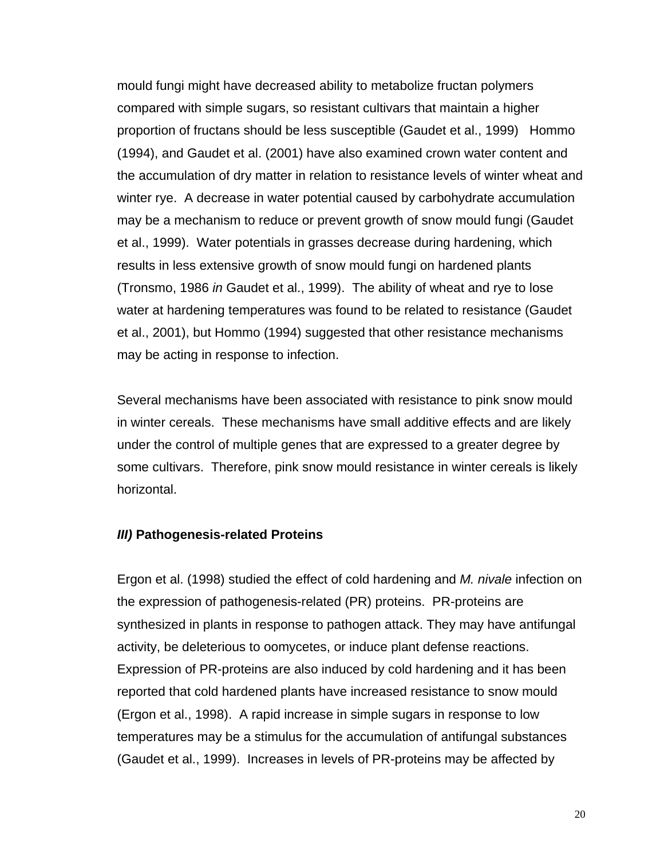mould fungi might have decreased ability to metabolize fructan polymers compared with simple sugars, so resistant cultivars that maintain a higher proportion of fructans should be less susceptible (Gaudet et al., 1999) Hommo (1994), and Gaudet et al. (2001) have also examined crown water content and the accumulation of dry matter in relation to resistance levels of winter wheat and winter rye. A decrease in water potential caused by carbohydrate accumulation may be a mechanism to reduce or prevent growth of snow mould fungi (Gaudet et al., 1999). Water potentials in grasses decrease during hardening, which results in less extensive growth of snow mould fungi on hardened plants (Tronsmo, 1986 *in* Gaudet et al., 1999). The ability of wheat and rye to lose water at hardening temperatures was found to be related to resistance (Gaudet et al., 2001), but Hommo (1994) suggested that other resistance mechanisms may be acting in response to infection.

Several mechanisms have been associated with resistance to pink snow mould in winter cereals. These mechanisms have small additive effects and are likely under the control of multiple genes that are expressed to a greater degree by some cultivars. Therefore, pink snow mould resistance in winter cereals is likely horizontal.

#### *III)* **Pathogenesis-related Proteins**

Ergon et al. (1998) studied the effect of cold hardening and *M. nivale* infection on the expression of pathogenesis-related (PR) proteins. PR-proteins are synthesized in plants in response to pathogen attack. They may have antifungal activity, be deleterious to oomycetes, or induce plant defense reactions. Expression of PR-proteins are also induced by cold hardening and it has been reported that cold hardened plants have increased resistance to snow mould (Ergon et al., 1998). A rapid increase in simple sugars in response to low temperatures may be a stimulus for the accumulation of antifungal substances (Gaudet et al., 1999). Increases in levels of PR-proteins may be affected by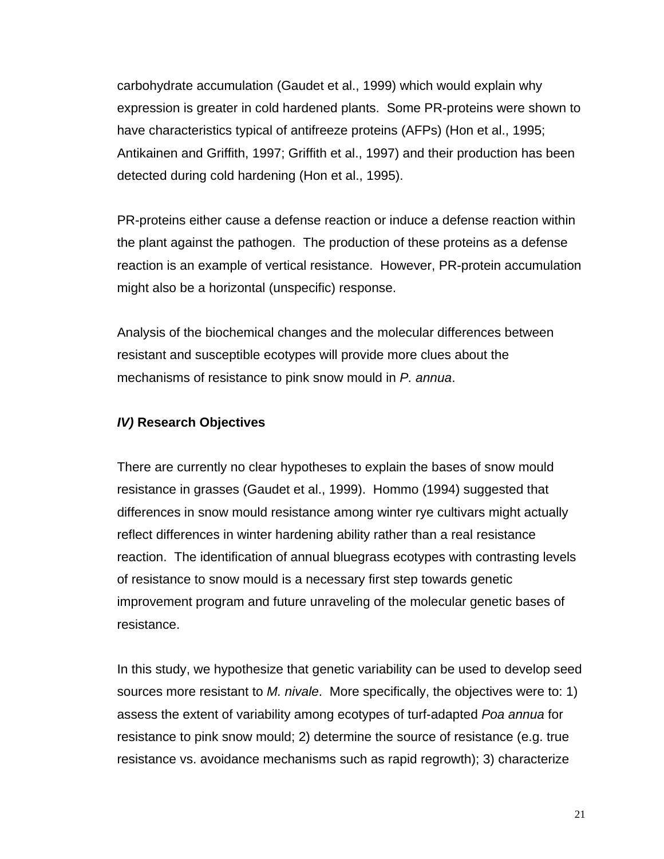carbohydrate accumulation (Gaudet et al., 1999) which would explain why expression is greater in cold hardened plants. Some PR-proteins were shown to have characteristics typical of antifreeze proteins (AFPs) (Hon et al., 1995; Antikainen and Griffith, 1997; Griffith et al., 1997) and their production has been detected during cold hardening (Hon et al., 1995).

PR-proteins either cause a defense reaction or induce a defense reaction within the plant against the pathogen. The production of these proteins as a defense reaction is an example of vertical resistance. However, PR-protein accumulation might also be a horizontal (unspecific) response.

Analysis of the biochemical changes and the molecular differences between resistant and susceptible ecotypes will provide more clues about the mechanisms of resistance to pink snow mould in *P. annua*.

### *IV)* **Research Objectives**

There are currently no clear hypotheses to explain the bases of snow mould resistance in grasses (Gaudet et al., 1999). Hommo (1994) suggested that differences in snow mould resistance among winter rye cultivars might actually reflect differences in winter hardening ability rather than a real resistance reaction. The identification of annual bluegrass ecotypes with contrasting levels of resistance to snow mould is a necessary first step towards genetic improvement program and future unraveling of the molecular genetic bases of resistance.

In this study, we hypothesize that genetic variability can be used to develop seed sources more resistant to *M. nivale*. More specifically, the objectives were to: 1) assess the extent of variability among ecotypes of turf-adapted *Poa annua* for resistance to pink snow mould; 2) determine the source of resistance (e.g. true resistance vs. avoidance mechanisms such as rapid regrowth); 3) characterize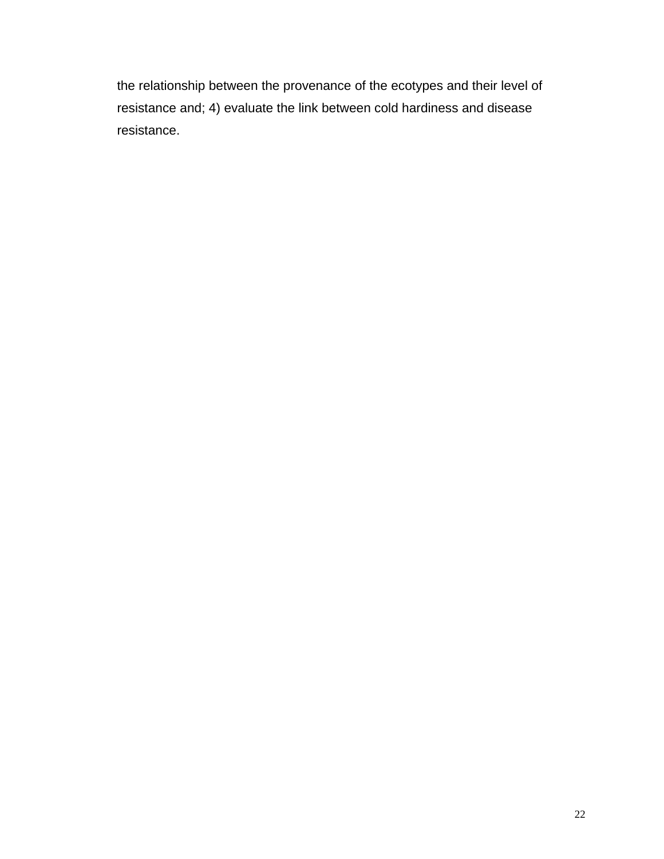the relationship between the provenance of the ecotypes and their level of resistance and; 4) evaluate the link between cold hardiness and disease resistance.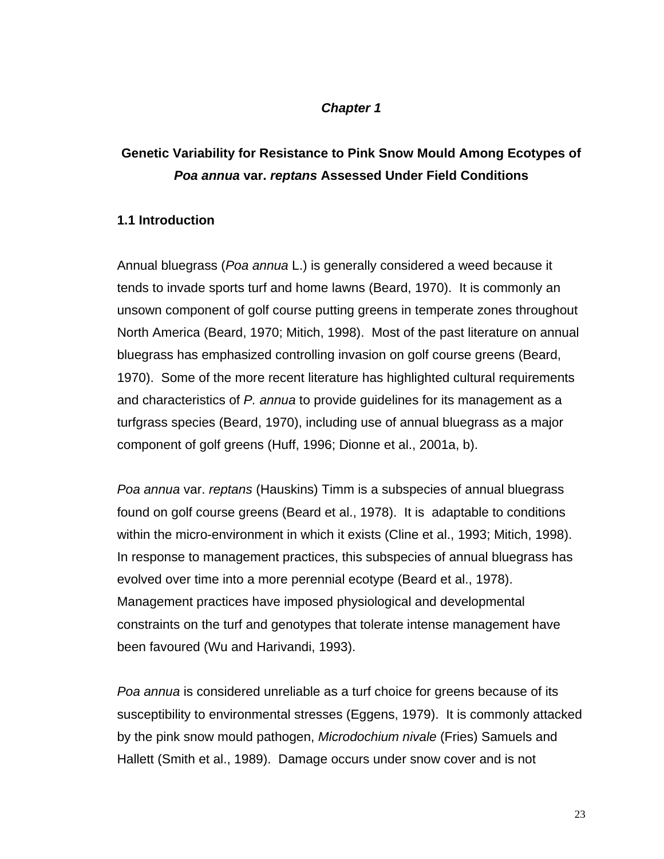### *Chapter 1*

# **Genetic Variability for Resistance to Pink Snow Mould Among Ecotypes of** *Poa annua* **var.** *reptans* **Assessed Under Field Conditions**

### **1.1 Introduction**

Annual bluegrass (*Poa annua* L.) is generally considered a weed because it tends to invade sports turf and home lawns (Beard, 1970). It is commonly an unsown component of golf course putting greens in temperate zones throughout North America (Beard, 1970; Mitich, 1998). Most of the past literature on annual bluegrass has emphasized controlling invasion on golf course greens (Beard, 1970). Some of the more recent literature has highlighted cultural requirements and characteristics of *P. annua* to provide guidelines for its management as a turfgrass species (Beard, 1970), including use of annual bluegrass as a major component of golf greens (Huff, 1996; Dionne et al., 2001a, b).

*Poa annua* var. *reptans* (Hauskins) Timm is a subspecies of annual bluegrass found on golf course greens (Beard et al., 1978). It is adaptable to conditions within the micro-environment in which it exists (Cline et al., 1993; Mitich, 1998). In response to management practices, this subspecies of annual bluegrass has evolved over time into a more perennial ecotype (Beard et al., 1978). Management practices have imposed physiological and developmental constraints on the turf and genotypes that tolerate intense management have been favoured (Wu and Harivandi, 1993).

*Poa annua* is considered unreliable as a turf choice for greens because of its susceptibility to environmental stresses (Eggens, 1979). It is commonly attacked by the pink snow mould pathogen, *Microdochium nivale* (Fries) Samuels and Hallett (Smith et al., 1989). Damage occurs under snow cover and is not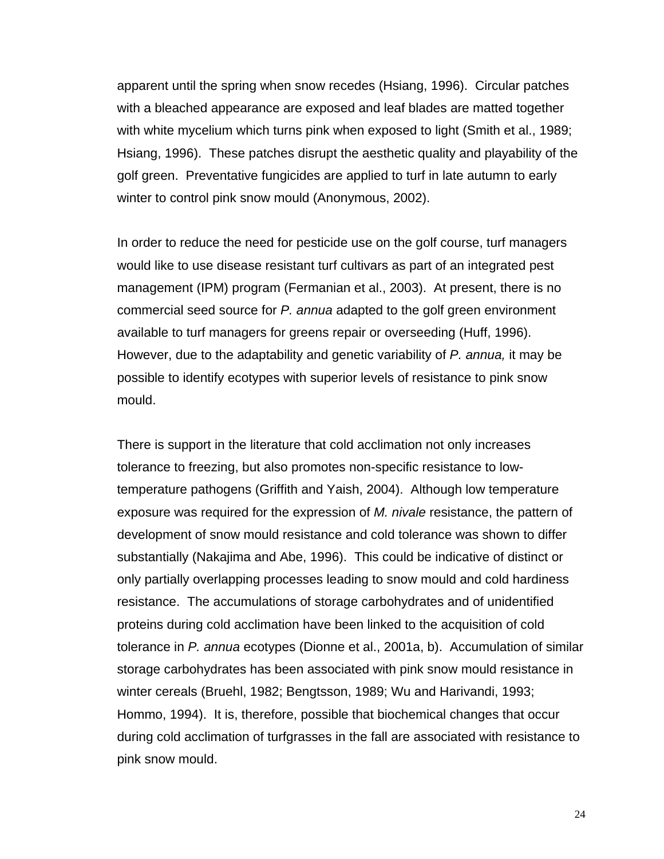apparent until the spring when snow recedes (Hsiang, 1996). Circular patches with a bleached appearance are exposed and leaf blades are matted together with white mycelium which turns pink when exposed to light (Smith et al., 1989; Hsiang, 1996). These patches disrupt the aesthetic quality and playability of the golf green. Preventative fungicides are applied to turf in late autumn to early winter to control pink snow mould (Anonymous, 2002).

In order to reduce the need for pesticide use on the golf course, turf managers would like to use disease resistant turf cultivars as part of an integrated pest management (IPM) program (Fermanian et al., 2003). At present, there is no commercial seed source for *P. annua* adapted to the golf green environment available to turf managers for greens repair or overseeding (Huff, 1996). However, due to the adaptability and genetic variability of *P. annua,* it may be possible to identify ecotypes with superior levels of resistance to pink snow mould.

There is support in the literature that cold acclimation not only increases tolerance to freezing, but also promotes non-specific resistance to lowtemperature pathogens (Griffith and Yaish, 2004). Although low temperature exposure was required for the expression of *M. nivale* resistance, the pattern of development of snow mould resistance and cold tolerance was shown to differ substantially (Nakajima and Abe, 1996). This could be indicative of distinct or only partially overlapping processes leading to snow mould and cold hardiness resistance. The accumulations of storage carbohydrates and of unidentified proteins during cold acclimation have been linked to the acquisition of cold tolerance in *P. annua* ecotypes (Dionne et al., 2001a, b). Accumulation of similar storage carbohydrates has been associated with pink snow mould resistance in winter cereals (Bruehl, 1982; Bengtsson, 1989; Wu and Harivandi, 1993; Hommo, 1994). It is, therefore, possible that biochemical changes that occur during cold acclimation of turfgrasses in the fall are associated with resistance to pink snow mould.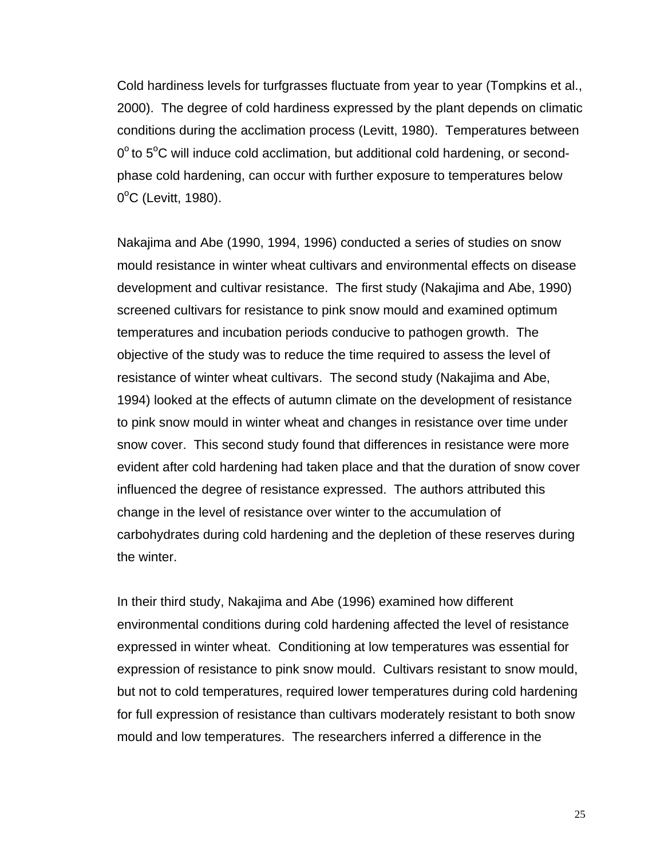Cold hardiness levels for turfgrasses fluctuate from year to year (Tompkins et al., 2000). The degree of cold hardiness expressed by the plant depends on climatic conditions during the acclimation process (Levitt, 1980). Temperatures between  $0^{\circ}$  to  $5^{\circ}$ C will induce cold acclimation, but additional cold hardening, or secondphase cold hardening, can occur with further exposure to temperatures below 0°C (Levitt, 1980).

Nakajima and Abe (1990, 1994, 1996) conducted a series of studies on snow mould resistance in winter wheat cultivars and environmental effects on disease development and cultivar resistance. The first study (Nakajima and Abe, 1990) screened cultivars for resistance to pink snow mould and examined optimum temperatures and incubation periods conducive to pathogen growth. The objective of the study was to reduce the time required to assess the level of resistance of winter wheat cultivars. The second study (Nakajima and Abe, 1994) looked at the effects of autumn climate on the development of resistance to pink snow mould in winter wheat and changes in resistance over time under snow cover. This second study found that differences in resistance were more evident after cold hardening had taken place and that the duration of snow cover influenced the degree of resistance expressed. The authors attributed this change in the level of resistance over winter to the accumulation of carbohydrates during cold hardening and the depletion of these reserves during the winter.

In their third study, Nakajima and Abe (1996) examined how different environmental conditions during cold hardening affected the level of resistance expressed in winter wheat. Conditioning at low temperatures was essential for expression of resistance to pink snow mould. Cultivars resistant to snow mould, but not to cold temperatures, required lower temperatures during cold hardening for full expression of resistance than cultivars moderately resistant to both snow mould and low temperatures. The researchers inferred a difference in the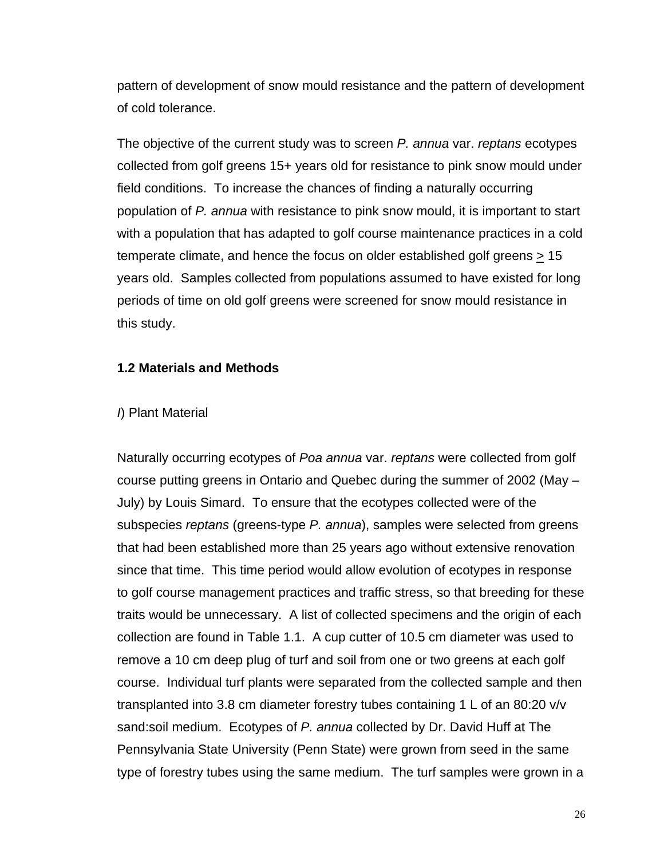pattern of development of snow mould resistance and the pattern of development of cold tolerance.

The objective of the current study was to screen *P. annua* var. *reptans* ecotypes collected from golf greens 15+ years old for resistance to pink snow mould under field conditions. To increase the chances of finding a naturally occurring population of *P. annua* with resistance to pink snow mould, it is important to start with a population that has adapted to golf course maintenance practices in a cold temperate climate, and hence the focus on older established golf greens  $\geq 15$ years old. Samples collected from populations assumed to have existed for long periods of time on old golf greens were screened for snow mould resistance in this study.

### **1.2 Materials and Methods**

#### *I*) Plant Material

Naturally occurring ecotypes of *Poa annua* var. *reptans* were collected from golf course putting greens in Ontario and Quebec during the summer of 2002 (May – July) by Louis Simard. To ensure that the ecotypes collected were of the subspecies *reptans* (greens-type *P. annua*), samples were selected from greens that had been established more than 25 years ago without extensive renovation since that time. This time period would allow evolution of ecotypes in response to golf course management practices and traffic stress, so that breeding for these traits would be unnecessary. A list of collected specimens and the origin of each collection are found in Table 1.1. A cup cutter of 10.5 cm diameter was used to remove a 10 cm deep plug of turf and soil from one or two greens at each golf course. Individual turf plants were separated from the collected sample and then transplanted into 3.8 cm diameter forestry tubes containing 1 L of an 80:20 v/v sand:soil medium. Ecotypes of *P. annua* collected by Dr. David Huff at The Pennsylvania State University (Penn State) were grown from seed in the same type of forestry tubes using the same medium. The turf samples were grown in a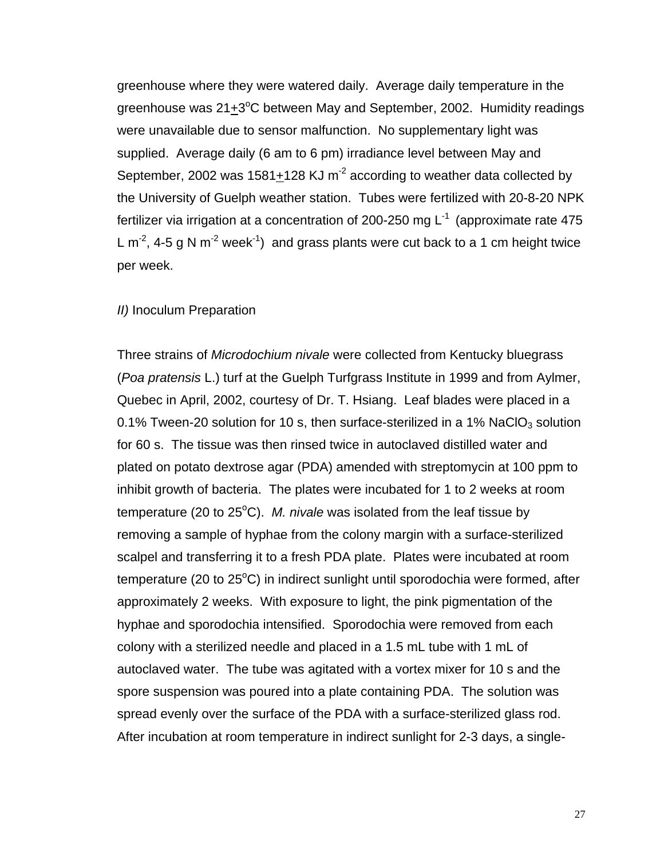greenhouse where they were watered daily. Average daily temperature in the greenhouse was 21<sup>+3°</sup>C between May and September, 2002. Humidity readings were unavailable due to sensor malfunction. No supplementary light was supplied. Average daily (6 am to 6 pm) irradiance level between May and September, 2002 was 1581+128 KJ  $m<sup>-2</sup>$  according to weather data collected by the University of Guelph weather station. Tubes were fertilized with 20-8-20 NPK fertilizer via irrigation at a concentration of 200-250 mg  $L^{-1}$  (approximate rate 475 L  $m^{-2}$ , 4-5 g N  $m^{-2}$  week<sup>-1</sup>) and grass plants were cut back to a 1 cm height twice per week.

#### *II)* Inoculum Preparation

Three strains of *Microdochium nivale* were collected from Kentucky bluegrass (*Poa pratensis* L.) turf at the Guelph Turfgrass Institute in 1999 and from Aylmer, Quebec in April, 2002, courtesy of Dr. T. Hsiang. Leaf blades were placed in a 0.1% Tween-20 solution for 10 s, then surface-sterilized in a 1% NaClO<sub>3</sub> solution for 60 s. The tissue was then rinsed twice in autoclaved distilled water and plated on potato dextrose agar (PDA) amended with streptomycin at 100 ppm to inhibit growth of bacteria. The plates were incubated for 1 to 2 weeks at room temperature (20 to 25<sup>o</sup>C). M. nivale was isolated from the leaf tissue by removing a sample of hyphae from the colony margin with a surface-sterilized scalpel and transferring it to a fresh PDA plate. Plates were incubated at room temperature (20 to 25<sup>o</sup>C) in indirect sunlight until sporodochia were formed, after approximately 2 weeks. With exposure to light, the pink pigmentation of the hyphae and sporodochia intensified. Sporodochia were removed from each colony with a sterilized needle and placed in a 1.5 mL tube with 1 mL of autoclaved water. The tube was agitated with a vortex mixer for 10 s and the spore suspension was poured into a plate containing PDA. The solution was spread evenly over the surface of the PDA with a surface-sterilized glass rod. After incubation at room temperature in indirect sunlight for 2-3 days, a single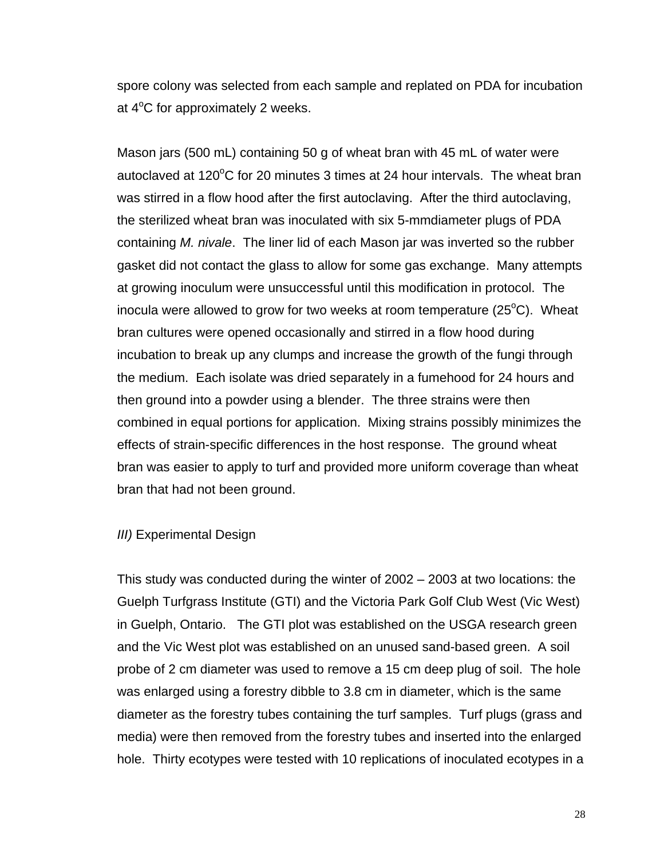spore colony was selected from each sample and replated on PDA for incubation at  $4^{\circ}$ C for approximately 2 weeks.

Mason jars (500 mL) containing 50 g of wheat bran with 45 mL of water were autoclaved at 120°C for 20 minutes 3 times at 24 hour intervals. The wheat bran was stirred in a flow hood after the first autoclaving. After the third autoclaving, the sterilized wheat bran was inoculated with six 5-mmdiameter plugs of PDA containing *M. nivale*. The liner lid of each Mason jar was inverted so the rubber gasket did not contact the glass to allow for some gas exchange. Many attempts at growing inoculum were unsuccessful until this modification in protocol. The inocula were allowed to grow for two weeks at room temperature (25 $\rm ^{o}C$ ). Wheat bran cultures were opened occasionally and stirred in a flow hood during incubation to break up any clumps and increase the growth of the fungi through the medium. Each isolate was dried separately in a fumehood for 24 hours and then ground into a powder using a blender. The three strains were then combined in equal portions for application. Mixing strains possibly minimizes the effects of strain-specific differences in the host response. The ground wheat bran was easier to apply to turf and provided more uniform coverage than wheat bran that had not been ground.

#### *III)* Experimental Design

This study was conducted during the winter of 2002 – 2003 at two locations: the Guelph Turfgrass Institute (GTI) and the Victoria Park Golf Club West (Vic West) in Guelph, Ontario. The GTI plot was established on the USGA research green and the Vic West plot was established on an unused sand-based green. A soil probe of 2 cm diameter was used to remove a 15 cm deep plug of soil. The hole was enlarged using a forestry dibble to 3.8 cm in diameter, which is the same diameter as the forestry tubes containing the turf samples. Turf plugs (grass and media) were then removed from the forestry tubes and inserted into the enlarged hole. Thirty ecotypes were tested with 10 replications of inoculated ecotypes in a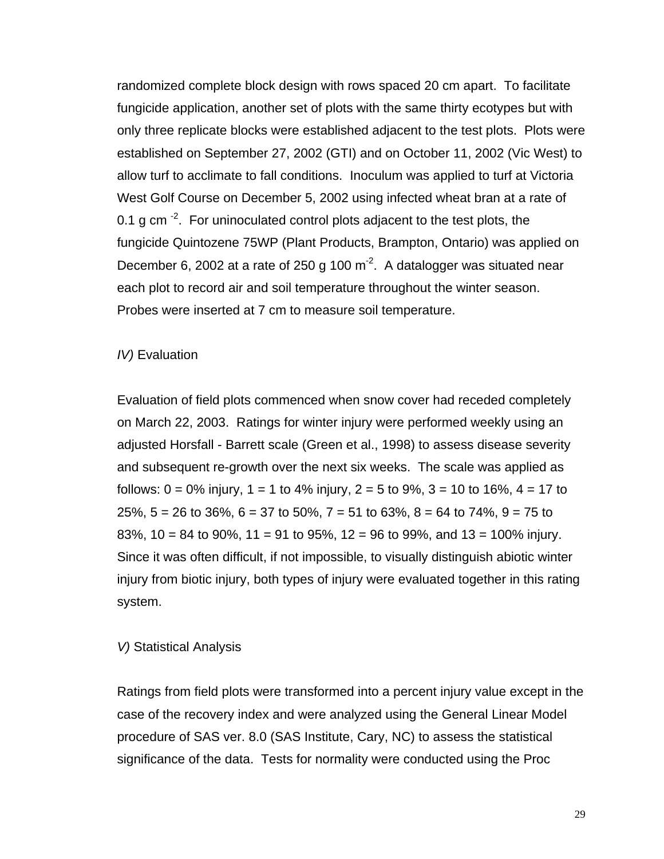randomized complete block design with rows spaced 20 cm apart. To facilitate fungicide application, another set of plots with the same thirty ecotypes but with only three replicate blocks were established adjacent to the test plots. Plots were established on September 27, 2002 (GTI) and on October 11, 2002 (Vic West) to allow turf to acclimate to fall conditions. Inoculum was applied to turf at Victoria West Golf Course on December 5, 2002 using infected wheat bran at a rate of 0.1 g cm  $^{-2}$ . For uninoculated control plots adjacent to the test plots, the fungicide Quintozene 75WP (Plant Products, Brampton, Ontario) was applied on December 6, 2002 at a rate of 250 g 100  $\text{m}^2$ . A datalogger was situated near each plot to record air and soil temperature throughout the winter season. Probes were inserted at 7 cm to measure soil temperature.

#### *IV*) Evaluation

Evaluation of field plots commenced when snow cover had receded completely on March 22, 2003. Ratings for winter injury were performed weekly using an adjusted Horsfall - Barrett scale (Green et al., 1998) to assess disease severity and subsequent re-growth over the next six weeks. The scale was applied as follows: 0 = 0% injury, 1 = 1 to 4% injury, 2 = 5 to 9%, 3 = 10 to 16%, 4 = 17 to 25%,  $5 = 26$  to 36%,  $6 = 37$  to 50%,  $7 = 51$  to 63%,  $8 = 64$  to 74%,  $9 = 75$  to 83%, 10 = 84 to 90%, 11 = 91 to 95%, 12 = 96 to 99%, and 13 = 100% injury. Since it was often difficult, if not impossible, to visually distinguish abiotic winter injury from biotic injury, both types of injury were evaluated together in this rating system.

#### *V)* Statistical Analysis

Ratings from field plots were transformed into a percent injury value except in the case of the recovery index and were analyzed using the General Linear Model procedure of SAS ver. 8.0 (SAS Institute, Cary, NC) to assess the statistical significance of the data. Tests for normality were conducted using the Proc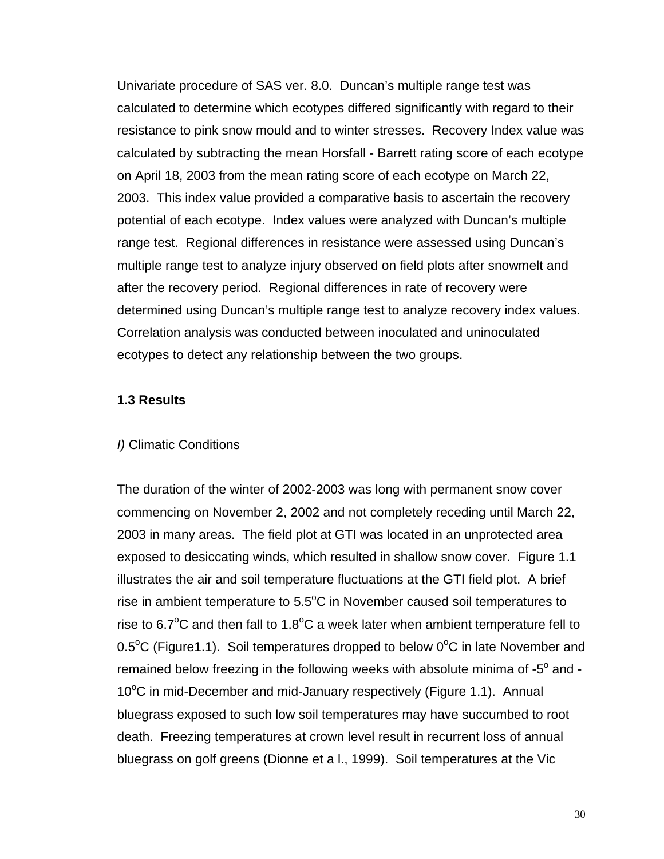Univariate procedure of SAS ver. 8.0. Duncan's multiple range test was calculated to determine which ecotypes differed significantly with regard to their resistance to pink snow mould and to winter stresses. Recovery Index value was calculated by subtracting the mean Horsfall - Barrett rating score of each ecotype on April 18, 2003 from the mean rating score of each ecotype on March 22, 2003. This index value provided a comparative basis to ascertain the recovery potential of each ecotype. Index values were analyzed with Duncan's multiple range test. Regional differences in resistance were assessed using Duncan's multiple range test to analyze injury observed on field plots after snowmelt and after the recovery period. Regional differences in rate of recovery were determined using Duncan's multiple range test to analyze recovery index values. Correlation analysis was conducted between inoculated and uninoculated ecotypes to detect any relationship between the two groups.

#### **1.3 Results**

#### *I)* Climatic Conditions

The duration of the winter of 2002-2003 was long with permanent snow cover commencing on November 2, 2002 and not completely receding until March 22, 2003 in many areas. The field plot at GTI was located in an unprotected area exposed to desiccating winds, which resulted in shallow snow cover. Figure 1.1 illustrates the air and soil temperature fluctuations at the GTI field plot. A brief rise in ambient temperature to  $5.5^{\circ}$ C in November caused soil temperatures to rise to 6.7 $\mathrm{^{\circ}C}$  and then fall to 1.8 $\mathrm{^{\circ}C}$  a week later when ambient temperature fell to  $0.5^{\circ}$ C (Figure1.1). Soil temperatures dropped to below  $0^{\circ}$ C in late November and remained below freezing in the following weeks with absolute minima of -5 $^{\circ}$  and -10°C in mid-December and mid-January respectively (Figure 1.1). Annual bluegrass exposed to such low soil temperatures may have succumbed to root death. Freezing temperatures at crown level result in recurrent loss of annual bluegrass on golf greens (Dionne et a l., 1999). Soil temperatures at the Vic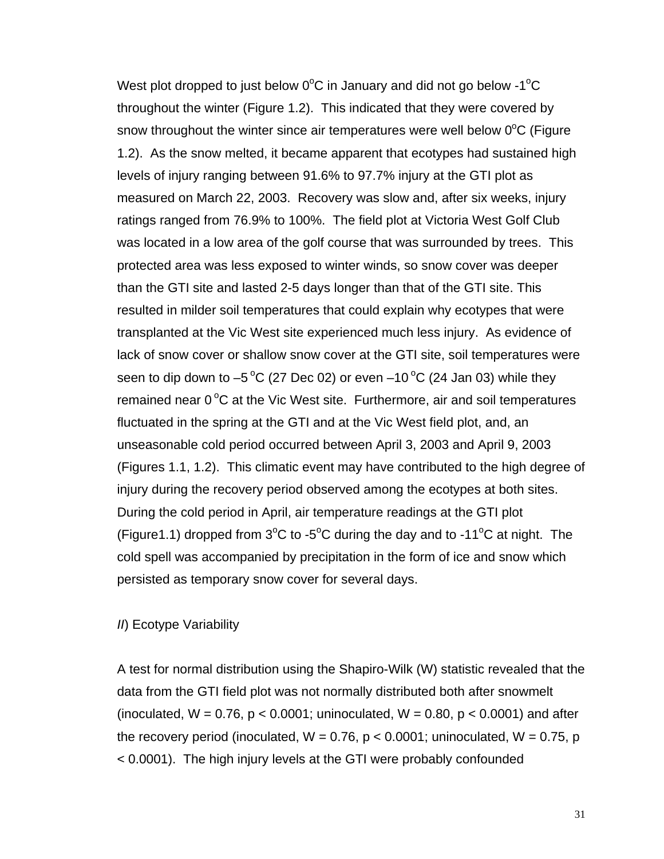West plot dropped to just below  $0^{\circ}$ C in January and did not go below -1 $^{\circ}$ C throughout the winter (Figure 1.2). This indicated that they were covered by snow throughout the winter since air temperatures were well below  $0^{\circ}$ C (Figure 1.2). As the snow melted, it became apparent that ecotypes had sustained high levels of injury ranging between 91.6% to 97.7% injury at the GTI plot as measured on March 22, 2003. Recovery was slow and, after six weeks, injury ratings ranged from 76.9% to 100%. The field plot at Victoria West Golf Club was located in a low area of the golf course that was surrounded by trees. This protected area was less exposed to winter winds, so snow cover was deeper than the GTI site and lasted 2-5 days longer than that of the GTI site. This resulted in milder soil temperatures that could explain why ecotypes that were transplanted at the Vic West site experienced much less injury. As evidence of lack of snow cover or shallow snow cover at the GTI site, soil temperatures were seen to dip down to  $-5^{\circ}$ C (27 Dec 02) or even  $-10^{\circ}$ C (24 Jan 03) while they remained near  $0^{\circ}$ C at the Vic West site. Furthermore, air and soil temperatures fluctuated in the spring at the GTI and at the Vic West field plot, and, an unseasonable cold period occurred between April 3, 2003 and April 9, 2003 (Figures 1.1, 1.2). This climatic event may have contributed to the high degree of injury during the recovery period observed among the ecotypes at both sites. During the cold period in April, air temperature readings at the GTI plot (Figure1.1) dropped from  $3^{\circ}$ C to -5 $^{\circ}$ C during the day and to -11 $^{\circ}$ C at night. The cold spell was accompanied by precipitation in the form of ice and snow which persisted as temporary snow cover for several days.

#### *II*) Ecotype Variability

A test for normal distribution using the Shapiro-Wilk (W) statistic revealed that the data from the GTI field plot was not normally distributed both after snowmelt (inoculated,  $W = 0.76$ ,  $p < 0.0001$ ; uninoculated,  $W = 0.80$ ,  $p < 0.0001$ ) and after the recovery period (inoculated,  $W = 0.76$ ,  $p < 0.0001$ ; uninoculated,  $W = 0.75$ , p < 0.0001). The high injury levels at the GTI were probably confounded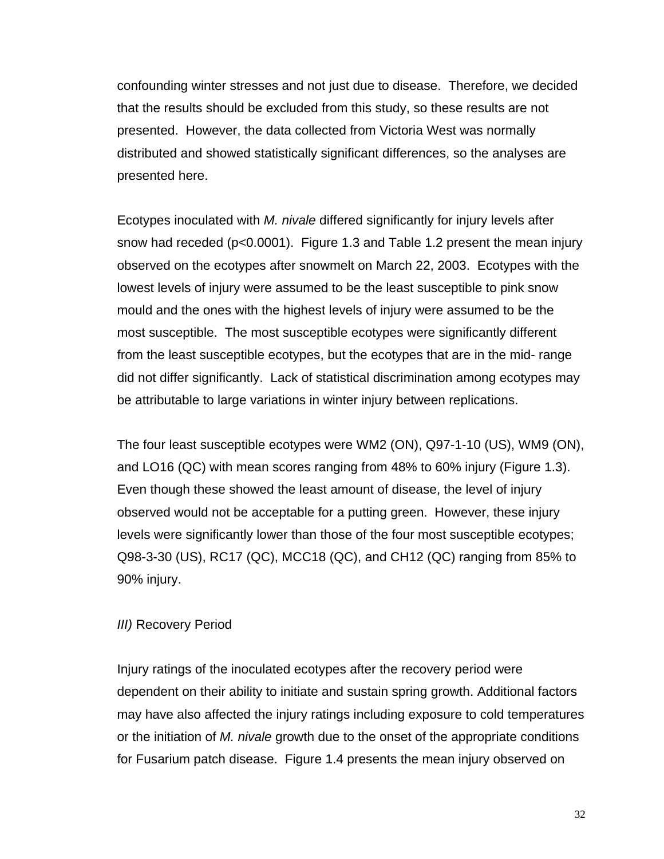confounding winter stresses and not just due to disease. Therefore, we decided that the results should be excluded from this study, so these results are not presented. However, the data collected from Victoria West was normally distributed and showed statistically significant differences, so the analyses are presented here.

Ecotypes inoculated with *M. nivale* differed significantly for injury levels after snow had receded (p<0.0001). Figure 1.3 and Table 1.2 present the mean injury observed on the ecotypes after snowmelt on March 22, 2003. Ecotypes with the lowest levels of injury were assumed to be the least susceptible to pink snow mould and the ones with the highest levels of injury were assumed to be the most susceptible. The most susceptible ecotypes were significantly different from the least susceptible ecotypes, but the ecotypes that are in the mid- range did not differ significantly. Lack of statistical discrimination among ecotypes may be attributable to large variations in winter injury between replications.

The four least susceptible ecotypes were WM2 (ON), Q97-1-10 (US), WM9 (ON), and LO16 (QC) with mean scores ranging from 48% to 60% injury (Figure 1.3). Even though these showed the least amount of disease, the level of injury observed would not be acceptable for a putting green. However, these injury levels were significantly lower than those of the four most susceptible ecotypes; Q98-3-30 (US), RC17 (QC), MCC18 (QC), and CH12 (QC) ranging from 85% to 90% injury.

#### *III)* Recovery Period

Injury ratings of the inoculated ecotypes after the recovery period were dependent on their ability to initiate and sustain spring growth. Additional factors may have also affected the injury ratings including exposure to cold temperatures or the initiation of *M. nivale* growth due to the onset of the appropriate conditions for Fusarium patch disease. Figure 1.4 presents the mean injury observed on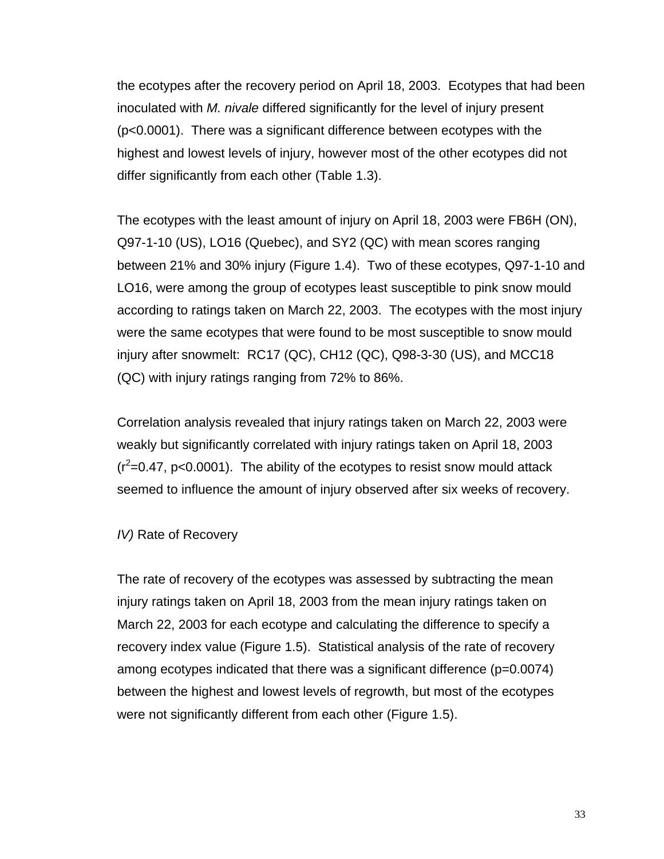the ecotypes after the recovery period on April 18, 2003. Ecotypes that had been inoculated with *M. nivale* differed significantly for the level of injury present (p<0.0001). There was a significant difference between ecotypes with the highest and lowest levels of injury, however most of the other ecotypes did not differ significantly from each other (Table 1.3).

The ecotypes with the least amount of injury on April 18, 2003 were FB6H (ON), Q97-1-10 (US), LO16 (Quebec), and SY2 (QC) with mean scores ranging between 21% and 30% injury (Figure 1.4). Two of these ecotypes, Q97-1-10 and LO16, were among the group of ecotypes least susceptible to pink snow mould according to ratings taken on March 22, 2003. The ecotypes with the most injury were the same ecotypes that were found to be most susceptible to snow mould injury after snowmelt: RC17 (QC), CH12 (QC), Q98-3-30 (US), and MCC18 (QC) with injury ratings ranging from 72% to 86%.

Correlation analysis revealed that injury ratings taken on March 22, 2003 were weakly but significantly correlated with injury ratings taken on April 18, 2003  $(r^2=0.47, p<0.0001)$ . The ability of the ecotypes to resist snow mould attack seemed to influence the amount of injury observed after six weeks of recovery.

#### *IV*) Rate of Recovery

The rate of recovery of the ecotypes was assessed by subtracting the mean injury ratings taken on April 18, 2003 from the mean injury ratings taken on March 22, 2003 for each ecotype and calculating the difference to specify a recovery index value (Figure 1.5). Statistical analysis of the rate of recovery among ecotypes indicated that there was a significant difference (p=0.0074) between the highest and lowest levels of regrowth, but most of the ecotypes were not significantly different from each other (Figure 1.5).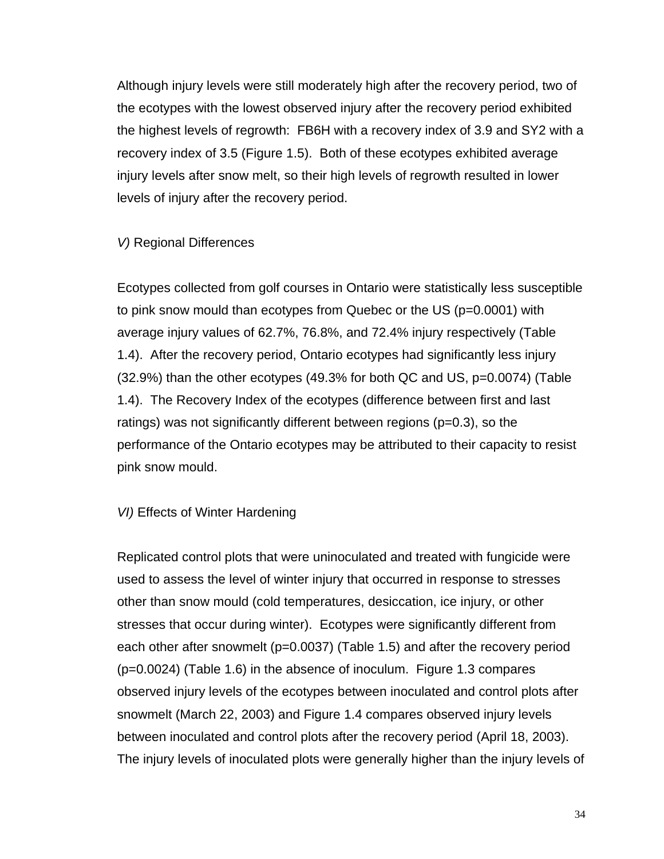Although injury levels were still moderately high after the recovery period, two of the ecotypes with the lowest observed injury after the recovery period exhibited the highest levels of regrowth: FB6H with a recovery index of 3.9 and SY2 with a recovery index of 3.5 (Figure 1.5). Both of these ecotypes exhibited average injury levels after snow melt, so their high levels of regrowth resulted in lower levels of injury after the recovery period.

#### *V)* Regional Differences

Ecotypes collected from golf courses in Ontario were statistically less susceptible to pink snow mould than ecotypes from Quebec or the US (p=0.0001) with average injury values of 62.7%, 76.8%, and 72.4% injury respectively (Table 1.4). After the recovery period, Ontario ecotypes had significantly less injury (32.9%) than the other ecotypes (49.3% for both QC and US, p=0.0074) (Table 1.4). The Recovery Index of the ecotypes (difference between first and last ratings) was not significantly different between regions (p=0.3), so the performance of the Ontario ecotypes may be attributed to their capacity to resist pink snow mould.

### *VI)* Effects of Winter Hardening

Replicated control plots that were uninoculated and treated with fungicide were used to assess the level of winter injury that occurred in response to stresses other than snow mould (cold temperatures, desiccation, ice injury, or other stresses that occur during winter). Ecotypes were significantly different from each other after snowmelt (p=0.0037) (Table 1.5) and after the recovery period (p=0.0024) (Table 1.6) in the absence of inoculum. Figure 1.3 compares observed injury levels of the ecotypes between inoculated and control plots after snowmelt (March 22, 2003) and Figure 1.4 compares observed injury levels between inoculated and control plots after the recovery period (April 18, 2003). The injury levels of inoculated plots were generally higher than the injury levels of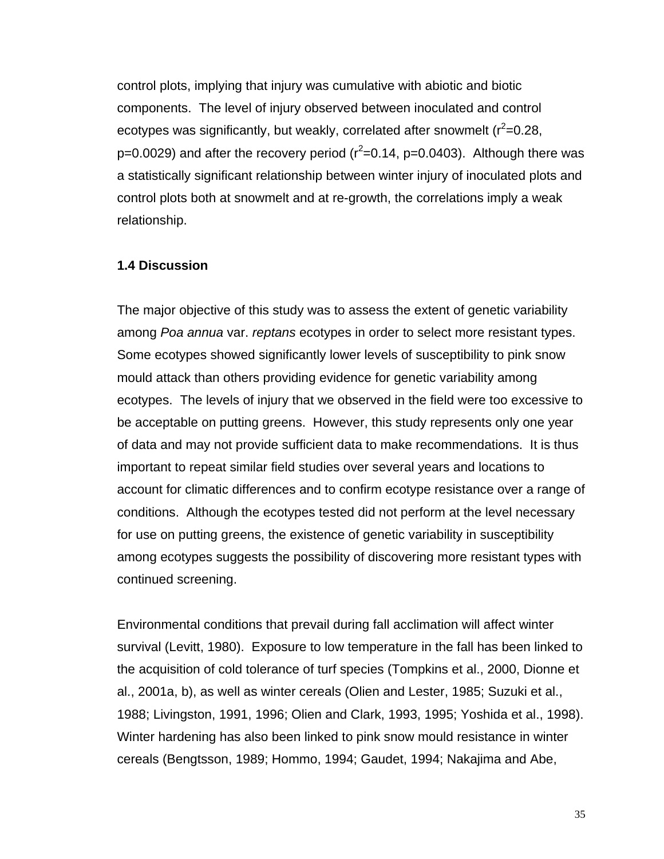control plots, implying that injury was cumulative with abiotic and biotic components. The level of injury observed between inoculated and control ecotypes was significantly, but weakly, correlated after snowmelt ( $r^2$ =0.28, p=0.0029) and after the recovery period ( $r^2$ =0.14, p=0.0403). Although there was a statistically significant relationship between winter injury of inoculated plots and control plots both at snowmelt and at re-growth, the correlations imply a weak relationship.

#### **1.4 Discussion**

The major objective of this study was to assess the extent of genetic variability among *Poa annua* var. *reptans* ecotypes in order to select more resistant types. Some ecotypes showed significantly lower levels of susceptibility to pink snow mould attack than others providing evidence for genetic variability among ecotypes. The levels of injury that we observed in the field were too excessive to be acceptable on putting greens. However, this study represents only one year of data and may not provide sufficient data to make recommendations. It is thus important to repeat similar field studies over several years and locations to account for climatic differences and to confirm ecotype resistance over a range of conditions. Although the ecotypes tested did not perform at the level necessary for use on putting greens, the existence of genetic variability in susceptibility among ecotypes suggests the possibility of discovering more resistant types with continued screening.

Environmental conditions that prevail during fall acclimation will affect winter survival (Levitt, 1980). Exposure to low temperature in the fall has been linked to the acquisition of cold tolerance of turf species (Tompkins et al., 2000, Dionne et al., 2001a, b), as well as winter cereals (Olien and Lester, 1985; Suzuki et al., 1988; Livingston, 1991, 1996; Olien and Clark, 1993, 1995; Yoshida et al., 1998). Winter hardening has also been linked to pink snow mould resistance in winter cereals (Bengtsson, 1989; Hommo, 1994; Gaudet, 1994; Nakajima and Abe,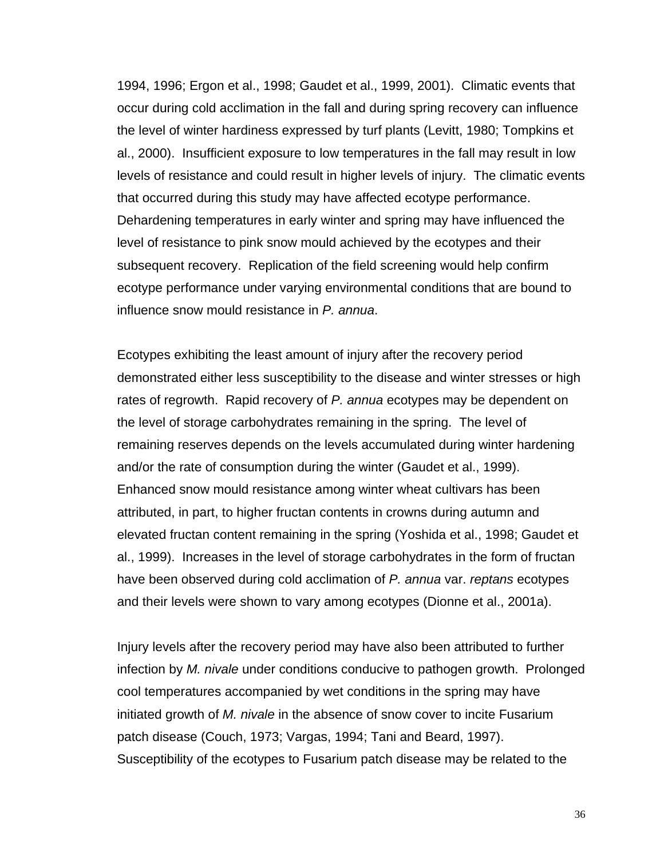1994, 1996; Ergon et al., 1998; Gaudet et al., 1999, 2001). Climatic events that occur during cold acclimation in the fall and during spring recovery can influence the level of winter hardiness expressed by turf plants (Levitt, 1980; Tompkins et al., 2000). Insufficient exposure to low temperatures in the fall may result in low levels of resistance and could result in higher levels of injury. The climatic events that occurred during this study may have affected ecotype performance. Dehardening temperatures in early winter and spring may have influenced the level of resistance to pink snow mould achieved by the ecotypes and their subsequent recovery. Replication of the field screening would help confirm ecotype performance under varying environmental conditions that are bound to influence snow mould resistance in *P. annua*.

Ecotypes exhibiting the least amount of injury after the recovery period demonstrated either less susceptibility to the disease and winter stresses or high rates of regrowth. Rapid recovery of *P. annua* ecotypes may be dependent on the level of storage carbohydrates remaining in the spring. The level of remaining reserves depends on the levels accumulated during winter hardening and/or the rate of consumption during the winter (Gaudet et al., 1999). Enhanced snow mould resistance among winter wheat cultivars has been attributed, in part, to higher fructan contents in crowns during autumn and elevated fructan content remaining in the spring (Yoshida et al., 1998; Gaudet et al., 1999). Increases in the level of storage carbohydrates in the form of fructan have been observed during cold acclimation of *P. annua* var. *reptans* ecotypes and their levels were shown to vary among ecotypes (Dionne et al., 2001a).

Injury levels after the recovery period may have also been attributed to further infection by *M. nivale* under conditions conducive to pathogen growth. Prolonged cool temperatures accompanied by wet conditions in the spring may have initiated growth of *M. nivale* in the absence of snow cover to incite Fusarium patch disease (Couch, 1973; Vargas, 1994; Tani and Beard, 1997). Susceptibility of the ecotypes to Fusarium patch disease may be related to the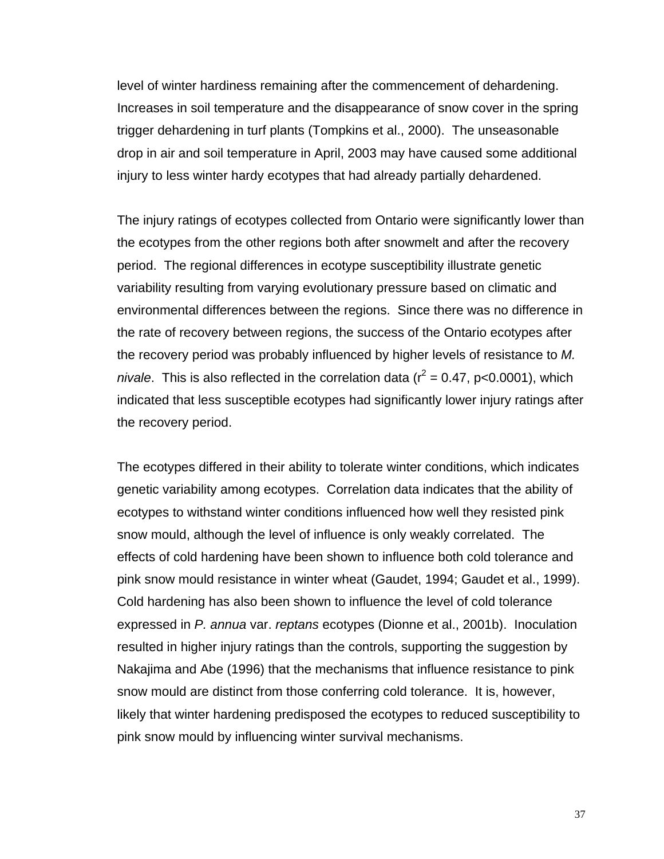level of winter hardiness remaining after the commencement of dehardening. Increases in soil temperature and the disappearance of snow cover in the spring trigger dehardening in turf plants (Tompkins et al., 2000). The unseasonable drop in air and soil temperature in April, 2003 may have caused some additional injury to less winter hardy ecotypes that had already partially dehardened.

The injury ratings of ecotypes collected from Ontario were significantly lower than the ecotypes from the other regions both after snowmelt and after the recovery period. The regional differences in ecotype susceptibility illustrate genetic variability resulting from varying evolutionary pressure based on climatic and environmental differences between the regions. Since there was no difference in the rate of recovery between regions, the success of the Ontario ecotypes after the recovery period was probably influenced by higher levels of resistance to *M. nivale*. This is also reflected in the correlation data ( $r^2 = 0.47$ , p<0.0001), which indicated that less susceptible ecotypes had significantly lower injury ratings after the recovery period.

The ecotypes differed in their ability to tolerate winter conditions, which indicates genetic variability among ecotypes. Correlation data indicates that the ability of ecotypes to withstand winter conditions influenced how well they resisted pink snow mould, although the level of influence is only weakly correlated. The effects of cold hardening have been shown to influence both cold tolerance and pink snow mould resistance in winter wheat (Gaudet, 1994; Gaudet et al., 1999). Cold hardening has also been shown to influence the level of cold tolerance expressed in *P. annua* var. *reptans* ecotypes (Dionne et al., 2001b). Inoculation resulted in higher injury ratings than the controls, supporting the suggestion by Nakajima and Abe (1996) that the mechanisms that influence resistance to pink snow mould are distinct from those conferring cold tolerance. It is, however, likely that winter hardening predisposed the ecotypes to reduced susceptibility to pink snow mould by influencing winter survival mechanisms.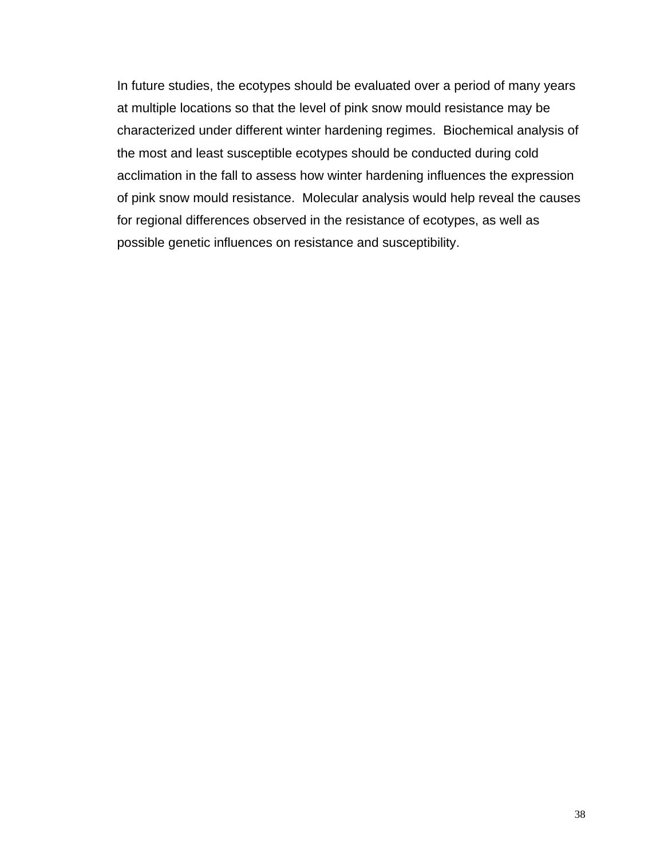In future studies, the ecotypes should be evaluated over a period of many years at multiple locations so that the level of pink snow mould resistance may be characterized under different winter hardening regimes. Biochemical analysis of the most and least susceptible ecotypes should be conducted during cold acclimation in the fall to assess how winter hardening influences the expression of pink snow mould resistance. Molecular analysis would help reveal the causes for regional differences observed in the resistance of ecotypes, as well as possible genetic influences on resistance and susceptibility.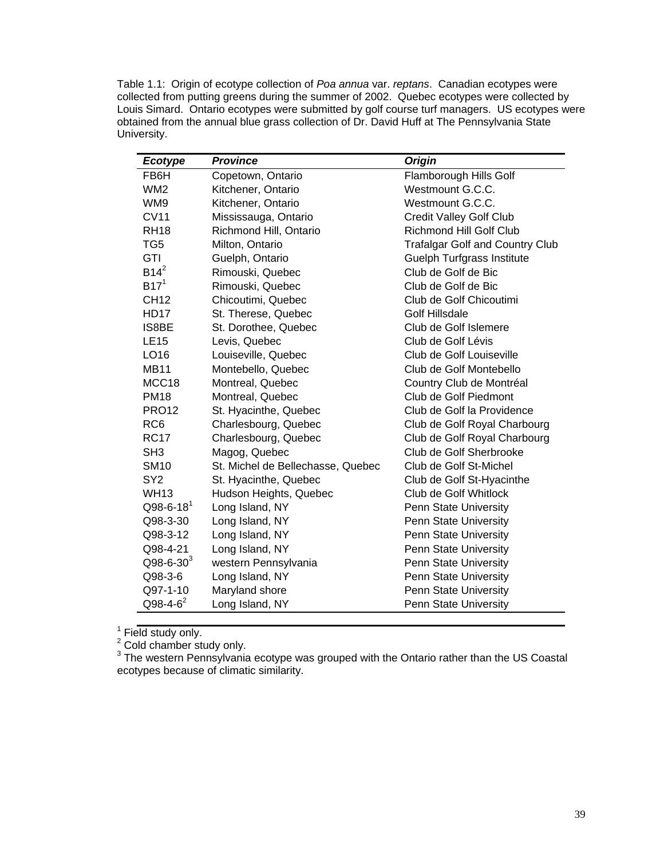Table 1.1: Origin of ecotype collection of *Poa annua* var. *reptans*. Canadian ecotypes were collected from putting greens during the summer of 2002. Quebec ecotypes were collected by Louis Simard. Ontario ecotypes were submitted by golf course turf managers. US ecotypes were obtained from the annual blue grass collection of Dr. David Huff at The Pennsylvania State University.

| <b>Ecotype</b>    | <b>Province</b>                   | <b>Origin</b>                          |
|-------------------|-----------------------------------|----------------------------------------|
| FB6H              | Copetown, Ontario                 | Flamborough Hills Golf                 |
| WM <sub>2</sub>   | Kitchener, Ontario                | Westmount G.C.C.                       |
| WM9               | Kitchener, Ontario                | Westmount G.C.C.                       |
| <b>CV11</b>       | Mississauga, Ontario              | <b>Credit Valley Golf Club</b>         |
| <b>RH18</b>       | Richmond Hill, Ontario            | <b>Richmond Hill Golf Club</b>         |
| TG <sub>5</sub>   | Milton, Ontario                   | <b>Trafalgar Golf and Country Club</b> |
| <b>GTI</b>        | Guelph, Ontario                   | <b>Guelph Turfgrass Institute</b>      |
| $B14^2$           | Rimouski, Quebec                  | Club de Golf de Bic                    |
| B17 <sup>1</sup>  | Rimouski, Quebec                  | Club de Golf de Bic                    |
| <b>CH12</b>       | Chicoutimi, Quebec                | Club de Golf Chicoutimi                |
| <b>HD17</b>       | St. Therese, Quebec               | Golf Hillsdale                         |
| IS8BE             | St. Dorothee, Quebec              | Club de Golf Islemere                  |
| <b>LE15</b>       | Levis, Quebec                     | Club de Golf Lévis                     |
| LO16              | Louiseville, Quebec               | Club de Golf Louiseville               |
| <b>MB11</b>       | Montebello, Quebec                | Club de Golf Montebello                |
| MCC <sub>18</sub> | Montreal, Quebec                  | Country Club de Montréal               |
| <b>PM18</b>       | Montreal, Quebec                  | Club de Golf Piedmont                  |
| <b>PRO12</b>      | St. Hyacinthe, Quebec             | Club de Golf la Providence             |
| RC <sub>6</sub>   | Charlesbourg, Quebec              | Club de Golf Royal Charbourg           |
| <b>RC17</b>       | Charlesbourg, Quebec              | Club de Golf Royal Charbourg           |
| SH <sub>3</sub>   | Magog, Quebec                     | Club de Golf Sherbrooke                |
| <b>SM10</b>       | St. Michel de Bellechasse, Quebec | Club de Golf St-Michel                 |
| SY <sub>2</sub>   | St. Hyacinthe, Quebec             | Club de Golf St-Hyacinthe              |
| <b>WH13</b>       | Hudson Heights, Quebec            | Club de Golf Whitlock                  |
| $Q98-6-18^1$      | Long Island, NY                   | Penn State University                  |
| Q98-3-30          | Long Island, NY                   | Penn State University                  |
| Q98-3-12          | Long Island, NY                   | Penn State University                  |
| Q98-4-21          | Long Island, NY                   | Penn State University                  |
| $Q98 - 6 - 30^3$  | western Pennsylvania              | Penn State University                  |
| Q98-3-6           | Long Island, NY                   | Penn State University                  |
| Q97-1-10          | Maryland shore                    | Penn State University                  |
| $Q98 - 4 - 6^2$   | Long Island, NY                   | Penn State University                  |

<sup>1</sup> Field study only.<br><sup>2</sup> Cold chamber study only.<br><sup>3</sup> The western Pennsylvania ecotype was grouped with the Ontario rather than the US Coastal ecotypes because of climatic similarity.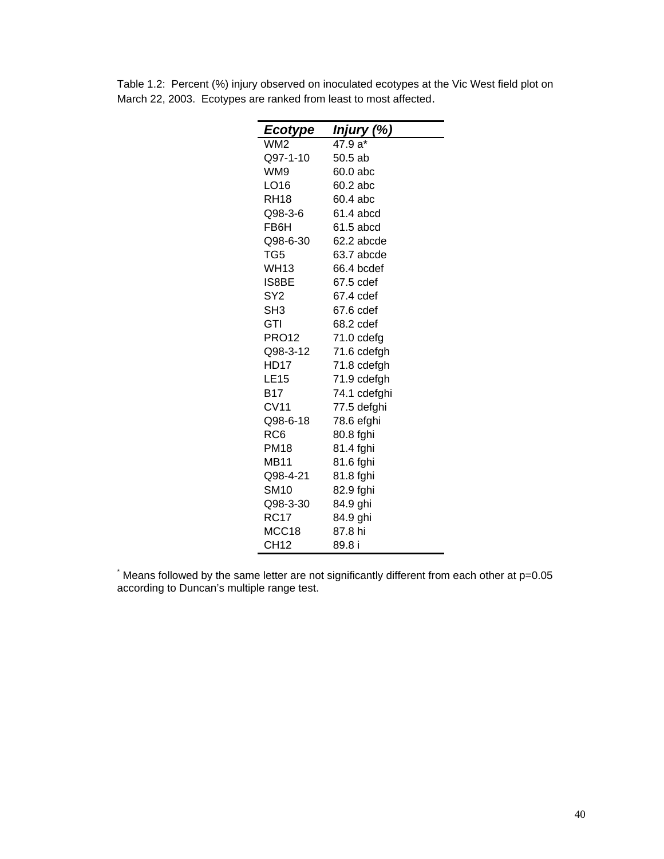| Ecotype          | Injury (%)   |
|------------------|--------------|
| WM2              | 47.9 a*      |
| Q97-1-10         | 50.5ab       |
| WM9              | 60.0 abc     |
| LO16             | 60.2 abc     |
| RH <sub>18</sub> | 60.4 abc     |
| Q98-3-6          | 61.4 abcd    |
| FB6H             | 61.5 abcd    |
| Q98-6-30         | 62.2 abcde   |
| TG5              | 63.7 abcde   |
| <b>WH13</b>      | 66.4 bcdef   |
| IS8BE            | 67.5 cdef    |
| SY <sub>2</sub>  | 67.4 cdef    |
| SH <sub>3</sub>  | 67.6 cdef    |
| GTI              | 68.2 cdef    |
| PRO12            | $71.0$ cdefg |
| Q98-3-12         | 71.6 cdefgh  |
| <b>HD17</b>      | 71.8 cdefgh  |
| <b>LE15</b>      | 71.9 cdefgh  |
| B17              | 74.1 cdefghi |
| CV11             | 77.5 defghi  |
| Q98-6-18         | 78.6 efghi   |
| RC6              | 80.8 fghi    |
| <b>PM18</b>      | 81.4 fghi    |
| <b>MB11</b>      | 81.6 fghi    |
| Q98-4-21         | 81.8 fghi    |
| SM10             | 82.9 fghi    |
| Q98-3-30         | 84.9 ghi     |
| <b>RC17</b>      | 84.9 ghi     |
| MCC18            | 87.8 hi      |
| <b>CH12</b>      | 89.8 i       |

Table 1.2: Percent (%) injury observed on inoculated ecotypes at the Vic West field plot on March 22, 2003. Ecotypes are ranked from least to most affected.

\* Means followed by the same letter are not significantly different from each other at p=0.05 according to Duncan's multiple range test.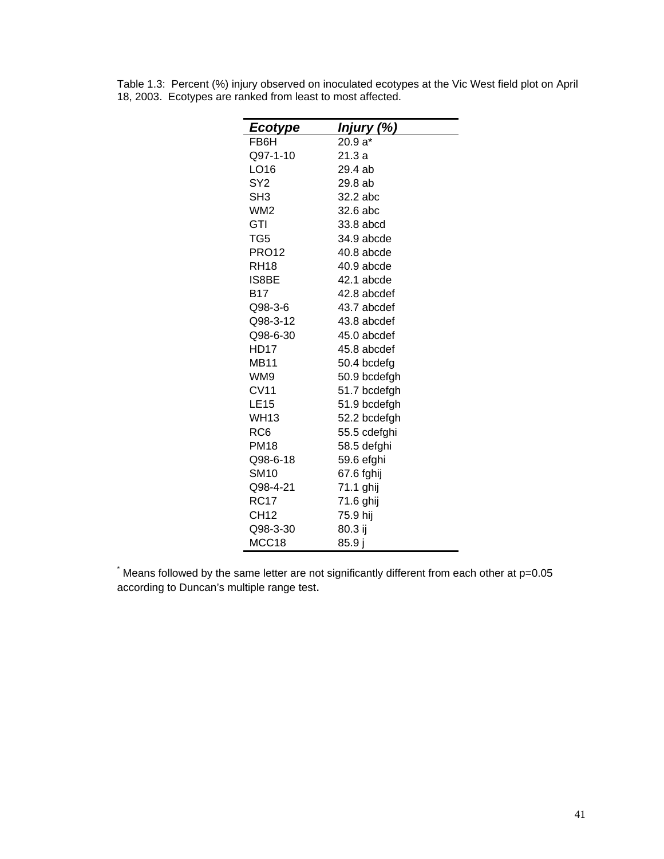| <b>Ecotype</b>   | Injury (%)   |
|------------------|--------------|
| FB6H             | 20.9 a*      |
| Q97-1-10         | 21.3 a       |
| LO16             | 29.4 ab      |
| SY <sub>2</sub>  | 29.8 ab      |
| SH <sub>3</sub>  | 32.2 abc     |
| WM2              | 32.6 abc     |
| GTI              | 33.8 abcd    |
| TG <sub>5</sub>  | 34.9 abcde   |
| <b>PRO12</b>     | 40.8 abcde   |
| <b>RH18</b>      | 40.9 abcde   |
| IS8BE            | 42.1 abcde   |
| B17              | 42.8 abcdef  |
| Q98-3-6          | 43.7 abcdef  |
| Q98-3-12         | 43.8 abcdef  |
| Q98-6-30         | 45.0 abcdef  |
| HD17             | 45.8 abcdef  |
| <b>MB11</b>      | 50.4 bcdefg  |
| WM9              | 50.9 bcdefgh |
| <b>CV11</b>      | 51.7 bcdefgh |
| <b>LE15</b>      | 51.9 bcdefgh |
| WH13             | 52.2 bcdefgh |
| RC6              | 55.5 cdefghi |
| <b>PM18</b>      | 58.5 defghi  |
| Q98-6-18         | 59.6 efghi   |
| <b>SM10</b>      | 67.6 fghij   |
| Q98-4-21         | 71.1 ghij    |
| <b>RC17</b>      | 71.6 ghij    |
| CH <sub>12</sub> | 75.9 hij     |
| Q98-3-30         | 80.3 ij      |
| MCC18            | 85.9j        |

Table 1.3: Percent (%) injury observed on inoculated ecotypes at the Vic West field plot on April 18, 2003. Ecotypes are ranked from least to most affected.

\* Means followed by the same letter are not significantly different from each other at p=0.05 according to Duncan's multiple range test.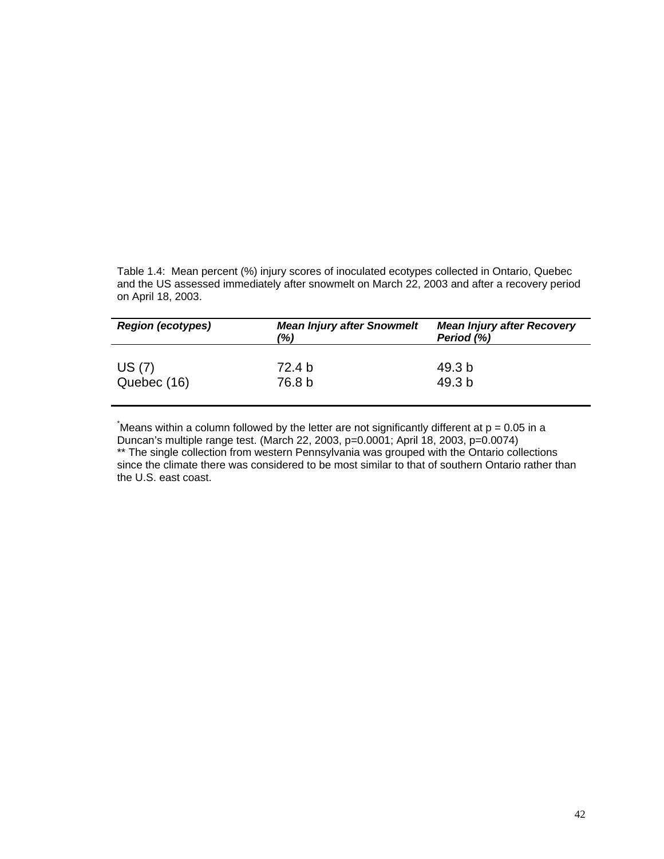Table 1.4: Mean percent (%) injury scores of inoculated ecotypes collected in Ontario, Quebec and the US assessed immediately after snowmelt on March 22, 2003 and after a recovery period on April 18, 2003.

| <b>Region (ecotypes)</b> | <b>Mean Injury after Snowmelt</b><br>(%) | <b>Mean Injury after Recovery</b><br>Period (%) |
|--------------------------|------------------------------------------|-------------------------------------------------|
| US(7)<br>Quebec (16)     | 72.4 b<br>76.8 b                         | 49.3 b<br>49.3 b                                |
|                          |                                          |                                                 |

\* Means within a column followed by the letter are not significantly different at p = 0.05 in a Duncan's multiple range test. (March 22, 2003, p=0.0001; April 18, 2003, p=0.0074) \*\* The single collection from western Pennsylvania was grouped with the Ontario collections since the climate there was considered to be most similar to that of southern Ontario rather than the U.S. east coast.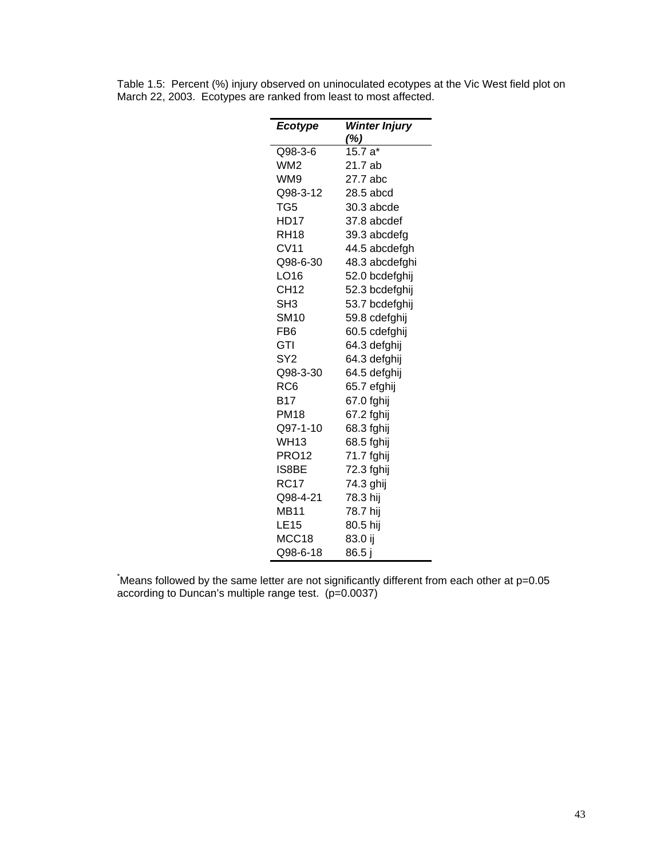| <b>Ecotype</b>  | <b>Winter Injury</b> |
|-----------------|----------------------|
|                 | $\frac{\%}{\%}$      |
| Q98-3-6         | $15.7a*$             |
| WM <sub>2</sub> | 21.7 ab              |
| WM9             | 27.7 abc             |
| Q98-3-12        | 28.5 abcd            |
| TG5             | 30.3 abcde           |
| <b>HD17</b>     | 37.8 abcdef          |
| <b>RH18</b>     | 39.3 abcdefg         |
| CV11            | 44.5 abcdefgh        |
| Q98-6-30        | 48.3 abcdefghi       |
| LO16            | 52.0 bcdefghij       |
| CH12            | 52.3 bcdefghij       |
| SH <sub>3</sub> | 53.7 bcdefghij       |
| <b>SM10</b>     | 59.8 cdefghij        |
| FB6             | 60.5 cdefghij        |
| GTI             | 64.3 defghij         |
| SY <sub>2</sub> | 64.3 defghij         |
| Q98-3-30        | 64.5 defghij         |
| RC6             | 65.7 efghij          |
| B17             | 67.0 fghij           |
| PM18            | 67.2 fghij           |
| Q97-1-10        | 68.3 fghij           |
| WH13            | 68.5 fghij           |
| <b>PRO12</b>    | 71.7 fghij           |
| IS8BE           | 72.3 fghij           |
| <b>RC17</b>     | 74.3 ghij            |
| Q98-4-21        | 78.3 hij             |
| <b>MB11</b>     | 78.7 hij             |
| <b>LE15</b>     | 80.5 hij             |
| MCC18           | 83.0 ij              |
| Q98-6-18        | 86.5 j               |

Table 1.5: Percent (%) injury observed on uninoculated ecotypes at the Vic West field plot on March 22, 2003. Ecotypes are ranked from least to most affected.

\* Means followed by the same letter are not significantly different from each other at p=0.05 according to Duncan's multiple range test. (p=0.0037)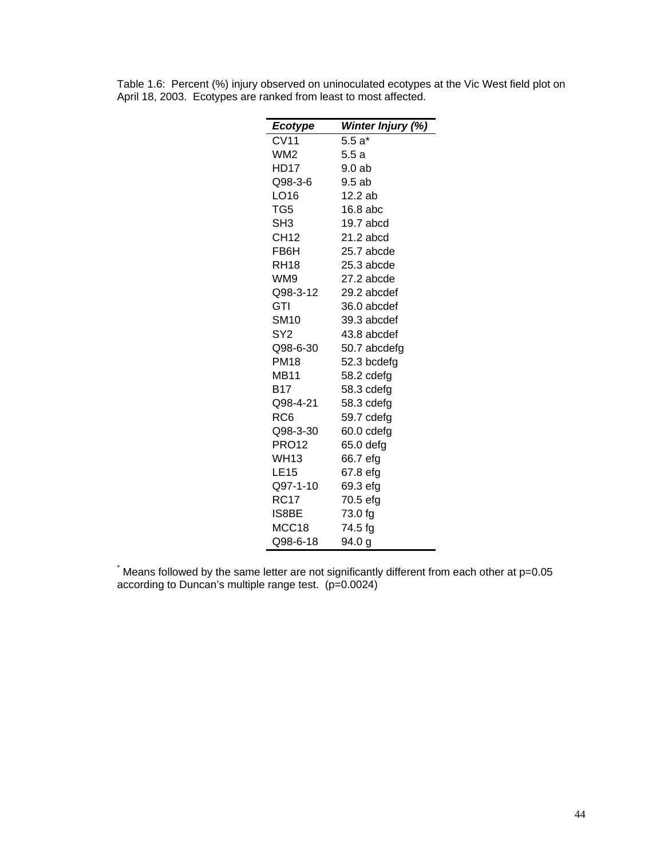| <b>Ecotype</b> | Winter Injury (%) |
|----------------|-------------------|
| <b>CV11</b>    | $5.5a*$           |
| WM2            | 5.5 a             |
| HD17           | 9.0 ab            |
| Q98-3-6        | 9.5ab             |
| LO16           | 12.2 ab           |
| TG5            | 16.8 abc          |
| SH3            | 19.7 abcd         |
| CH12           | 21.2 abcd         |
| FB6H           | 25.7 abcde        |
| RH18           | $25.3$ abcde      |
| WM9            | 27.2 abcde        |
| Q98-3-12       | 29.2 abcdef       |
| GTI            | 36.0 abcdef       |
| <b>SM10</b>    | 39.3 abcdef       |
| SY2            | 43.8 abcdef       |
| Q98-6-30       | 50.7 abcdefg      |
| <b>PM18</b>    | 52.3 bcdefg       |
| MB11           | 58.2 cdefg        |
| B17            | 58.3 cdefg        |
| Q98-4-21       | 58.3 cdefg        |
| RC6            | 59.7 cdefg        |
| Q98-3-30       | 60.0 cdefg        |
| PRO12          | 65.0 defg         |
| WH13           | 66.7 efg          |
| LE15           | 67.8 efg          |
| Q97-1-10       | 69.3 efg          |
| <b>RC17</b>    | 70.5 efg          |
| IS8BE          | 73.0 fg           |
| MCC18          | 74.5 fg           |
| Q98-6-18       | 94.0 g            |

Table 1.6: Percent (%) injury observed on uninoculated ecotypes at the Vic West field plot on April 18, 2003. Ecotypes are ranked from least to most affected.

\* Means followed by the same letter are not significantly different from each other at p=0.05 according to Duncan's multiple range test. (p=0.0024)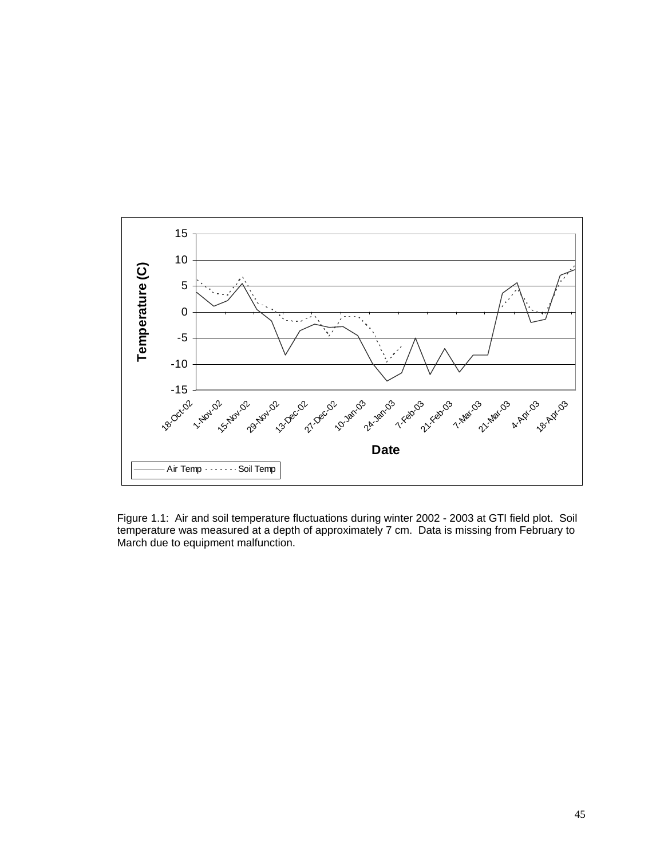

Figure 1.1: Air and soil temperature fluctuations during winter 2002 - 2003 at GTI field plot. Soil temperature was measured at a depth of approximately 7 cm. Data is missing from February to March due to equipment malfunction.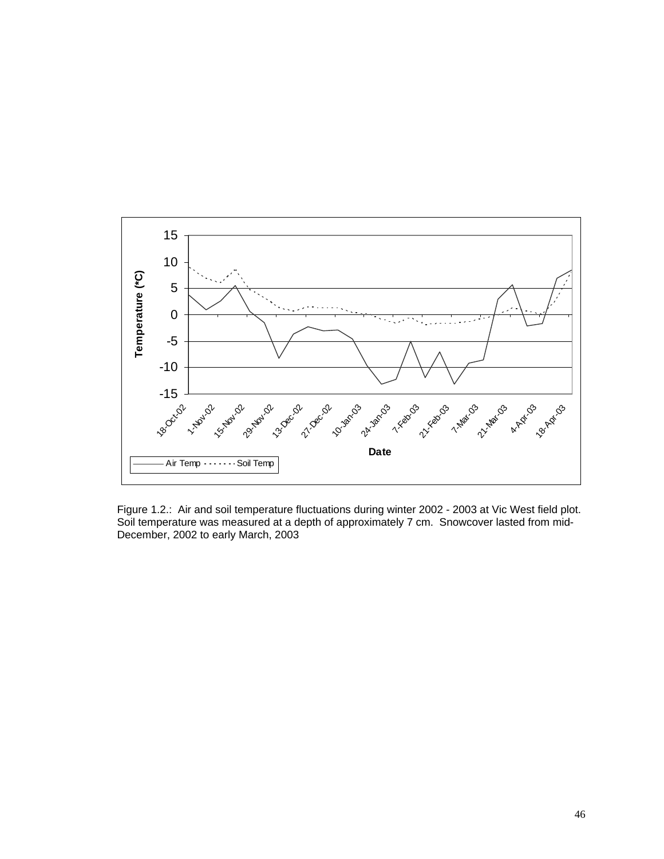

Figure 1.2.: Air and soil temperature fluctuations during winter 2002 - 2003 at Vic West field plot. Soil temperature was measured at a depth of approximately 7 cm. Snowcover lasted from mid-December, 2002 to early March, 2003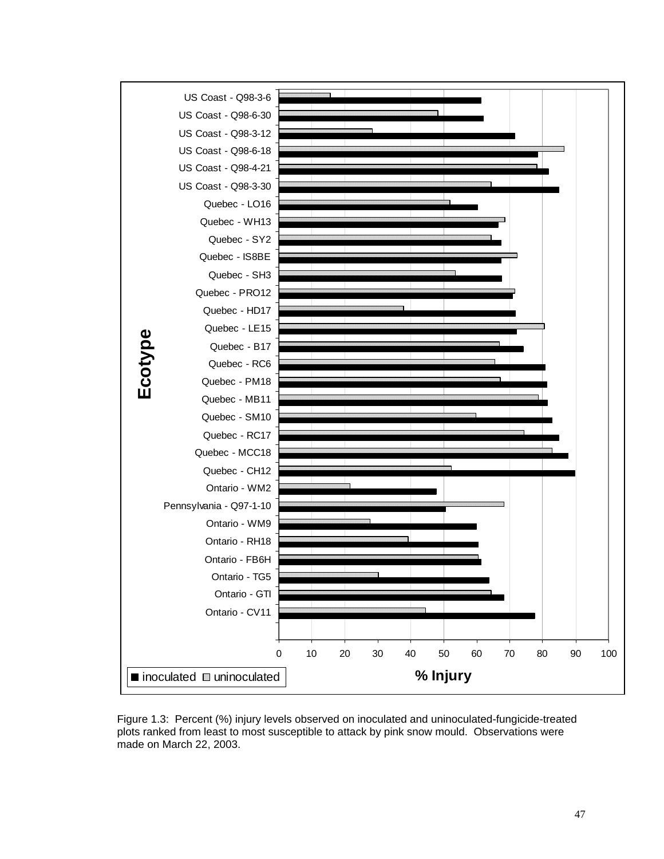

Figure 1.3: Percent (%) injury levels observed on inoculated and uninoculated-fungicide-treated plots ranked from least to most susceptible to attack by pink snow mould. Observations were made on March 22, 2003.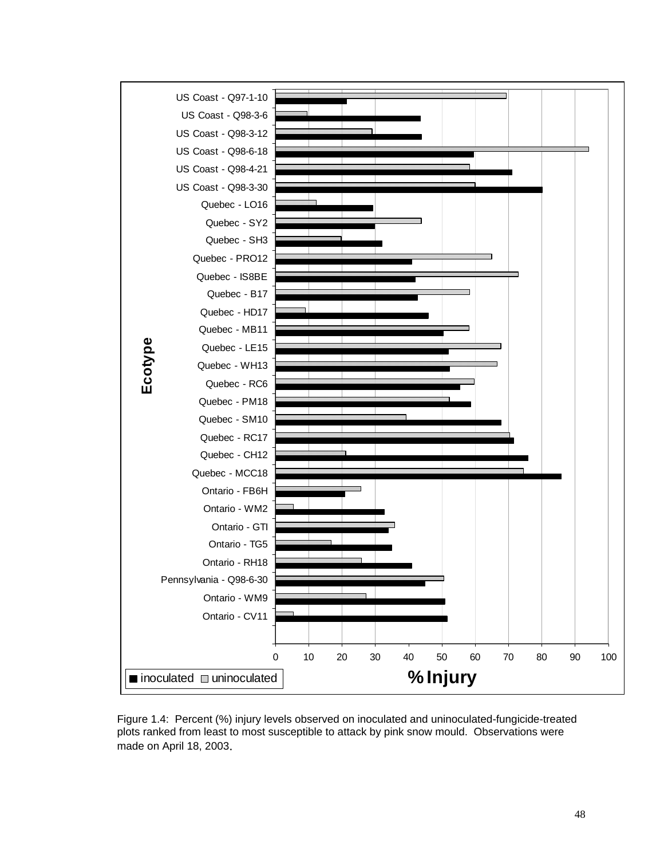

Figure 1.4: Percent (%) injury levels observed on inoculated and uninoculated-fungicide-treated plots ranked from least to most susceptible to attack by pink snow mould. Observations were made on April 18, 2003.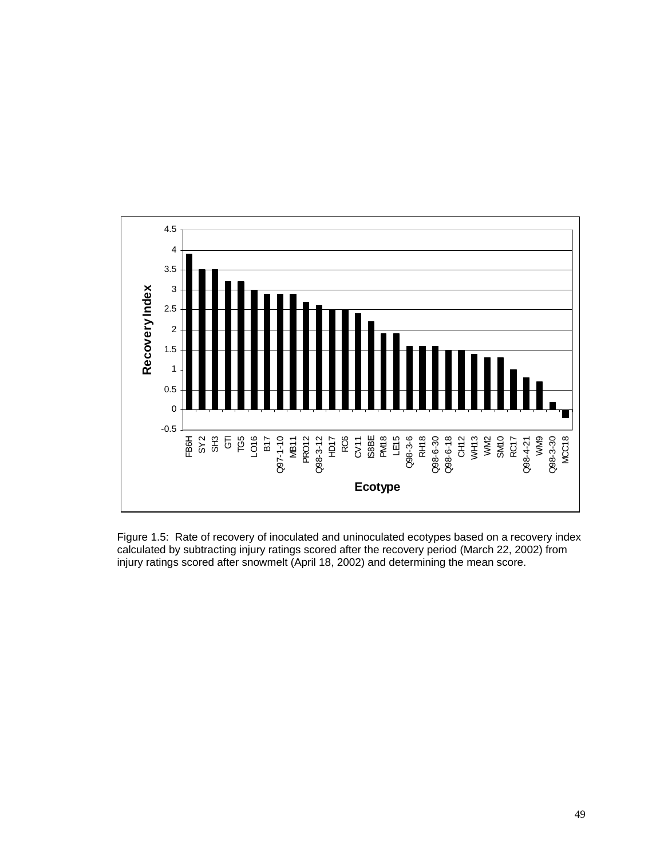

Figure 1.5: Rate of recovery of inoculated and uninoculated ecotypes based on a recovery index calculated by subtracting injury ratings scored after the recovery period (March 22, 2002) from injury ratings scored after snowmelt (April 18, 2002) and determining the mean score.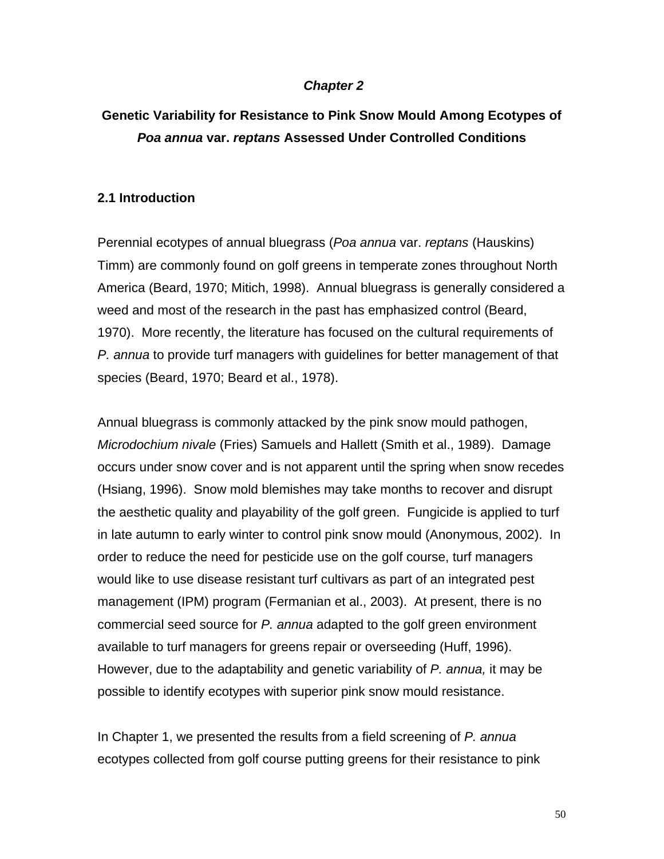#### *Chapter 2*

# **Genetic Variability for Resistance to Pink Snow Mould Among Ecotypes of** *Poa annua* **var.** *reptans* **Assessed Under Controlled Conditions**

#### **2.1 Introduction**

Perennial ecotypes of annual bluegrass (*Poa annua* var. *reptans* (Hauskins) Timm) are commonly found on golf greens in temperate zones throughout North America (Beard, 1970; Mitich, 1998). Annual bluegrass is generally considered a weed and most of the research in the past has emphasized control (Beard, 1970). More recently, the literature has focused on the cultural requirements of *P. annua* to provide turf managers with guidelines for better management of that species (Beard, 1970; Beard et al., 1978).

Annual bluegrass is commonly attacked by the pink snow mould pathogen, *Microdochium nivale* (Fries) Samuels and Hallett (Smith et al., 1989). Damage occurs under snow cover and is not apparent until the spring when snow recedes (Hsiang, 1996). Snow mold blemishes may take months to recover and disrupt the aesthetic quality and playability of the golf green. Fungicide is applied to turf in late autumn to early winter to control pink snow mould (Anonymous, 2002). In order to reduce the need for pesticide use on the golf course, turf managers would like to use disease resistant turf cultivars as part of an integrated pest management (IPM) program (Fermanian et al., 2003). At present, there is no commercial seed source for *P. annua* adapted to the golf green environment available to turf managers for greens repair or overseeding (Huff, 1996). However, due to the adaptability and genetic variability of *P. annua,* it may be possible to identify ecotypes with superior pink snow mould resistance.

In Chapter 1, we presented the results from a field screening of *P. annua* ecotypes collected from golf course putting greens for their resistance to pink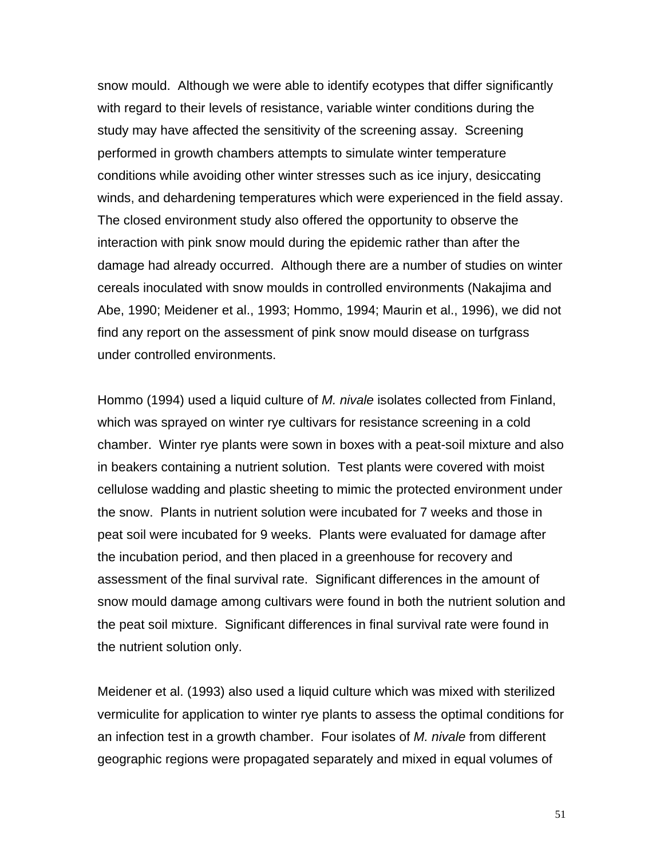snow mould. Although we were able to identify ecotypes that differ significantly with regard to their levels of resistance, variable winter conditions during the study may have affected the sensitivity of the screening assay. Screening performed in growth chambers attempts to simulate winter temperature conditions while avoiding other winter stresses such as ice injury, desiccating winds, and dehardening temperatures which were experienced in the field assay. The closed environment study also offered the opportunity to observe the interaction with pink snow mould during the epidemic rather than after the damage had already occurred. Although there are a number of studies on winter cereals inoculated with snow moulds in controlled environments (Nakajima and Abe, 1990; Meidener et al., 1993; Hommo, 1994; Maurin et al., 1996), we did not find any report on the assessment of pink snow mould disease on turfgrass under controlled environments.

Hommo (1994) used a liquid culture of *M. nivale* isolates collected from Finland, which was sprayed on winter rye cultivars for resistance screening in a cold chamber. Winter rye plants were sown in boxes with a peat-soil mixture and also in beakers containing a nutrient solution. Test plants were covered with moist cellulose wadding and plastic sheeting to mimic the protected environment under the snow. Plants in nutrient solution were incubated for 7 weeks and those in peat soil were incubated for 9 weeks. Plants were evaluated for damage after the incubation period, and then placed in a greenhouse for recovery and assessment of the final survival rate. Significant differences in the amount of snow mould damage among cultivars were found in both the nutrient solution and the peat soil mixture. Significant differences in final survival rate were found in the nutrient solution only.

Meidener et al. (1993) also used a liquid culture which was mixed with sterilized vermiculite for application to winter rye plants to assess the optimal conditions for an infection test in a growth chamber. Four isolates of *M. nivale* from different geographic regions were propagated separately and mixed in equal volumes of

51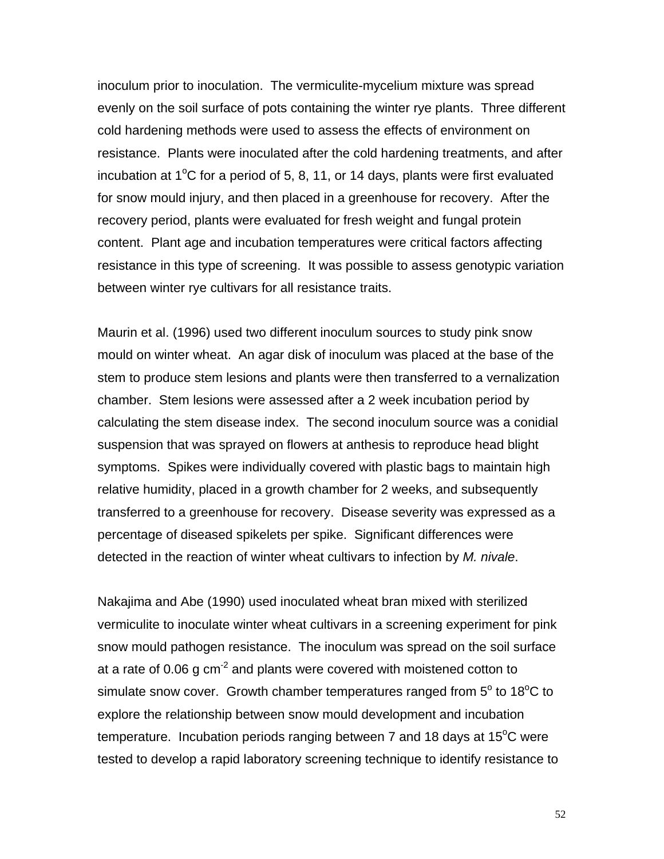inoculum prior to inoculation. The vermiculite-mycelium mixture was spread evenly on the soil surface of pots containing the winter rye plants. Three different cold hardening methods were used to assess the effects of environment on resistance. Plants were inoculated after the cold hardening treatments, and after incubation at  $1^{\circ}$ C for a period of 5, 8, 11, or 14 days, plants were first evaluated for snow mould injury, and then placed in a greenhouse for recovery. After the recovery period, plants were evaluated for fresh weight and fungal protein content. Plant age and incubation temperatures were critical factors affecting resistance in this type of screening. It was possible to assess genotypic variation between winter rye cultivars for all resistance traits.

Maurin et al. (1996) used two different inoculum sources to study pink snow mould on winter wheat. An agar disk of inoculum was placed at the base of the stem to produce stem lesions and plants were then transferred to a vernalization chamber. Stem lesions were assessed after a 2 week incubation period by calculating the stem disease index. The second inoculum source was a conidial suspension that was sprayed on flowers at anthesis to reproduce head blight symptoms. Spikes were individually covered with plastic bags to maintain high relative humidity, placed in a growth chamber for 2 weeks, and subsequently transferred to a greenhouse for recovery. Disease severity was expressed as a percentage of diseased spikelets per spike. Significant differences were detected in the reaction of winter wheat cultivars to infection by *M. nivale*.

Nakajima and Abe (1990) used inoculated wheat bran mixed with sterilized vermiculite to inoculate winter wheat cultivars in a screening experiment for pink snow mould pathogen resistance. The inoculum was spread on the soil surface at a rate of 0.06 g cm<sup>-2</sup> and plants were covered with moistened cotton to simulate snow cover. Growth chamber temperatures ranged from  $5^{\circ}$  to 18 $^{\circ}$ C to explore the relationship between snow mould development and incubation temperature. Incubation periods ranging between 7 and 18 days at 15 $^{\circ}$ C were tested to develop a rapid laboratory screening technique to identify resistance to

52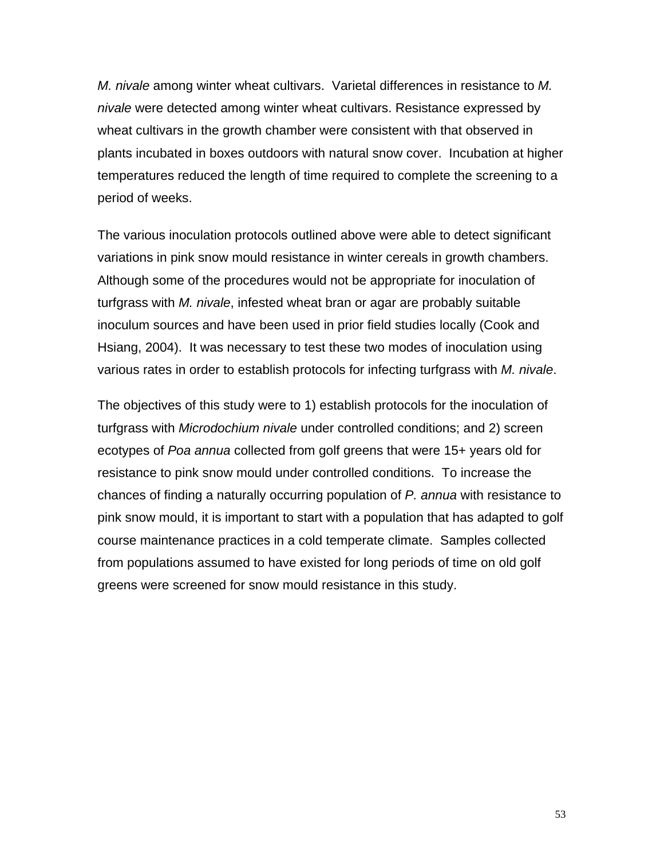*M. nivale* among winter wheat cultivars. Varietal differences in resistance to *M. nivale* were detected among winter wheat cultivars. Resistance expressed by wheat cultivars in the growth chamber were consistent with that observed in plants incubated in boxes outdoors with natural snow cover. Incubation at higher temperatures reduced the length of time required to complete the screening to a period of weeks.

The various inoculation protocols outlined above were able to detect significant variations in pink snow mould resistance in winter cereals in growth chambers. Although some of the procedures would not be appropriate for inoculation of turfgrass with *M. nivale*, infested wheat bran or agar are probably suitable inoculum sources and have been used in prior field studies locally (Cook and Hsiang, 2004). It was necessary to test these two modes of inoculation using various rates in order to establish protocols for infecting turfgrass with *M. nivale*.

The objectives of this study were to 1) establish protocols for the inoculation of turfgrass with *Microdochium nivale* under controlled conditions; and 2) screen ecotypes of *Poa annua* collected from golf greens that were 15+ years old for resistance to pink snow mould under controlled conditions. To increase the chances of finding a naturally occurring population of *P. annua* with resistance to pink snow mould, it is important to start with a population that has adapted to golf course maintenance practices in a cold temperate climate. Samples collected from populations assumed to have existed for long periods of time on old golf greens were screened for snow mould resistance in this study.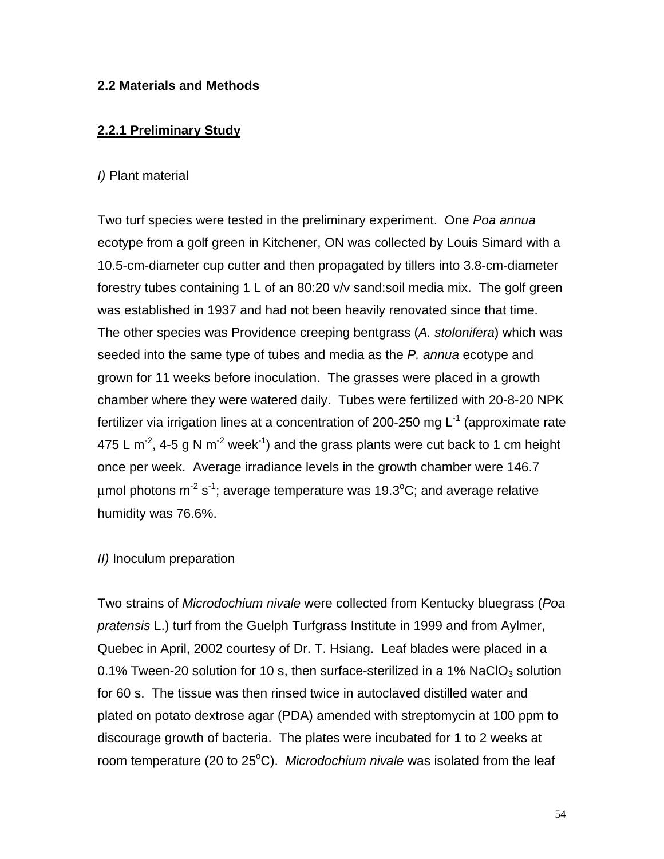### **2.2 Materials and Methods**

### **2.2.1 Preliminary Study**

### *I)* Plant material

Two turf species were tested in the preliminary experiment. One *Poa annua* ecotype from a golf green in Kitchener, ON was collected by Louis Simard with a 10.5-cm-diameter cup cutter and then propagated by tillers into 3.8-cm-diameter forestry tubes containing 1 L of an 80:20 v/v sand:soil media mix. The golf green was established in 1937 and had not been heavily renovated since that time. The other species was Providence creeping bentgrass (*A. stolonifera*) which was seeded into the same type of tubes and media as the *P. annua* ecotype and grown for 11 weeks before inoculation. The grasses were placed in a growth chamber where they were watered daily. Tubes were fertilized with 20-8-20 NPK fertilizer via irrigation lines at a concentration of 200-250 mg  $L^{-1}$  (approximate rate 475 L m<sup>-2</sup>, 4-5 g N m<sup>-2</sup> week<sup>-1</sup>) and the grass plants were cut back to 1 cm height once per week. Average irradiance levels in the growth chamber were 146.7 μmol photons m $^{\text{-2}}$  s $^{\text{-1}}$ ; average temperature was 19.3°C; and average relative humidity was 76.6%.

### *II)* Inoculum preparation

Two strains of *Microdochium nivale* were collected from Kentucky bluegrass (*Poa pratensis* L.) turf from the Guelph Turfgrass Institute in 1999 and from Aylmer, Quebec in April, 2002 courtesy of Dr. T. Hsiang. Leaf blades were placed in a 0.1% Tween-20 solution for 10 s, then surface-sterilized in a 1% NaClO<sub>3</sub> solution for 60 s. The tissue was then rinsed twice in autoclaved distilled water and plated on potato dextrose agar (PDA) amended with streptomycin at 100 ppm to discourage growth of bacteria. The plates were incubated for 1 to 2 weeks at room temperature (20 to 25<sup>o</sup>C). *Microdochium nivale* was isolated from the leaf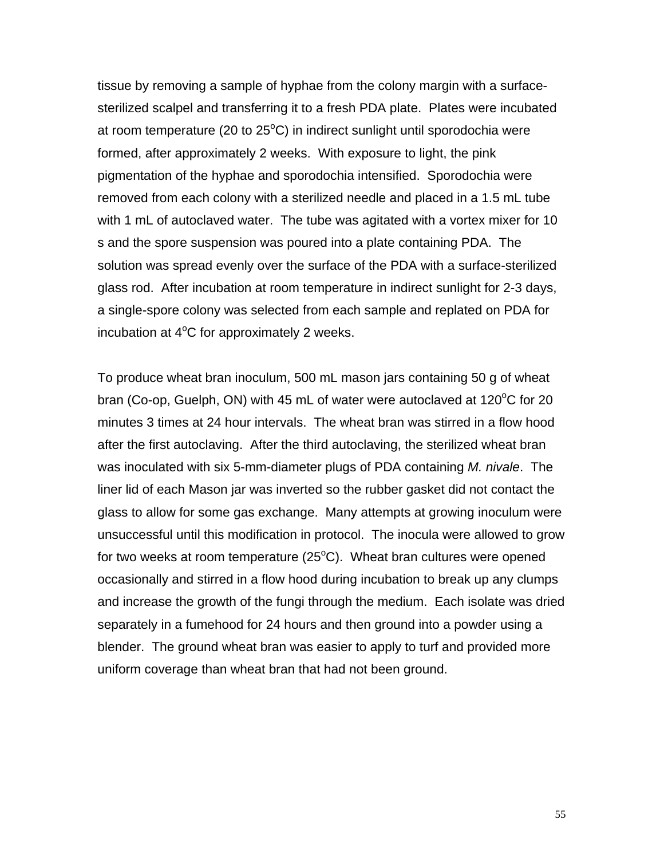tissue by removing a sample of hyphae from the colony margin with a surfacesterilized scalpel and transferring it to a fresh PDA plate. Plates were incubated at room temperature (20 to 25 $\mathrm{^o}\mathrm{C}$ ) in indirect sunlight until sporodochia were formed, after approximately 2 weeks. With exposure to light, the pink pigmentation of the hyphae and sporodochia intensified. Sporodochia were removed from each colony with a sterilized needle and placed in a 1.5 mL tube with 1 mL of autoclaved water. The tube was agitated with a vortex mixer for 10 s and the spore suspension was poured into a plate containing PDA. The solution was spread evenly over the surface of the PDA with a surface-sterilized glass rod. After incubation at room temperature in indirect sunlight for 2-3 days, a single-spore colony was selected from each sample and replated on PDA for incubation at  $4^{\circ}$ C for approximately 2 weeks.

To produce wheat bran inoculum, 500 mL mason jars containing 50 g of wheat bran (Co-op, Guelph, ON) with 45 mL of water were autoclaved at 120°C for 20 minutes 3 times at 24 hour intervals. The wheat bran was stirred in a flow hood after the first autoclaving. After the third autoclaving, the sterilized wheat bran was inoculated with six 5-mm-diameter plugs of PDA containing *M. nivale*. The liner lid of each Mason jar was inverted so the rubber gasket did not contact the glass to allow for some gas exchange. Many attempts at growing inoculum were unsuccessful until this modification in protocol. The inocula were allowed to grow for two weeks at room temperature (25 $^{\circ}$ C). Wheat bran cultures were opened occasionally and stirred in a flow hood during incubation to break up any clumps and increase the growth of the fungi through the medium. Each isolate was dried separately in a fumehood for 24 hours and then ground into a powder using a blender. The ground wheat bran was easier to apply to turf and provided more uniform coverage than wheat bran that had not been ground.

55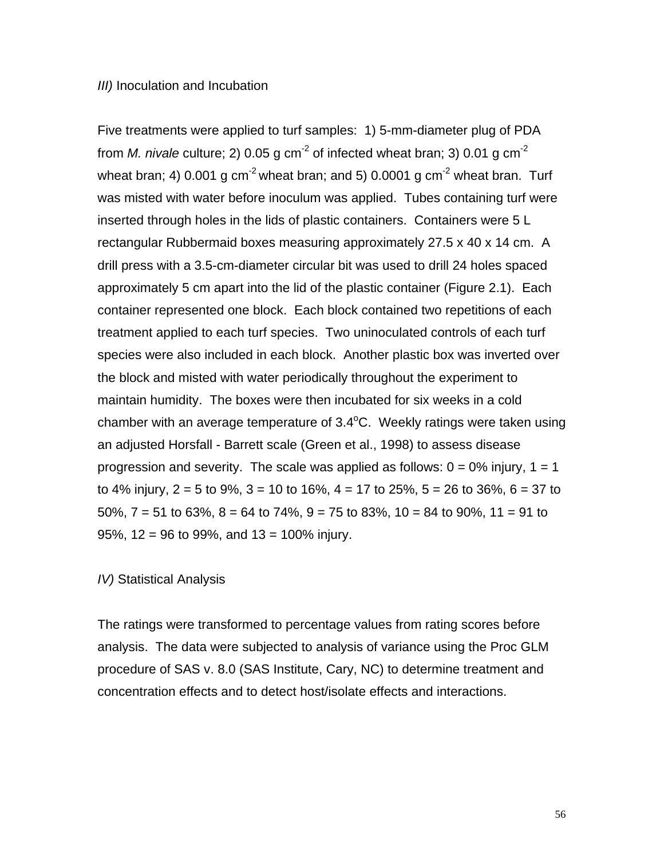#### *III*) Inoculation and Incubation

Five treatments were applied to turf samples: 1) 5-mm-diameter plug of PDA from *M. nivale* culture; 2) 0.05 g  $cm^{-2}$  of infected wheat bran; 3) 0.01 g  $cm^{-2}$ wheat bran; 4) 0.001 g cm<sup>-2</sup> wheat bran; and 5) 0.0001 g cm<sup>-2</sup> wheat bran. Turf was misted with water before inoculum was applied. Tubes containing turf were inserted through holes in the lids of plastic containers. Containers were 5 L rectangular Rubbermaid boxes measuring approximately 27.5 x 40 x 14 cm. A drill press with a 3.5-cm-diameter circular bit was used to drill 24 holes spaced approximately 5 cm apart into the lid of the plastic container (Figure 2.1). Each container represented one block. Each block contained two repetitions of each treatment applied to each turf species. Two uninoculated controls of each turf species were also included in each block. Another plastic box was inverted over the block and misted with water periodically throughout the experiment to maintain humidity. The boxes were then incubated for six weeks in a cold chamber with an average temperature of  $3.4^{\circ}$ C. Weekly ratings were taken using an adjusted Horsfall - Barrett scale (Green et al., 1998) to assess disease progression and severity. The scale was applied as follows:  $0 = 0\%$  injury,  $1 = 1$ to 4% injury,  $2 = 5$  to 9%,  $3 = 10$  to 16%,  $4 = 17$  to 25%,  $5 = 26$  to 36%,  $6 = 37$  to 50%,  $7 = 51$  to 63%,  $8 = 64$  to 74%,  $9 = 75$  to 83%,  $10 = 84$  to 90%,  $11 = 91$  to 95%,  $12 = 96$  to 99%, and  $13 = 100\%$  injury.

#### *IV)* Statistical Analysis

The ratings were transformed to percentage values from rating scores before analysis. The data were subjected to analysis of variance using the Proc GLM procedure of SAS v. 8.0 (SAS Institute, Cary, NC) to determine treatment and concentration effects and to detect host/isolate effects and interactions.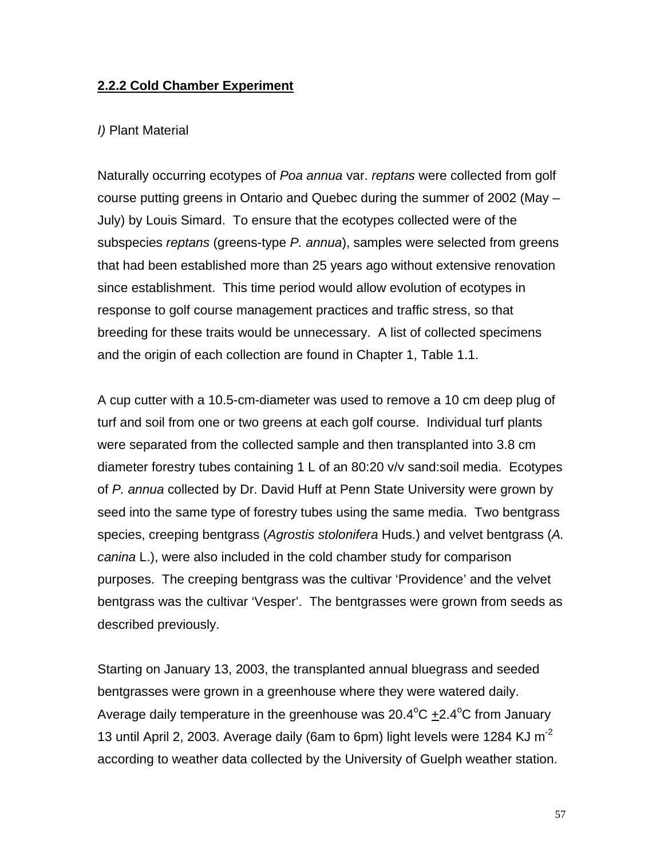### **2.2.2 Cold Chamber Experiment**

#### *I)* Plant Material

Naturally occurring ecotypes of *Poa annua* var. *reptans* were collected from golf course putting greens in Ontario and Quebec during the summer of 2002 (May – July) by Louis Simard. To ensure that the ecotypes collected were of the subspecies *reptans* (greens-type *P. annua*), samples were selected from greens that had been established more than 25 years ago without extensive renovation since establishment. This time period would allow evolution of ecotypes in response to golf course management practices and traffic stress, so that breeding for these traits would be unnecessary. A list of collected specimens and the origin of each collection are found in Chapter 1, Table 1.1.

A cup cutter with a 10.5-cm-diameter was used to remove a 10 cm deep plug of turf and soil from one or two greens at each golf course. Individual turf plants were separated from the collected sample and then transplanted into 3.8 cm diameter forestry tubes containing 1 L of an 80:20 v/v sand:soil media. Ecotypes of *P. annua* collected by Dr. David Huff at Penn State University were grown by seed into the same type of forestry tubes using the same media. Two bentgrass species, creeping bentgrass (*Agrostis stolonifera* Huds.) and velvet bentgrass (*A. canina* L.), were also included in the cold chamber study for comparison purposes. The creeping bentgrass was the cultivar 'Providence' and the velvet bentgrass was the cultivar 'Vesper'. The bentgrasses were grown from seeds as described previously.

Starting on January 13, 2003, the transplanted annual bluegrass and seeded bentgrasses were grown in a greenhouse where they were watered daily. Average daily temperature in the greenhouse was 20.4°C  $\pm$ 2.4°C from January 13 until April 2, 2003. Average daily (6am to 6pm) light levels were 1284 KJ m-2 according to weather data collected by the University of Guelph weather station.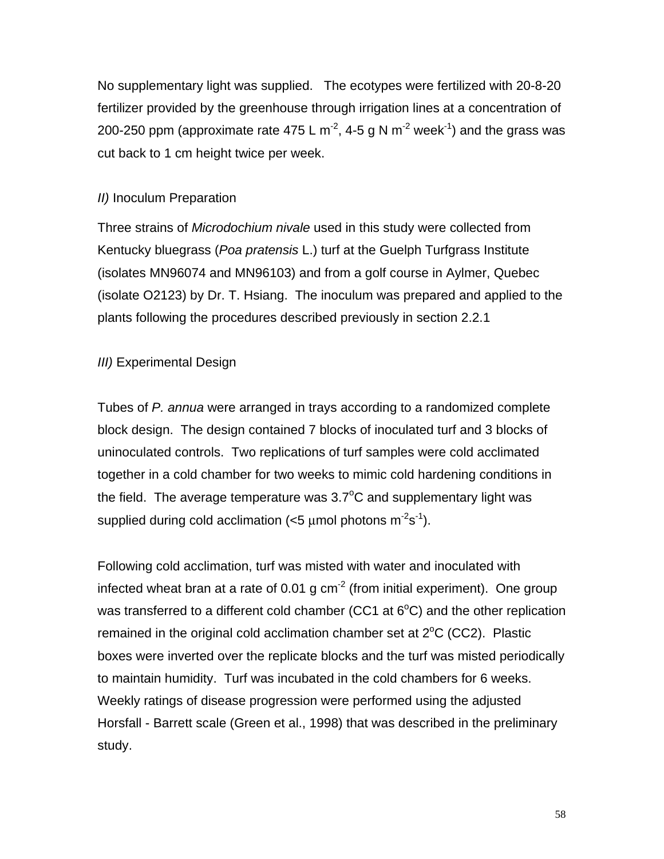No supplementary light was supplied. The ecotypes were fertilized with 20-8-20 fertilizer provided by the greenhouse through irrigation lines at a concentration of 200-250 ppm (approximate rate 475 L m<sup>-2</sup>, 4-5 g N m<sup>-2</sup> week<sup>-1</sup>) and the grass was cut back to 1 cm height twice per week.

### *II)* Inoculum Preparation

Three strains of *Microdochium nivale* used in this study were collected from Kentucky bluegrass (*Poa pratensis* L.) turf at the Guelph Turfgrass Institute (isolates MN96074 and MN96103) and from a golf course in Aylmer, Quebec (isolate O2123) by Dr. T. Hsiang. The inoculum was prepared and applied to the plants following the procedures described previously in section 2.2.1

## *III)* Experimental Design

Tubes of *P. annua* were arranged in trays according to a randomized complete block design. The design contained 7 blocks of inoculated turf and 3 blocks of uninoculated controls. Two replications of turf samples were cold acclimated together in a cold chamber for two weeks to mimic cold hardening conditions in the field. The average temperature was  $3.7^{\circ}$ C and supplementary light was supplied during cold acclimation ( $<$ 5 µmol photons m<sup>-2</sup>s<sup>-1</sup>).

Following cold acclimation, turf was misted with water and inoculated with infected wheat bran at a rate of 0.01 g  $cm<sup>2</sup>$  (from initial experiment). One group was transferred to a different cold chamber (CC1 at  $6^{\circ}$ C) and the other replication remained in the original cold acclimation chamber set at  $2^{\circ}C$  (CC2). Plastic boxes were inverted over the replicate blocks and the turf was misted periodically to maintain humidity. Turf was incubated in the cold chambers for 6 weeks. Weekly ratings of disease progression were performed using the adjusted Horsfall - Barrett scale (Green et al., 1998) that was described in the preliminary study.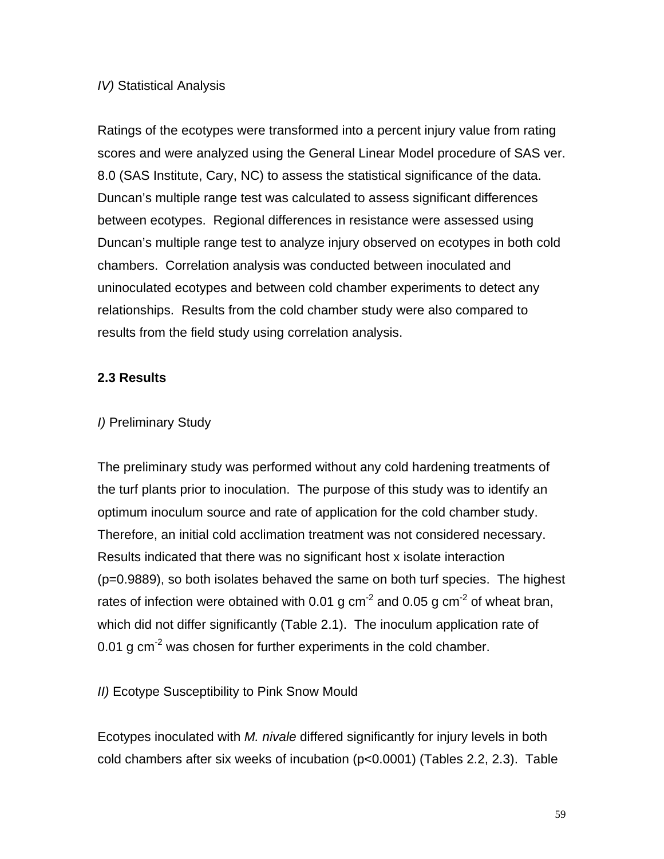### *IV)* Statistical Analysis

Ratings of the ecotypes were transformed into a percent injury value from rating scores and were analyzed using the General Linear Model procedure of SAS ver. 8.0 (SAS Institute, Cary, NC) to assess the statistical significance of the data. Duncan's multiple range test was calculated to assess significant differences between ecotypes. Regional differences in resistance were assessed using Duncan's multiple range test to analyze injury observed on ecotypes in both cold chambers. Correlation analysis was conducted between inoculated and uninoculated ecotypes and between cold chamber experiments to detect any relationships. Results from the cold chamber study were also compared to results from the field study using correlation analysis.

### **2.3 Results**

### *I)* Preliminary Study

The preliminary study was performed without any cold hardening treatments of the turf plants prior to inoculation. The purpose of this study was to identify an optimum inoculum source and rate of application for the cold chamber study. Therefore, an initial cold acclimation treatment was not considered necessary. Results indicated that there was no significant host x isolate interaction (p=0.9889), so both isolates behaved the same on both turf species. The highest rates of infection were obtained with 0.01 g  $cm<sup>-2</sup>$  and 0.05 g  $cm<sup>-2</sup>$  of wheat bran, which did not differ significantly (Table 2.1). The inoculum application rate of 0.01 g  $cm<sup>2</sup>$  was chosen for further experiments in the cold chamber.

*II)* Ecotype Susceptibility to Pink Snow Mould

Ecotypes inoculated with *M. nivale* differed significantly for injury levels in both cold chambers after six weeks of incubation (p<0.0001) (Tables 2.2, 2.3). Table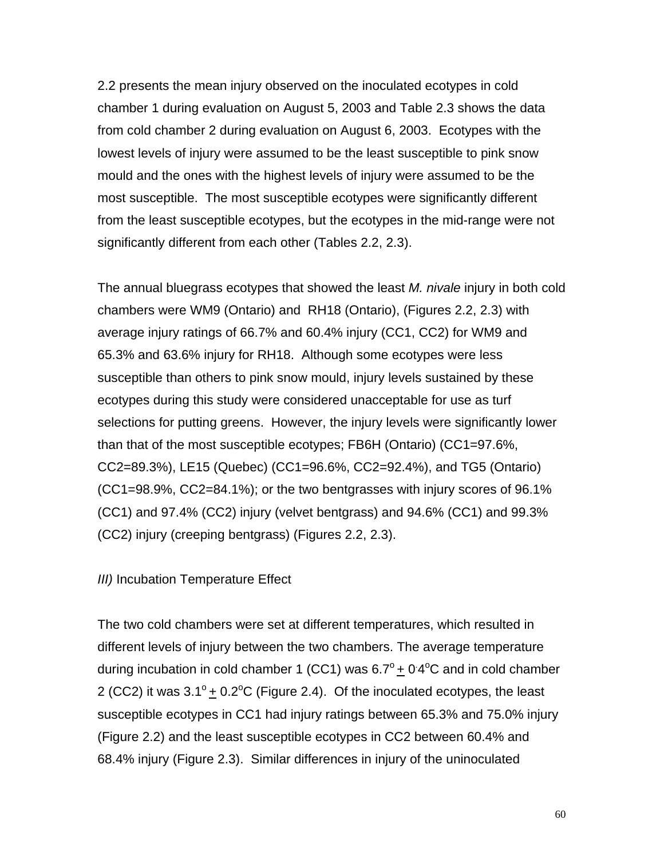2.2 presents the mean injury observed on the inoculated ecotypes in cold chamber 1 during evaluation on August 5, 2003 and Table 2.3 shows the data from cold chamber 2 during evaluation on August 6, 2003. Ecotypes with the lowest levels of injury were assumed to be the least susceptible to pink snow mould and the ones with the highest levels of injury were assumed to be the most susceptible. The most susceptible ecotypes were significantly different from the least susceptible ecotypes, but the ecotypes in the mid-range were not significantly different from each other (Tables 2.2, 2.3).

The annual bluegrass ecotypes that showed the least *M. nivale* injury in both cold chambers were WM9 (Ontario) and RH18 (Ontario), (Figures 2.2, 2.3) with average injury ratings of 66.7% and 60.4% injury (CC1, CC2) for WM9 and 65.3% and 63.6% injury for RH18. Although some ecotypes were less susceptible than others to pink snow mould, injury levels sustained by these ecotypes during this study were considered unacceptable for use as turf selections for putting greens. However, the injury levels were significantly lower than that of the most susceptible ecotypes; FB6H (Ontario) (CC1=97.6%, CC2=89.3%), LE15 (Quebec) (CC1=96.6%, CC2=92.4%), and TG5 (Ontario) (CC1=98.9%, CC2=84.1%); or the two bentgrasses with injury scores of 96.1% (CC1) and 97.4% (CC2) injury (velvet bentgrass) and 94.6% (CC1) and 99.3% (CC2) injury (creeping bentgrass) (Figures 2.2, 2.3).

*III*) Incubation Temperature Effect

The two cold chambers were set at different temperatures, which resulted in different levels of injury between the two chambers. The average temperature during incubation in cold chamber 1 (CC1) was  $6.7^{\circ}$  + 0.4 $^{\circ}$ C and in cold chamber 2 (CC2) it was  $3.1^{\circ}$  + 0.2 $^{\circ}$ C (Figure 2.4). Of the inoculated ecotypes, the least susceptible ecotypes in CC1 had injury ratings between 65.3% and 75.0% injury (Figure 2.2) and the least susceptible ecotypes in CC2 between 60.4% and 68.4% injury (Figure 2.3). Similar differences in injury of the uninoculated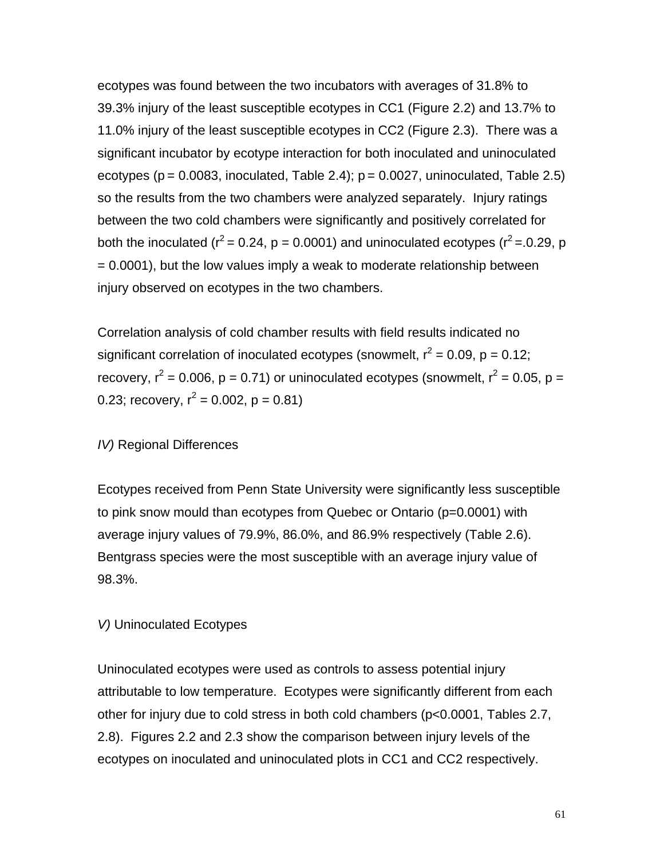ecotypes was found between the two incubators with averages of 31.8% to 39.3% injury of the least susceptible ecotypes in CC1 (Figure 2.2) and 13.7% to 11.0% injury of the least susceptible ecotypes in CC2 (Figure 2.3). There was a significant incubator by ecotype interaction for both inoculated and uninoculated ecotypes ( $p = 0.0083$ , inoculated, Table 2.4);  $p = 0.0027$ , uninoculated, Table 2.5) so the results from the two chambers were analyzed separately. Injury ratings between the two cold chambers were significantly and positively correlated for both the inoculated ( $r^2$  = 0.24, p = 0.0001) and uninoculated ecotypes ( $r^2$  = 0.29, p = 0.0001), but the low values imply a weak to moderate relationship between injury observed on ecotypes in the two chambers.

Correlation analysis of cold chamber results with field results indicated no significant correlation of inoculated ecotypes (snowmelt,  $r^2 = 0.09$ , p = 0.12; recovery,  $r^2$  = 0.006, p = 0.71) or uninoculated ecotypes (snowmelt,  $r^2$  = 0.05, p = 0.23; recovery,  $r^2 = 0.002$ ,  $p = 0.81$ )

### *IV)* Regional Differences

Ecotypes received from Penn State University were significantly less susceptible to pink snow mould than ecotypes from Quebec or Ontario (p=0.0001) with average injury values of 79.9%, 86.0%, and 86.9% respectively (Table 2.6). Bentgrass species were the most susceptible with an average injury value of 98.3%.

### *V)* Uninoculated Ecotypes

Uninoculated ecotypes were used as controls to assess potential injury attributable to low temperature. Ecotypes were significantly different from each other for injury due to cold stress in both cold chambers (p<0.0001, Tables 2.7, 2.8). Figures 2.2 and 2.3 show the comparison between injury levels of the ecotypes on inoculated and uninoculated plots in CC1 and CC2 respectively.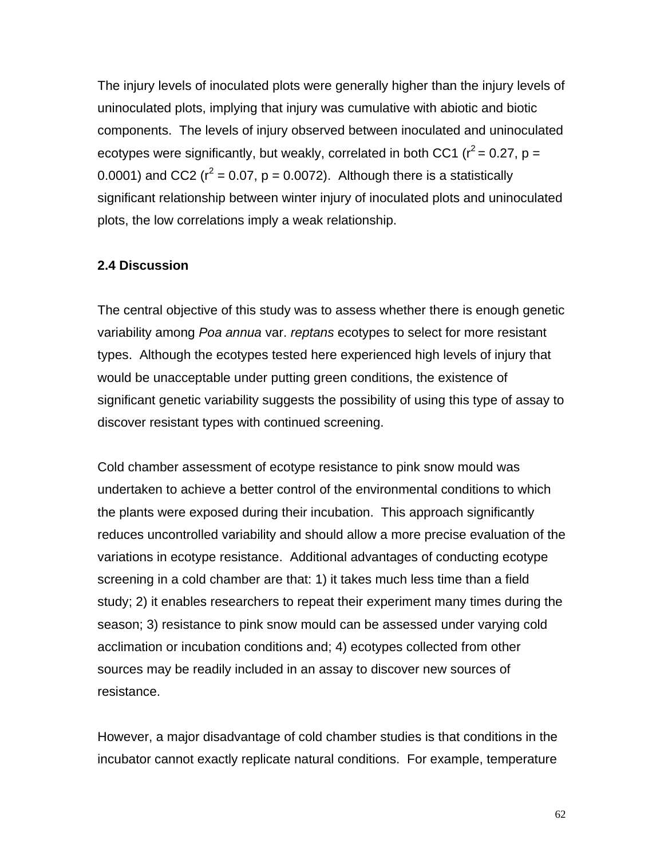The injury levels of inoculated plots were generally higher than the injury levels of uninoculated plots, implying that injury was cumulative with abiotic and biotic components. The levels of injury observed between inoculated and uninoculated ecotypes were significantly, but weakly, correlated in both CC1 ( $r^2$  = 0.27, p = 0.0001) and CC2 ( $r^2$  = 0.07, p = 0.0072). Although there is a statistically significant relationship between winter injury of inoculated plots and uninoculated plots, the low correlations imply a weak relationship.

#### **2.4 Discussion**

The central objective of this study was to assess whether there is enough genetic variability among *Poa annua* var. *reptans* ecotypes to select for more resistant types. Although the ecotypes tested here experienced high levels of injury that would be unacceptable under putting green conditions, the existence of significant genetic variability suggests the possibility of using this type of assay to discover resistant types with continued screening.

Cold chamber assessment of ecotype resistance to pink snow mould was undertaken to achieve a better control of the environmental conditions to which the plants were exposed during their incubation. This approach significantly reduces uncontrolled variability and should allow a more precise evaluation of the variations in ecotype resistance. Additional advantages of conducting ecotype screening in a cold chamber are that: 1) it takes much less time than a field study; 2) it enables researchers to repeat their experiment many times during the season; 3) resistance to pink snow mould can be assessed under varying cold acclimation or incubation conditions and; 4) ecotypes collected from other sources may be readily included in an assay to discover new sources of resistance.

However, a major disadvantage of cold chamber studies is that conditions in the incubator cannot exactly replicate natural conditions. For example, temperature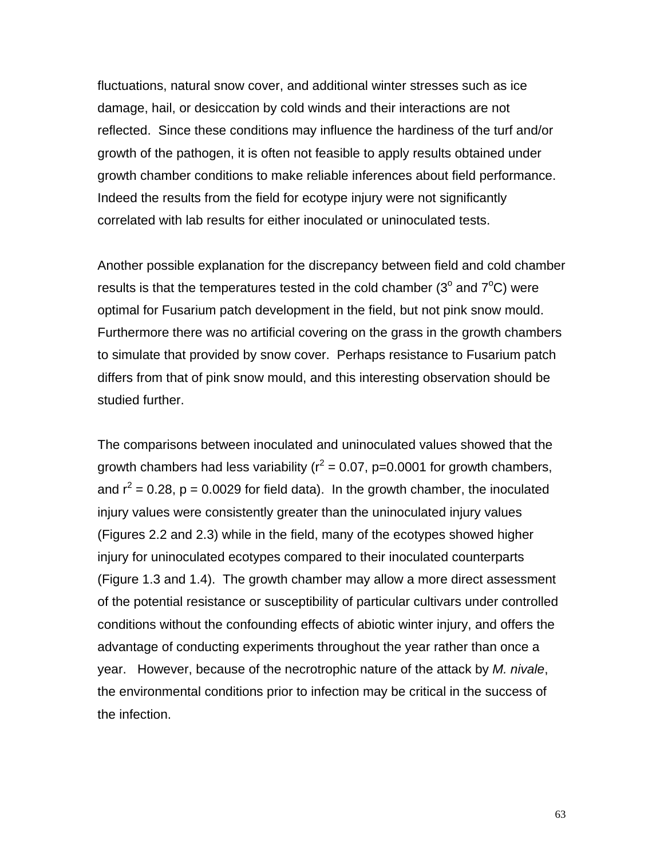fluctuations, natural snow cover, and additional winter stresses such as ice damage, hail, or desiccation by cold winds and their interactions are not reflected. Since these conditions may influence the hardiness of the turf and/or growth of the pathogen, it is often not feasible to apply results obtained under growth chamber conditions to make reliable inferences about field performance. Indeed the results from the field for ecotype injury were not significantly correlated with lab results for either inoculated or uninoculated tests.

Another possible explanation for the discrepancy between field and cold chamber results is that the temperatures tested in the cold chamber ( $3^{\circ}$  and  $7^{\circ}$ C) were optimal for Fusarium patch development in the field, but not pink snow mould. Furthermore there was no artificial covering on the grass in the growth chambers to simulate that provided by snow cover. Perhaps resistance to Fusarium patch differs from that of pink snow mould, and this interesting observation should be studied further.

The comparisons between inoculated and uninoculated values showed that the growth chambers had less variability ( $r^2$  = 0.07, p=0.0001 for growth chambers, and  $r^2$  = 0.28, p = 0.0029 for field data). In the growth chamber, the inoculated injury values were consistently greater than the uninoculated injury values (Figures 2.2 and 2.3) while in the field, many of the ecotypes showed higher injury for uninoculated ecotypes compared to their inoculated counterparts (Figure 1.3 and 1.4). The growth chamber may allow a more direct assessment of the potential resistance or susceptibility of particular cultivars under controlled conditions without the confounding effects of abiotic winter injury, and offers the advantage of conducting experiments throughout the year rather than once a year. However, because of the necrotrophic nature of the attack by *M. nivale*, the environmental conditions prior to infection may be critical in the success of the infection.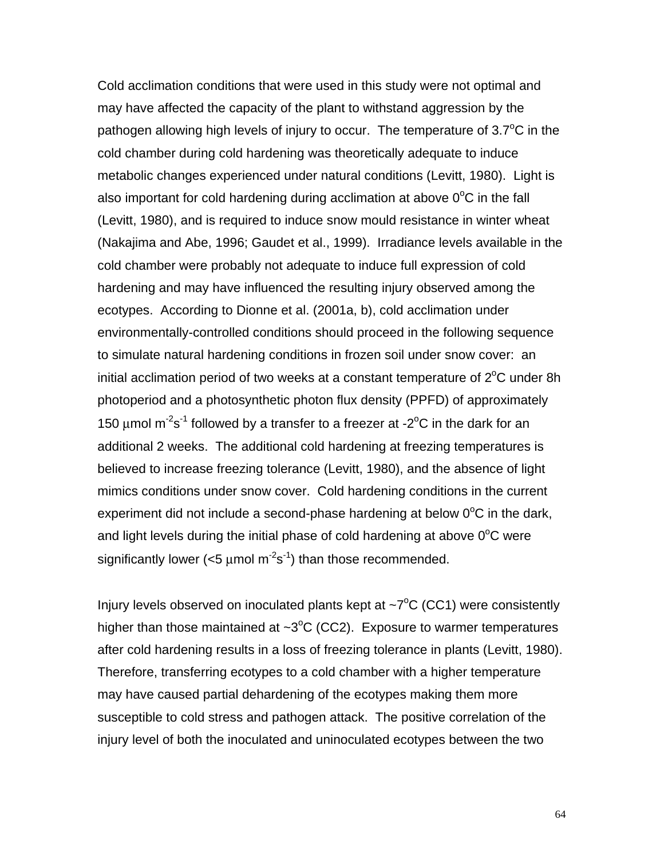Cold acclimation conditions that were used in this study were not optimal and may have affected the capacity of the plant to withstand aggression by the pathogen allowing high levels of injury to occur. The temperature of  $3.7^{\circ}$ C in the cold chamber during cold hardening was theoretically adequate to induce metabolic changes experienced under natural conditions (Levitt, 1980). Light is also important for cold hardening during acclimation at above  $0^{\circ}$ C in the fall (Levitt, 1980), and is required to induce snow mould resistance in winter wheat (Nakajima and Abe, 1996; Gaudet et al., 1999). Irradiance levels available in the cold chamber were probably not adequate to induce full expression of cold hardening and may have influenced the resulting injury observed among the ecotypes. According to Dionne et al. (2001a, b), cold acclimation under environmentally-controlled conditions should proceed in the following sequence to simulate natural hardening conditions in frozen soil under snow cover: an initial acclimation period of two weeks at a constant temperature of  $2^{\circ}$ C under 8h photoperiod and a photosynthetic photon flux density (PPFD) of approximately 150  $\mu$ mol m<sup>-2</sup>s<sup>-1</sup> followed by a transfer to a freezer at -2<sup>o</sup>C in the dark for an additional 2 weeks. The additional cold hardening at freezing temperatures is believed to increase freezing tolerance (Levitt, 1980), and the absence of light mimics conditions under snow cover. Cold hardening conditions in the current experiment did not include a second-phase hardening at below  $0^{\circ}$ C in the dark, and light levels during the initial phase of cold hardening at above  $0^{\circ}$ C were significantly lower ( $<$ 5 µmol m<sup>-2</sup>s<sup>-1</sup>) than those recommended.

Injury levels observed on inoculated plants kept at  $\sim$ 7 $\rm ^{o}C$  (CC1) were consistently higher than those maintained at  $\sim3^{\circ}C$  (CC2). Exposure to warmer temperatures after cold hardening results in a loss of freezing tolerance in plants (Levitt, 1980). Therefore, transferring ecotypes to a cold chamber with a higher temperature may have caused partial dehardening of the ecotypes making them more susceptible to cold stress and pathogen attack. The positive correlation of the injury level of both the inoculated and uninoculated ecotypes between the two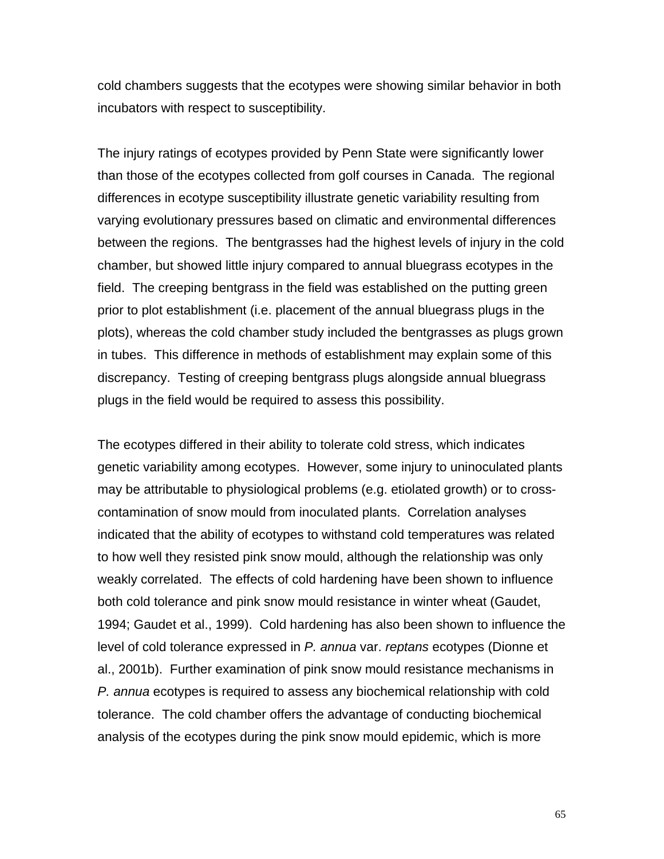cold chambers suggests that the ecotypes were showing similar behavior in both incubators with respect to susceptibility.

The injury ratings of ecotypes provided by Penn State were significantly lower than those of the ecotypes collected from golf courses in Canada. The regional differences in ecotype susceptibility illustrate genetic variability resulting from varying evolutionary pressures based on climatic and environmental differences between the regions. The bentgrasses had the highest levels of injury in the cold chamber, but showed little injury compared to annual bluegrass ecotypes in the field. The creeping bentgrass in the field was established on the putting green prior to plot establishment (i.e. placement of the annual bluegrass plugs in the plots), whereas the cold chamber study included the bentgrasses as plugs grown in tubes. This difference in methods of establishment may explain some of this discrepancy. Testing of creeping bentgrass plugs alongside annual bluegrass plugs in the field would be required to assess this possibility.

The ecotypes differed in their ability to tolerate cold stress, which indicates genetic variability among ecotypes. However, some injury to uninoculated plants may be attributable to physiological problems (e.g. etiolated growth) or to crosscontamination of snow mould from inoculated plants. Correlation analyses indicated that the ability of ecotypes to withstand cold temperatures was related to how well they resisted pink snow mould, although the relationship was only weakly correlated. The effects of cold hardening have been shown to influence both cold tolerance and pink snow mould resistance in winter wheat (Gaudet, 1994; Gaudet et al., 1999). Cold hardening has also been shown to influence the level of cold tolerance expressed in *P. annua* var. *reptans* ecotypes (Dionne et al., 2001b). Further examination of pink snow mould resistance mechanisms in *P. annua* ecotypes is required to assess any biochemical relationship with cold tolerance. The cold chamber offers the advantage of conducting biochemical analysis of the ecotypes during the pink snow mould epidemic, which is more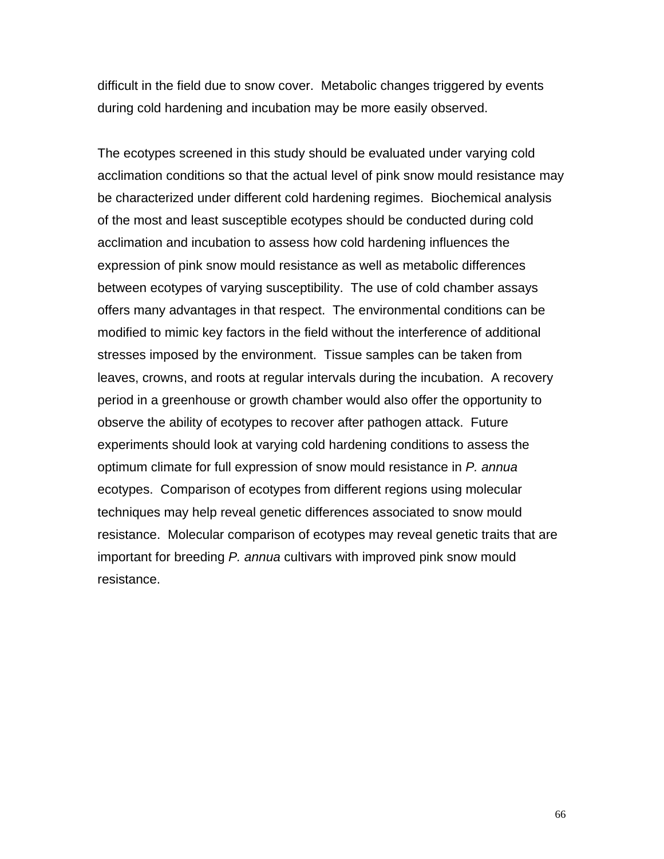difficult in the field due to snow cover. Metabolic changes triggered by events during cold hardening and incubation may be more easily observed.

The ecotypes screened in this study should be evaluated under varying cold acclimation conditions so that the actual level of pink snow mould resistance may be characterized under different cold hardening regimes. Biochemical analysis of the most and least susceptible ecotypes should be conducted during cold acclimation and incubation to assess how cold hardening influences the expression of pink snow mould resistance as well as metabolic differences between ecotypes of varying susceptibility. The use of cold chamber assays offers many advantages in that respect. The environmental conditions can be modified to mimic key factors in the field without the interference of additional stresses imposed by the environment. Tissue samples can be taken from leaves, crowns, and roots at regular intervals during the incubation. A recovery period in a greenhouse or growth chamber would also offer the opportunity to observe the ability of ecotypes to recover after pathogen attack. Future experiments should look at varying cold hardening conditions to assess the optimum climate for full expression of snow mould resistance in *P. annua* ecotypes. Comparison of ecotypes from different regions using molecular techniques may help reveal genetic differences associated to snow mould resistance. Molecular comparison of ecotypes may reveal genetic traits that are important for breeding *P. annua* cultivars with improved pink snow mould resistance.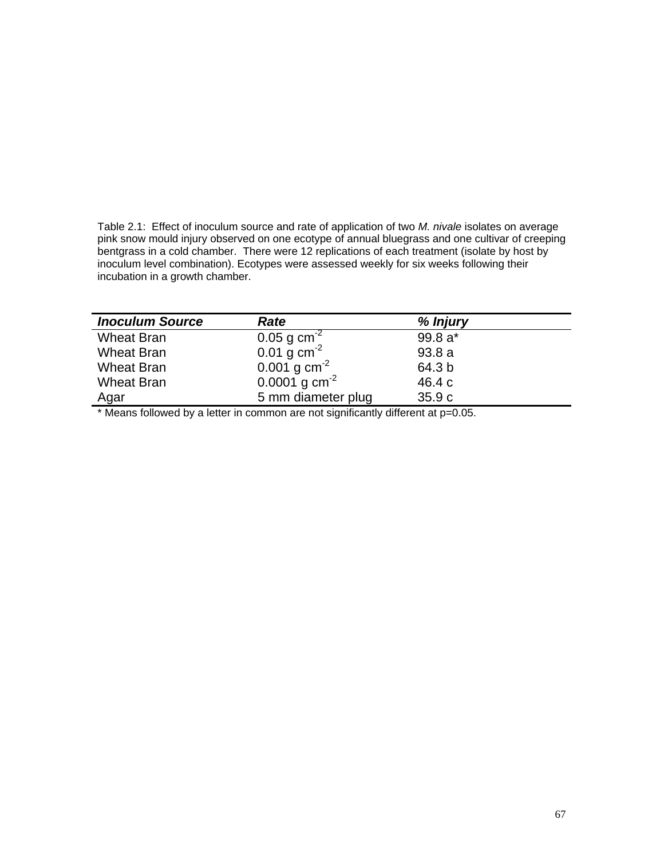Table 2.1: Effect of inoculum source and rate of application of two *M. nivale* isolates on average pink snow mould injury observed on one ecotype of annual bluegrass and one cultivar of creeping bentgrass in a cold chamber. There were 12 replications of each treatment (isolate by host by inoculum level combination). Ecotypes were assessed weekly for six weeks following their incubation in a growth chamber.

| <b>Inoculum Source</b> | Rate                       | % Injury  |
|------------------------|----------------------------|-----------|
| <b>Wheat Bran</b>      | 0.05 g $cm^{-2}$           | $99.8 a*$ |
| <b>Wheat Bran</b>      | 0.01 g $cm^{-2}$           | 93.8a     |
| <b>Wheat Bran</b>      | $0.001$ g cm <sup>-2</sup> | 64.3 b    |
| <b>Wheat Bran</b>      | 0.0001 g $cm^{-2}$         | 46.4 c    |
| <u>Agar</u>            | 5 mm diameter plug         | 35.9c     |

\* Means followed by a letter in common are not significantly different at p=0.05.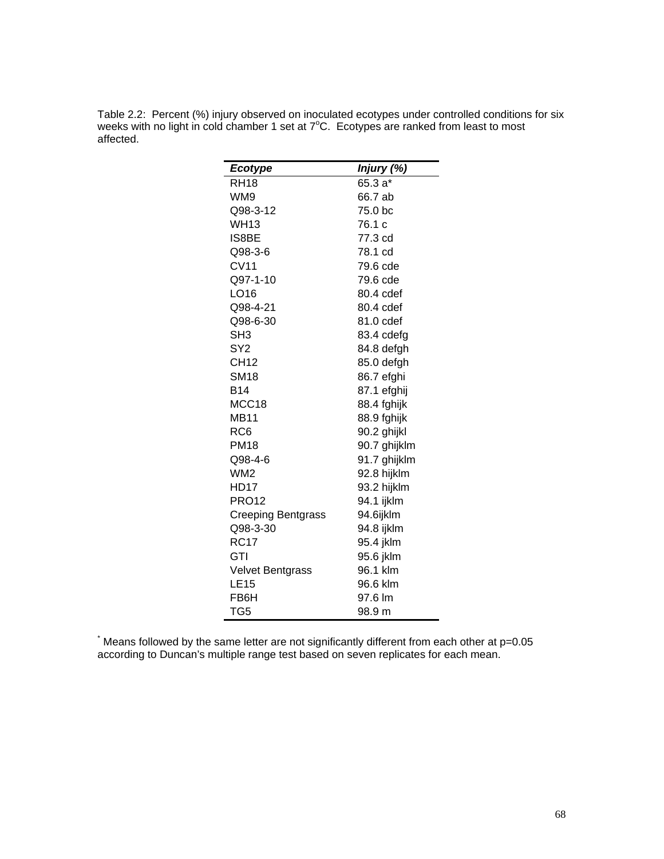Table 2.2: Percent (%) injury observed on inoculated ecotypes under controlled conditions for six weeks with no light in cold chamber 1 set at  $7^{\circ}$ C. Ecotypes are ranked from least to most affected.

| <b>Ecotype</b>            | Injury (%)   |
|---------------------------|--------------|
| <b>RH18</b>               | 65.3 a*      |
| WM9                       | 66.7 ab      |
| Q98-3-12                  | 75.0 bc      |
| <b>WH13</b>               | 76.1 c       |
| IS8BE                     | 77.3 cd      |
| Q98-3-6                   | 78.1 cd      |
| <b>CV11</b>               | 79.6 cde     |
| Q97-1-10                  | 79.6 cde     |
| LO16                      | 80.4 cdef    |
| Q98-4-21                  | 80.4 cdef    |
| Q98-6-30                  | 81.0 cdef    |
| SH <sub>3</sub>           | 83.4 cdefg   |
| SY2                       | 84.8 defgh   |
| <b>CH12</b>               | 85.0 defgh   |
| <b>SM18</b>               | 86.7 efghi   |
| B14                       | 87.1 efghij  |
| MCC18                     | 88.4 fghijk  |
| <b>MB11</b>               | 88.9 fghijk  |
| RC <sub>6</sub>           | 90.2 ghijkl  |
| <b>PM18</b>               | 90.7 ghijklm |
| Q98-4-6                   | 91.7 ghijklm |
| WM <sub>2</sub>           | 92.8 hijklm  |
| HD17                      | 93.2 hijklm  |
| <b>PRO12</b>              | 94.1 ijklm   |
| <b>Creeping Bentgrass</b> | 94.6ijklm    |
| Q98-3-30                  | 94.8 ijklm   |
| <b>RC17</b>               | 95.4 jklm    |
| GTI                       | 95.6 jklm    |
| <b>Velvet Bentgrass</b>   | 96.1 klm     |
| <b>LE15</b>               | 96.6 klm     |
| FB6H                      | 97.6 lm      |
| TG <sub>5</sub>           | 98.9 m       |

\* Means followed by the same letter are not significantly different from each other at p=0.05 according to Duncan's multiple range test based on seven replicates for each mean.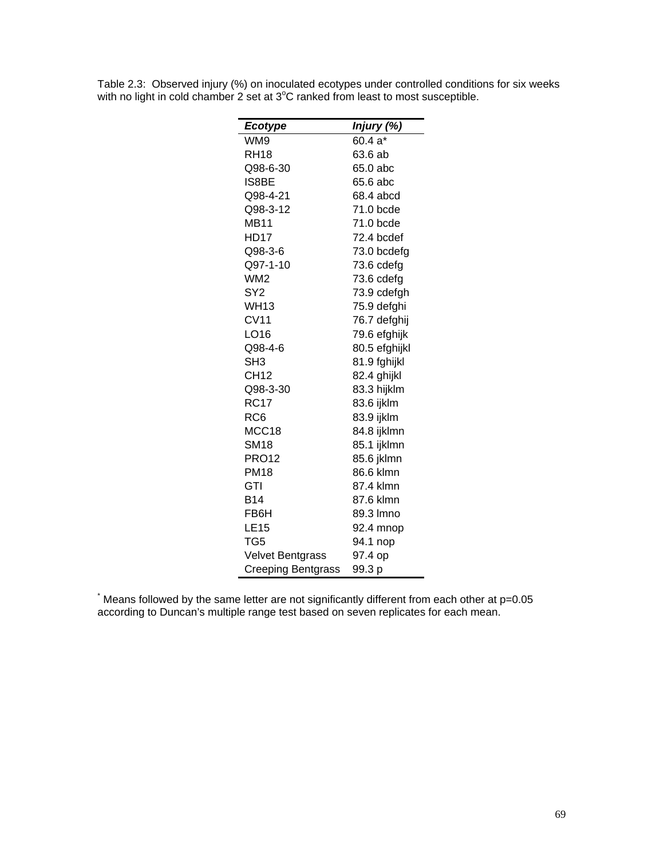| Ecotype                   | Injury (%)    |
|---------------------------|---------------|
| WM9                       | 60.4 a*       |
| <b>RH18</b>               | 63.6 ab       |
| Q98-6-30                  | 65.0 abc      |
| IS8BE                     | 65.6 abc      |
| Q98-4-21                  | 68.4 abcd     |
| Q98-3-12                  | 71.0 bcde     |
| <b>MB11</b>               | 71.0 bcde     |
| HD17                      | 72.4 bcdef    |
| Q98-3-6                   | 73.0 bcdefg   |
| Q97-1-10                  | 73.6 cdefg    |
| WM <sub>2</sub>           | 73.6 cdefg    |
| SY <sub>2</sub>           | 73.9 cdefgh   |
| <b>WH13</b>               | 75.9 defghi   |
| <b>CV11</b>               | 76.7 defghij  |
| LO16                      | 79.6 efghijk  |
| Q98-4-6                   | 80.5 efghijkl |
| SH <sub>3</sub>           | 81.9 fghijkl  |
| <b>CH12</b>               | 82.4 ghijkl   |
| Q98-3-30                  | 83.3 hijklm   |
| <b>RC17</b>               | 83.6 ijklm    |
| RC <sub>6</sub>           | 83.9 ijklm    |
| MCC18                     | 84.8 ijklmn   |
| <b>SM18</b>               | 85.1 ijklmn   |
| <b>PRO12</b>              | 85.6 jklmn    |
| <b>PM18</b>               | 86.6 klmn     |
| GTI                       | 87.4 klmn     |
| B14                       | 87.6 klmn     |
| FB6H                      | 89.3 Imno     |
| <b>LE15</b>               | 92.4 mnop     |
| TG5                       | 94.1 nop      |
| <b>Velvet Bentgrass</b>   | 97.4 op       |
| <b>Creeping Bentgrass</b> | 99.3 p        |

Table 2.3: Observed injury (%) on inoculated ecotypes under controlled conditions for six weeks with no light in cold chamber 2 set at  $3^{\circ}$ C ranked from least to most susceptible.

\* Means followed by the same letter are not significantly different from each other at p=0.05 according to Duncan's multiple range test based on seven replicates for each mean.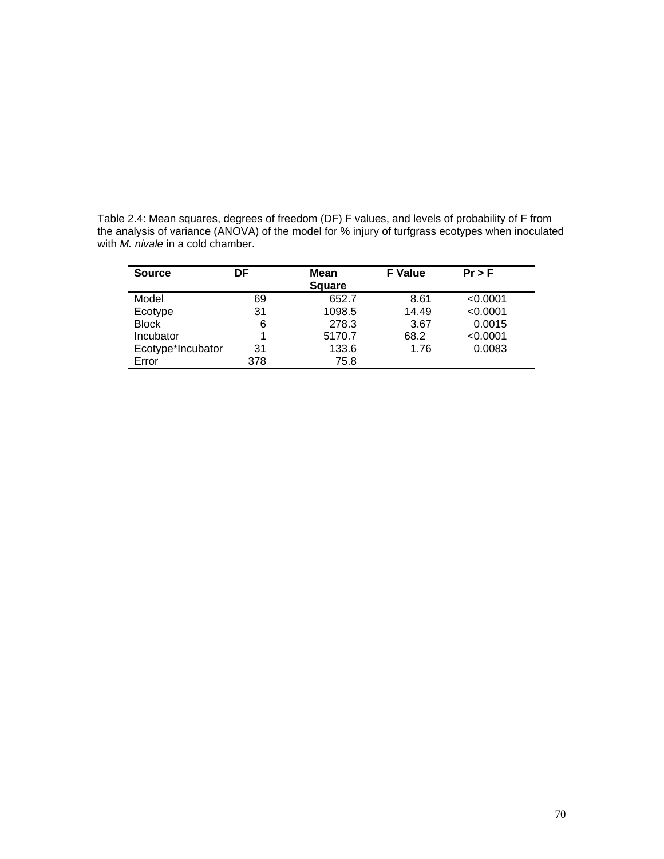| <b>Source</b>     | DF  | <b>Mean</b>   |       | $Pr$ > F |
|-------------------|-----|---------------|-------|----------|
|                   |     | <b>Square</b> |       |          |
| Model             | 69  | 652.7         | 8.61  | < 0.0001 |
| Ecotype           | 31  | 1098.5        | 14.49 | < 0.0001 |
| <b>Block</b>      | 6   | 278.3         | 3.67  | 0.0015   |
| Incubator         | 1   | 5170.7        | 68.2  | < 0.0001 |
| Ecotype*Incubator | 31  | 133.6         | 1.76  | 0.0083   |
| Error             | 378 | 75.8          |       |          |

Table 2.4: Mean squares, degrees of freedom (DF) F values, and levels of probability of F from the analysis of variance (ANOVA) of the model for % injury of turfgrass ecotypes when inoculated with *M. nivale* in a cold chamber.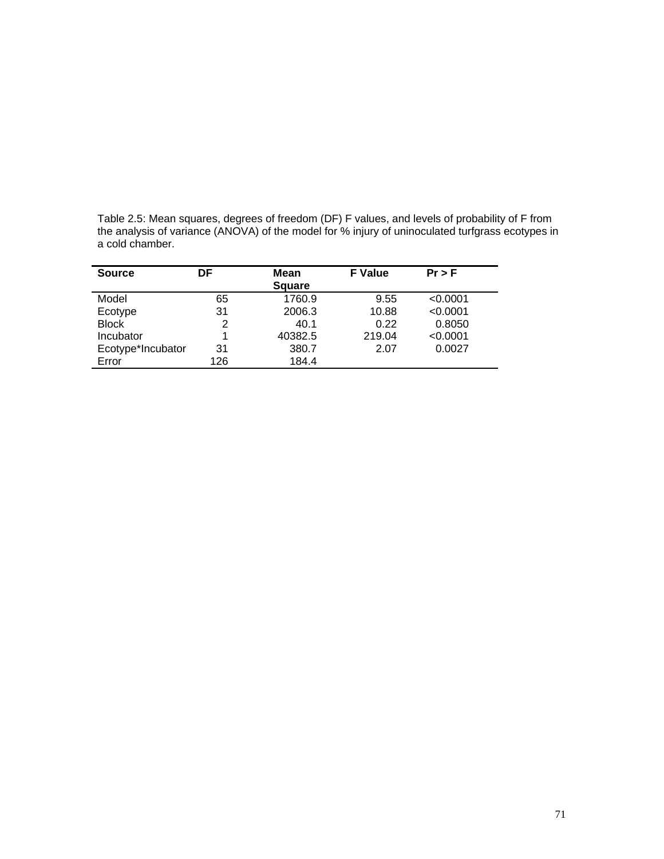|                 | -- |                                                                                                                                                                                                    |  |  |
|-----------------|----|----------------------------------------------------------------------------------------------------------------------------------------------------------------------------------------------------|--|--|
| a cold chamber. |    |                                                                                                                                                                                                    |  |  |
|                 |    | Table 2.5: Mean squares, degrees of freedom (DF) F values, and levels of probability of F from<br>the analysis of variance (ANOVA) of the model for % injury of uninoculated turfgrass ecotypes in |  |  |
|                 |    |                                                                                                                                                                                                    |  |  |

| <b>Source</b>     | DF  | <b>Mean</b>   | <b>F</b> Value | $Pr$ > F |
|-------------------|-----|---------------|----------------|----------|
|                   |     | <b>Square</b> |                |          |
| Model             | 65  | 1760.9        | 9.55           | < 0.0001 |
| Ecotype           | 31  | 2006.3        | 10.88          | < 0.0001 |
| <b>Block</b>      | 2   | 40.1          | 0.22           | 0.8050   |
| Incubator         |     | 40382.5       | 219.04         | < 0.0001 |
| Ecotype*Incubator | 31  | 380.7         | 2.07           | 0.0027   |
| Error             | 126 | 184.4         |                |          |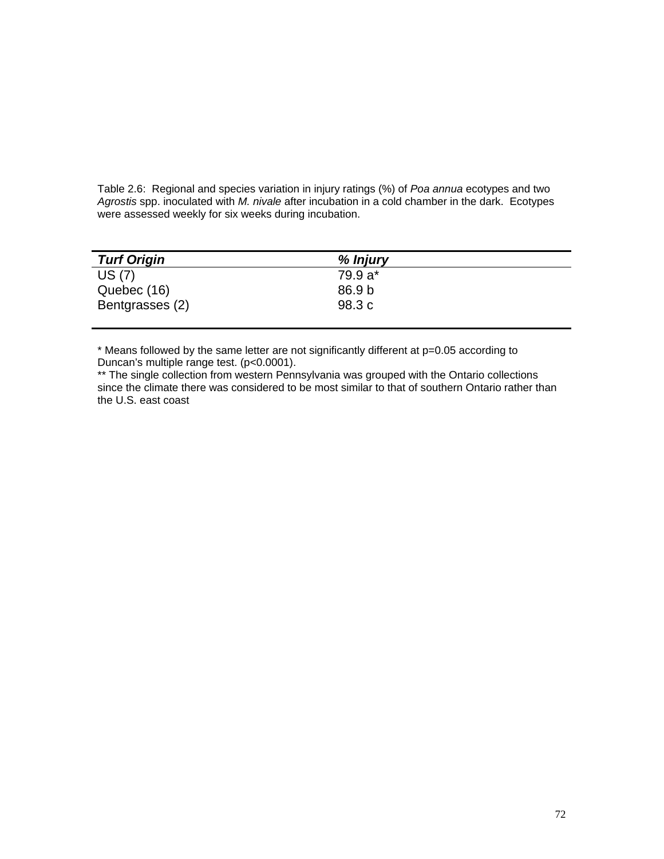Table 2.6: Regional and species variation in injury ratings (%) of *Poa annua* ecotypes and two *Agrostis* spp. inoculated with *M. nivale* after incubation in a cold chamber in the dark. Ecotypes were assessed weekly for six weeks during incubation.

| <b>Turf Origin</b> | % Injury |
|--------------------|----------|
| US (7)             | 79.9 a*  |
| Quebec (16)        | 86.9 b   |
| Bentgrasses (2)    | 98.3 c   |

\* Means followed by the same letter are not significantly different at p=0.05 according to Duncan's multiple range test. (p<0.0001).

\*\* The single collection from western Pennsylvania was grouped with the Ontario collections since the climate there was considered to be most similar to that of southern Ontario rather than the U.S. east coast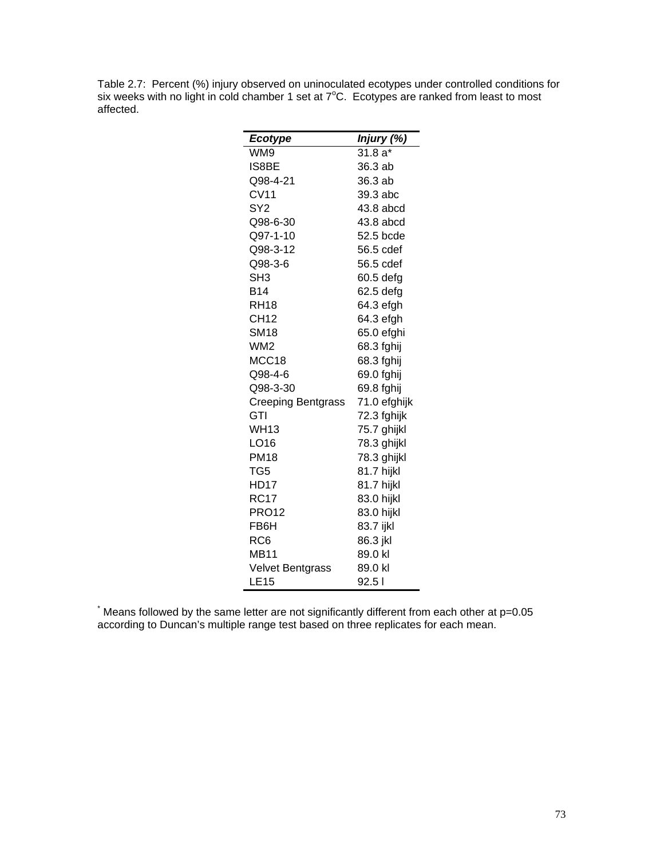Table 2.7: Percent (%) injury observed on uninoculated ecotypes under controlled conditions for six weeks with no light in cold chamber 1 set at  $7^{\circ}$ C. Ecotypes are ranked from least to most affected.

| Ecotype                   | Injury (%)   |
|---------------------------|--------------|
| WM9                       | $31.8a*$     |
| IS8BE                     | 36.3 ab      |
| Q98-4-21                  | 36.3 ab      |
| CV11                      | 39.3 abc     |
| SY <sub>2</sub>           | 43.8 abcd    |
| Q98-6-30                  | 43.8 abcd    |
| Q97-1-10                  | 52.5 bcde    |
| Q98-3-12                  | 56.5 cdef    |
| Q98-3-6                   | 56.5 cdef    |
| SH <sub>3</sub>           | 60.5 defg    |
| <b>B14</b>                | 62.5 defg    |
| <b>RH18</b>               | 64.3 efgh    |
| CH12                      | 64.3 efgh    |
| SM18                      | 65.0 efghi   |
| WM2                       | 68.3 fghij   |
| MCC18                     | 68.3 fghij   |
| Q98-4-6                   | 69.0 fghij   |
| Q98-3-30                  | 69.8 fghij   |
| <b>Creeping Bentgrass</b> | 71.0 efghijk |
| GTI                       | 72.3 fghijk  |
| WH13                      | 75.7 ghijkl  |
| LO16                      | 78.3 ghijkl  |
| <b>PM18</b>               | 78.3 ghijkl  |
| TG5                       | 81.7 hijkl   |
| HD17                      | 81.7 hijkl   |
| <b>RC17</b>               | 83.0 hijkl   |
| <b>PRO12</b>              | 83.0 hijkl   |
| FB6H                      | 83.7 ijkl    |
| RC6                       | 86.3 jkl     |
| <b>MB11</b>               | 89.0 kl      |
| <b>Velvet Bentgrass</b>   | 89.0 kl      |
| <b>LE15</b>               | 92.51        |

\* Means followed by the same letter are not significantly different from each other at p=0.05 according to Duncan's multiple range test based on three replicates for each mean.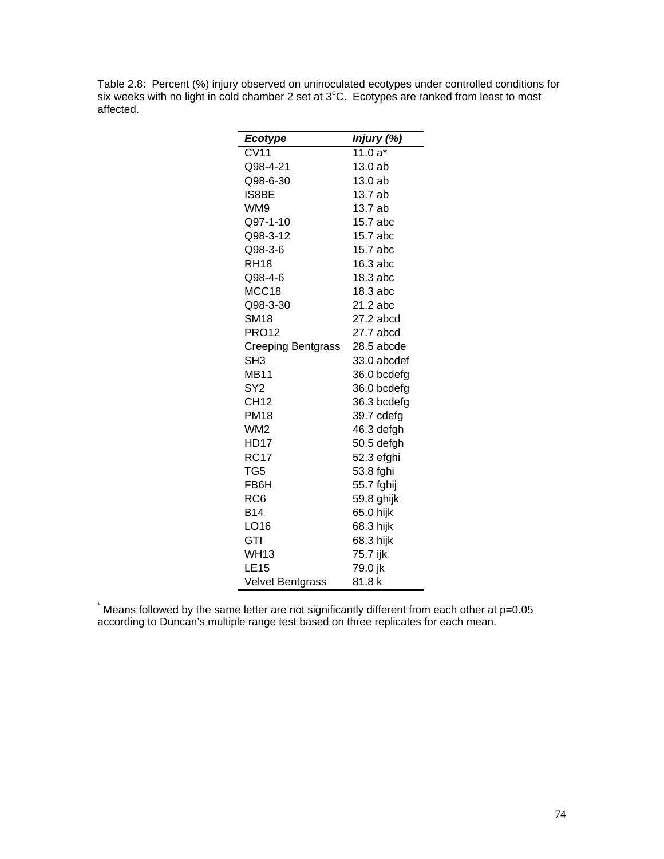Table 2.8: Percent (%) injury observed on uninoculated ecotypes under controlled conditions for six weeks with no light in cold chamber 2 set at 3°C. Ecotypes are ranked from least to most affected.

| <b>Ecotype</b>            | Injury (%)  |
|---------------------------|-------------|
| CV11                      | 11.0 $a^*$  |
| Q98-4-21                  | 13.0 ab     |
| Q98-6-30                  | 13.0 ab     |
| IS8BE                     | 13.7 ab     |
| WM9                       | 13.7 ab     |
| Q97-1-10                  | 15.7 abc    |
| Q98-3-12                  | 15.7 abc    |
| Q98-3-6                   | 15.7 abc    |
| RH <sub>18</sub>          | 16.3 abc    |
| Q98-4-6                   | 18.3 abc    |
| MCC18                     | 18.3 abc    |
| Q98-3-30                  | 21.2 abc    |
| SM18                      | 27.2 abcd   |
| <b>PRO12</b>              | 27.7 abcd   |
| <b>Creeping Bentgrass</b> | 28.5 abcde  |
| SH <sub>3</sub>           | 33.0 abcdef |
| <b>MB11</b>               | 36.0 bcdefg |
| SY <sub>2</sub>           | 36.0 bcdefg |
| CH12                      | 36.3 bcdefg |
| <b>PM18</b>               | 39.7 cdefg  |
| WM <sub>2</sub>           | 46.3 defgh  |
| <b>HD17</b>               | 50.5 defgh  |
| <b>RC17</b>               | 52.3 efghi  |
| TG5                       | 53.8 fghi   |
| FB6H                      | 55.7 fghij  |
| RC6                       | 59.8 ghijk  |
| B14                       | 65.0 hijk   |
| LO16                      | 68.3 hijk   |
| GTI                       | 68.3 hijk   |
| WH13                      | 75.7 ijk    |
| LE15                      | 79.0 jk     |
| <b>Velvet Bentgrass</b>   | 81.8k       |

\* Means followed by the same letter are not significantly different from each other at p=0.05 according to Duncan's multiple range test based on three replicates for each mean.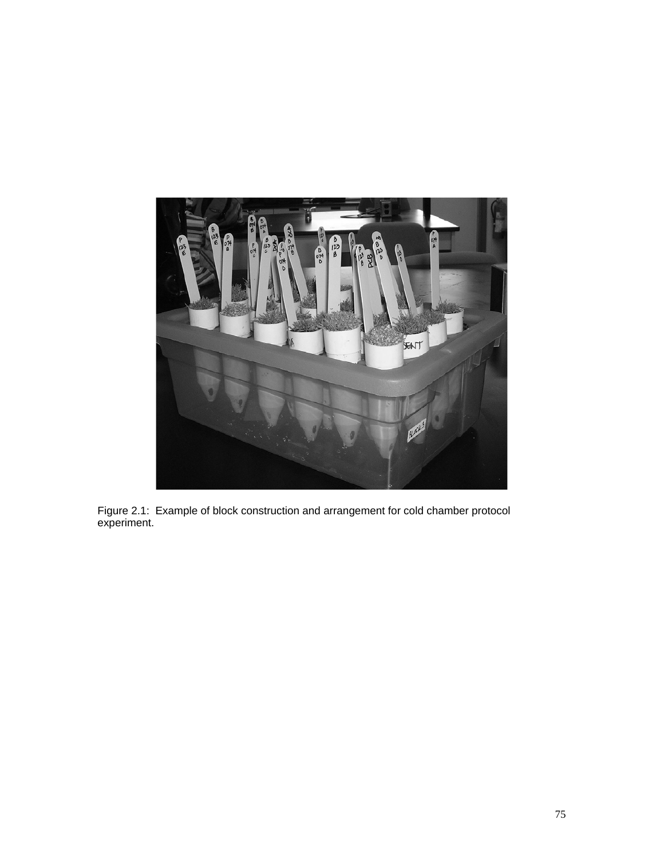

Figure 2.1: Example of block construction and arrangement for cold chamber protocol experiment.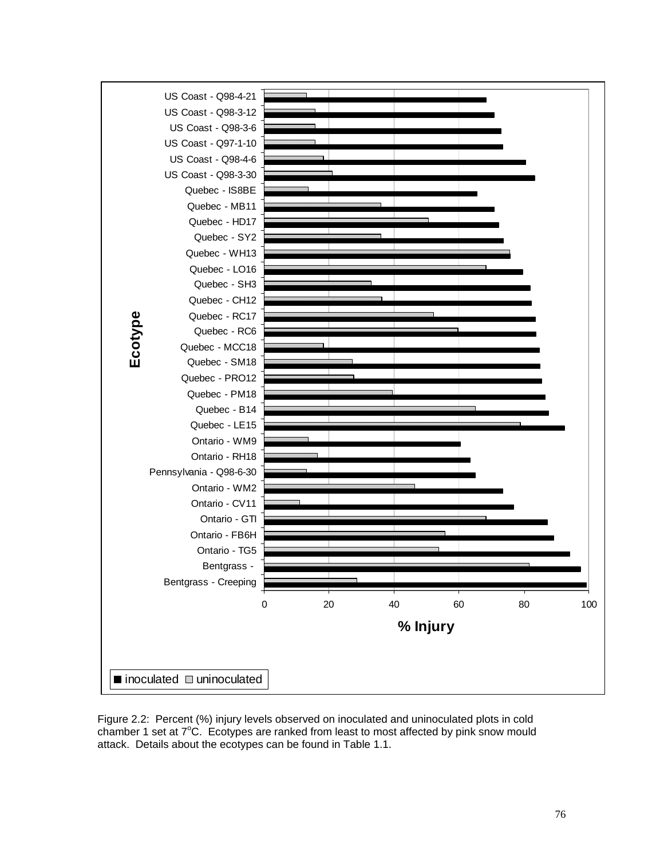

Figure 2.2: Percent (%) injury levels observed on inoculated and uninoculated plots in cold chamber 1 set at 7°C. Ecotypes are ranked from least to most affected by pink snow mould attack. Details about the ecotypes can be found in Table 1.1.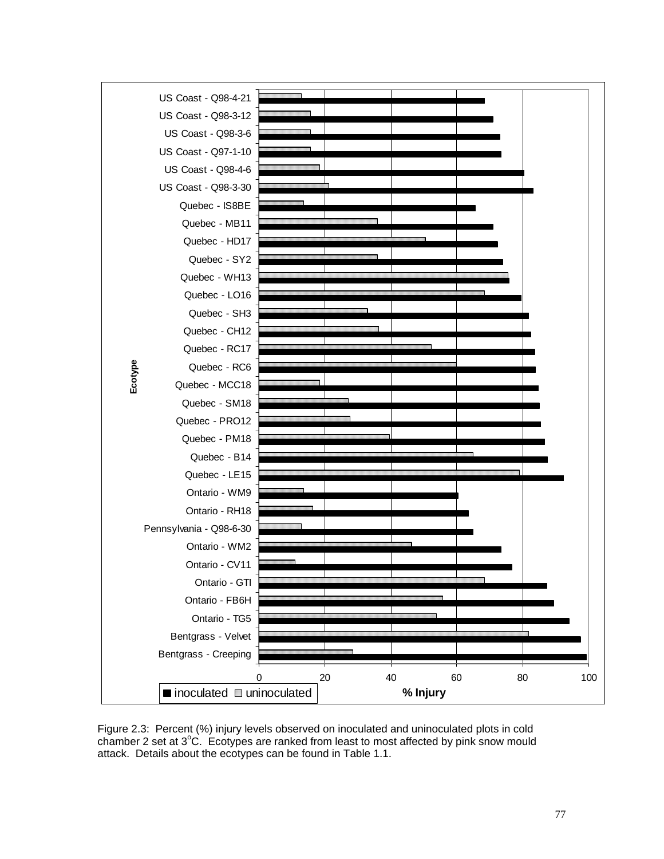

Figure 2.3: Percent (%) injury levels observed on inoculated and uninoculated plots in cold chamber 2 set at 3°C. Ecotypes are ranked from least to most affected by pink snow mould attack. Details about the ecotypes can be found in Table 1.1.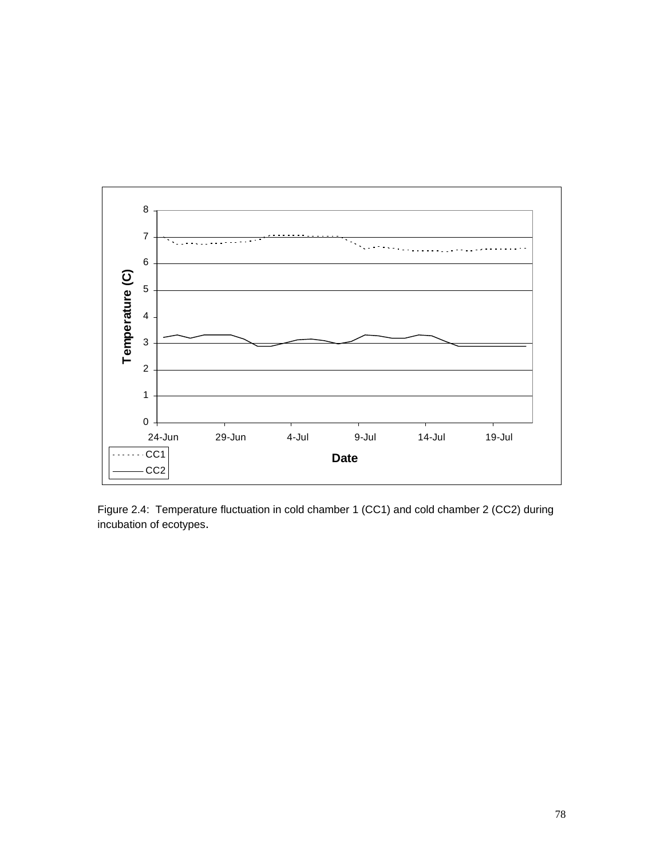

Figure 2.4: Temperature fluctuation in cold chamber 1 (CC1) and cold chamber 2 (CC2) during incubation of ecotypes.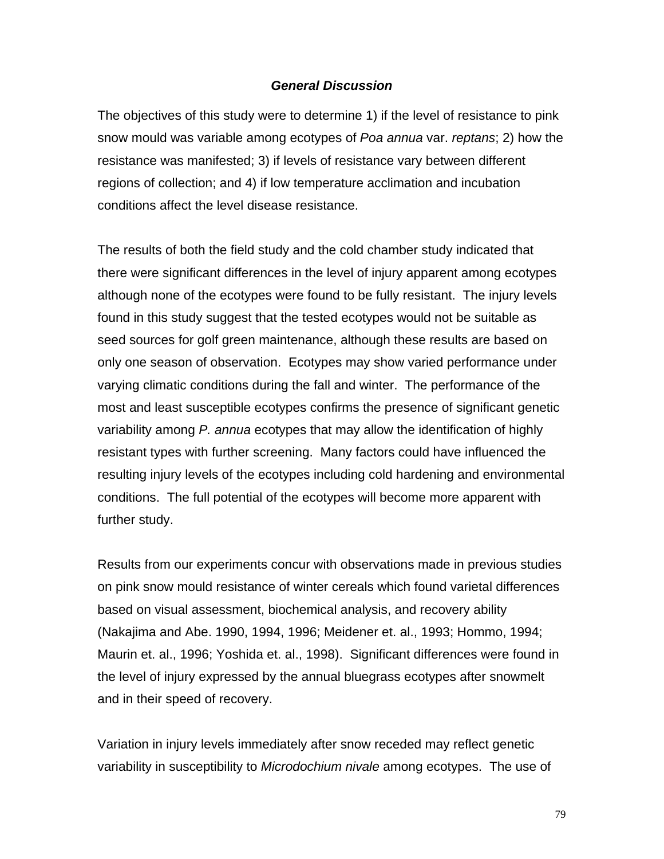## *General Discussion*

The objectives of this study were to determine 1) if the level of resistance to pink snow mould was variable among ecotypes of *Poa annua* var. *reptans*; 2) how the resistance was manifested; 3) if levels of resistance vary between different regions of collection; and 4) if low temperature acclimation and incubation conditions affect the level disease resistance.

The results of both the field study and the cold chamber study indicated that there were significant differences in the level of injury apparent among ecotypes although none of the ecotypes were found to be fully resistant. The injury levels found in this study suggest that the tested ecotypes would not be suitable as seed sources for golf green maintenance, although these results are based on only one season of observation. Ecotypes may show varied performance under varying climatic conditions during the fall and winter. The performance of the most and least susceptible ecotypes confirms the presence of significant genetic variability among *P. annua* ecotypes that may allow the identification of highly resistant types with further screening. Many factors could have influenced the resulting injury levels of the ecotypes including cold hardening and environmental conditions. The full potential of the ecotypes will become more apparent with further study.

Results from our experiments concur with observations made in previous studies on pink snow mould resistance of winter cereals which found varietal differences based on visual assessment, biochemical analysis, and recovery ability (Nakajima and Abe. 1990, 1994, 1996; Meidener et. al., 1993; Hommo, 1994; Maurin et. al., 1996; Yoshida et. al., 1998). Significant differences were found in the level of injury expressed by the annual bluegrass ecotypes after snowmelt and in their speed of recovery.

Variation in injury levels immediately after snow receded may reflect genetic variability in susceptibility to *Microdochium nivale* among ecotypes. The use of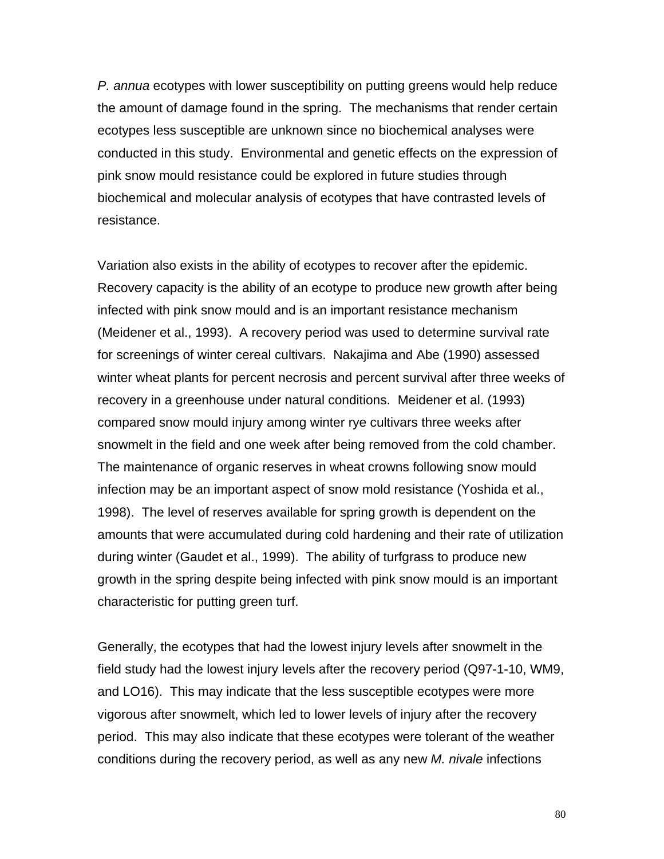*P. annua* ecotypes with lower susceptibility on putting greens would help reduce the amount of damage found in the spring. The mechanisms that render certain ecotypes less susceptible are unknown since no biochemical analyses were conducted in this study. Environmental and genetic effects on the expression of pink snow mould resistance could be explored in future studies through biochemical and molecular analysis of ecotypes that have contrasted levels of resistance.

Variation also exists in the ability of ecotypes to recover after the epidemic. Recovery capacity is the ability of an ecotype to produce new growth after being infected with pink snow mould and is an important resistance mechanism (Meidener et al., 1993). A recovery period was used to determine survival rate for screenings of winter cereal cultivars. Nakajima and Abe (1990) assessed winter wheat plants for percent necrosis and percent survival after three weeks of recovery in a greenhouse under natural conditions. Meidener et al. (1993) compared snow mould injury among winter rye cultivars three weeks after snowmelt in the field and one week after being removed from the cold chamber. The maintenance of organic reserves in wheat crowns following snow mould infection may be an important aspect of snow mold resistance (Yoshida et al., 1998). The level of reserves available for spring growth is dependent on the amounts that were accumulated during cold hardening and their rate of utilization during winter (Gaudet et al., 1999). The ability of turfgrass to produce new growth in the spring despite being infected with pink snow mould is an important characteristic for putting green turf.

Generally, the ecotypes that had the lowest injury levels after snowmelt in the field study had the lowest injury levels after the recovery period (Q97-1-10, WM9, and LO16). This may indicate that the less susceptible ecotypes were more vigorous after snowmelt, which led to lower levels of injury after the recovery period. This may also indicate that these ecotypes were tolerant of the weather conditions during the recovery period, as well as any new *M. nivale* infections

80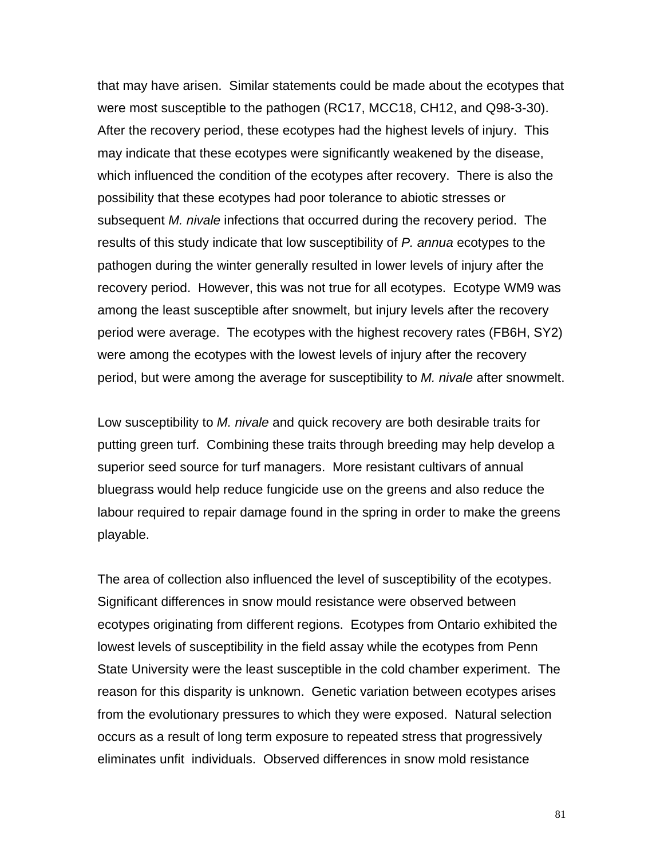that may have arisen. Similar statements could be made about the ecotypes that were most susceptible to the pathogen (RC17, MCC18, CH12, and Q98-3-30). After the recovery period, these ecotypes had the highest levels of injury. This may indicate that these ecotypes were significantly weakened by the disease, which influenced the condition of the ecotypes after recovery. There is also the possibility that these ecotypes had poor tolerance to abiotic stresses or subsequent *M. nivale* infections that occurred during the recovery period. The results of this study indicate that low susceptibility of *P. annua* ecotypes to the pathogen during the winter generally resulted in lower levels of injury after the recovery period. However, this was not true for all ecotypes. Ecotype WM9 was among the least susceptible after snowmelt, but injury levels after the recovery period were average. The ecotypes with the highest recovery rates (FB6H, SY2) were among the ecotypes with the lowest levels of injury after the recovery period, but were among the average for susceptibility to *M. nivale* after snowmelt.

Low susceptibility to *M. nivale* and quick recovery are both desirable traits for putting green turf. Combining these traits through breeding may help develop a superior seed source for turf managers. More resistant cultivars of annual bluegrass would help reduce fungicide use on the greens and also reduce the labour required to repair damage found in the spring in order to make the greens playable.

The area of collection also influenced the level of susceptibility of the ecotypes. Significant differences in snow mould resistance were observed between ecotypes originating from different regions. Ecotypes from Ontario exhibited the lowest levels of susceptibility in the field assay while the ecotypes from Penn State University were the least susceptible in the cold chamber experiment. The reason for this disparity is unknown. Genetic variation between ecotypes arises from the evolutionary pressures to which they were exposed. Natural selection occurs as a result of long term exposure to repeated stress that progressively eliminates unfit individuals. Observed differences in snow mold resistance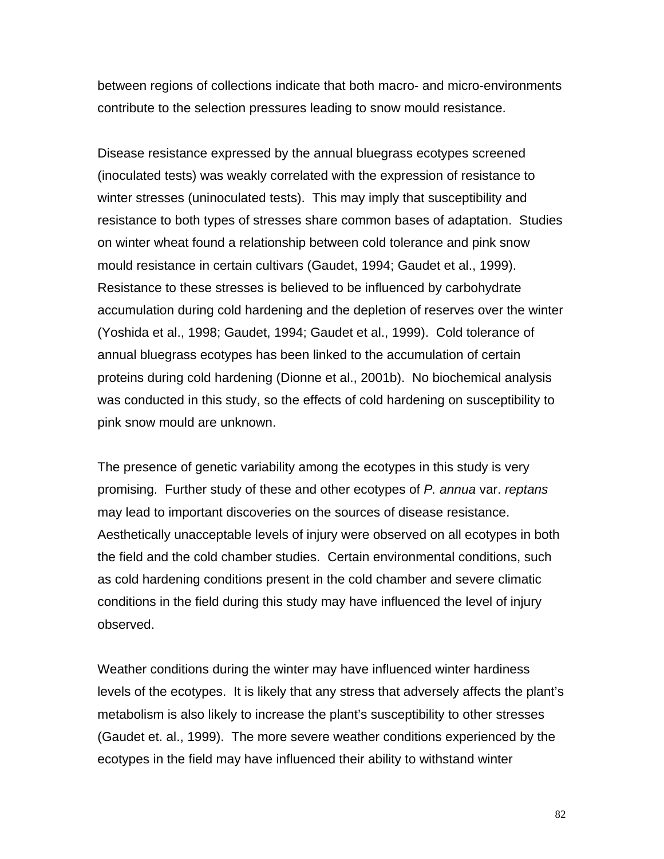between regions of collections indicate that both macro- and micro-environments contribute to the selection pressures leading to snow mould resistance.

Disease resistance expressed by the annual bluegrass ecotypes screened (inoculated tests) was weakly correlated with the expression of resistance to winter stresses (uninoculated tests). This may imply that susceptibility and resistance to both types of stresses share common bases of adaptation. Studies on winter wheat found a relationship between cold tolerance and pink snow mould resistance in certain cultivars (Gaudet, 1994; Gaudet et al., 1999). Resistance to these stresses is believed to be influenced by carbohydrate accumulation during cold hardening and the depletion of reserves over the winter (Yoshida et al., 1998; Gaudet, 1994; Gaudet et al., 1999). Cold tolerance of annual bluegrass ecotypes has been linked to the accumulation of certain proteins during cold hardening (Dionne et al., 2001b). No biochemical analysis was conducted in this study, so the effects of cold hardening on susceptibility to pink snow mould are unknown.

The presence of genetic variability among the ecotypes in this study is very promising. Further study of these and other ecotypes of *P. annua* var. *reptans* may lead to important discoveries on the sources of disease resistance. Aesthetically unacceptable levels of injury were observed on all ecotypes in both the field and the cold chamber studies. Certain environmental conditions, such as cold hardening conditions present in the cold chamber and severe climatic conditions in the field during this study may have influenced the level of injury observed.

Weather conditions during the winter may have influenced winter hardiness levels of the ecotypes. It is likely that any stress that adversely affects the plant's metabolism is also likely to increase the plant's susceptibility to other stresses (Gaudet et. al., 1999). The more severe weather conditions experienced by the ecotypes in the field may have influenced their ability to withstand winter

82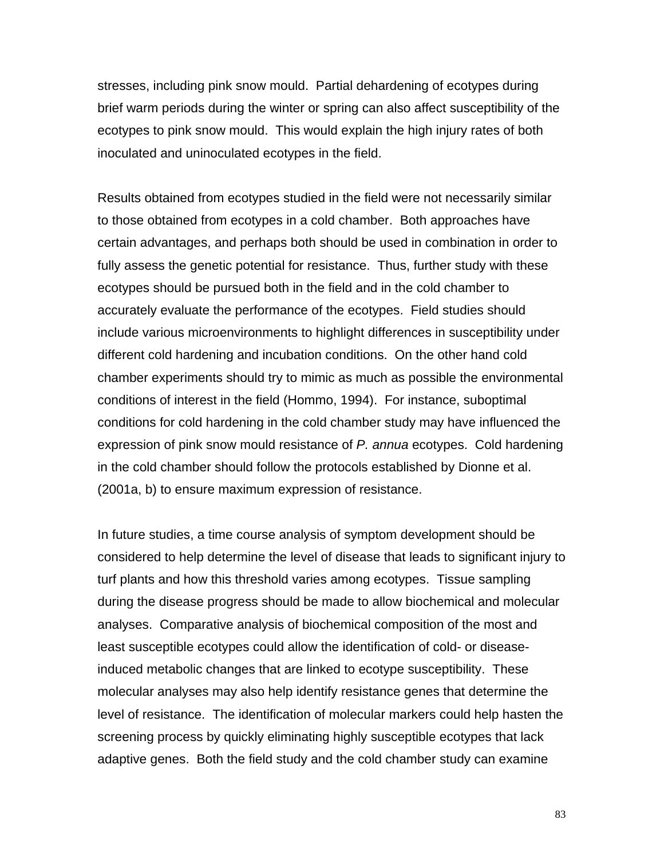stresses, including pink snow mould. Partial dehardening of ecotypes during brief warm periods during the winter or spring can also affect susceptibility of the ecotypes to pink snow mould. This would explain the high injury rates of both inoculated and uninoculated ecotypes in the field.

Results obtained from ecotypes studied in the field were not necessarily similar to those obtained from ecotypes in a cold chamber. Both approaches have certain advantages, and perhaps both should be used in combination in order to fully assess the genetic potential for resistance. Thus, further study with these ecotypes should be pursued both in the field and in the cold chamber to accurately evaluate the performance of the ecotypes. Field studies should include various microenvironments to highlight differences in susceptibility under different cold hardening and incubation conditions. On the other hand cold chamber experiments should try to mimic as much as possible the environmental conditions of interest in the field (Hommo, 1994). For instance, suboptimal conditions for cold hardening in the cold chamber study may have influenced the expression of pink snow mould resistance of *P. annua* ecotypes. Cold hardening in the cold chamber should follow the protocols established by Dionne et al. (2001a, b) to ensure maximum expression of resistance.

In future studies, a time course analysis of symptom development should be considered to help determine the level of disease that leads to significant injury to turf plants and how this threshold varies among ecotypes. Tissue sampling during the disease progress should be made to allow biochemical and molecular analyses. Comparative analysis of biochemical composition of the most and least susceptible ecotypes could allow the identification of cold- or diseaseinduced metabolic changes that are linked to ecotype susceptibility. These molecular analyses may also help identify resistance genes that determine the level of resistance. The identification of molecular markers could help hasten the screening process by quickly eliminating highly susceptible ecotypes that lack adaptive genes. Both the field study and the cold chamber study can examine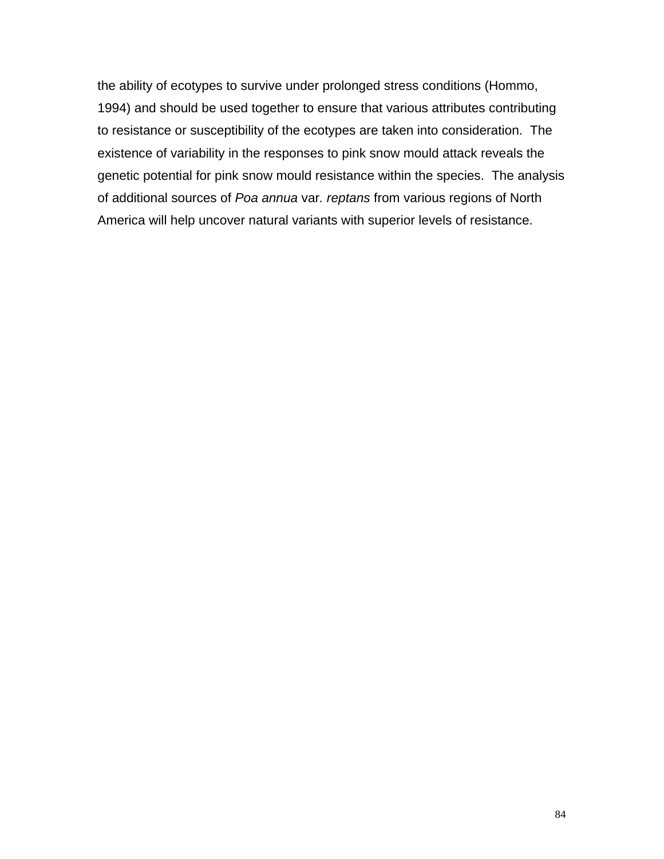the ability of ecotypes to survive under prolonged stress conditions (Hommo, 1994) and should be used together to ensure that various attributes contributing to resistance or susceptibility of the ecotypes are taken into consideration. The existence of variability in the responses to pink snow mould attack reveals the genetic potential for pink snow mould resistance within the species. The analysis of additional sources of *Poa annua* var*. reptans* from various regions of North America will help uncover natural variants with superior levels of resistance.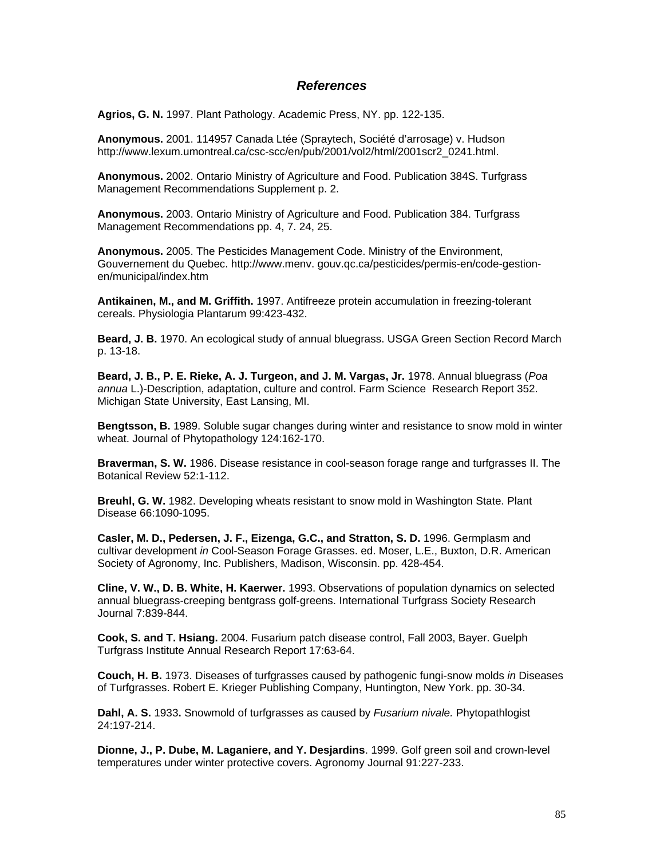## *References*

**Agrios, G. N.** 1997. Plant Pathology. Academic Press, NY. pp. 122-135.

**Anonymous.** 2001. 114957 Canada Ltée (Spraytech, Société d'arrosage) v. Hudson http://www.lexum.umontreal.ca/csc-scc/en/pub/2001/vol2/html/2001scr2\_0241.html.

**Anonymous.** 2002. Ontario Ministry of Agriculture and Food. Publication 384S. Turfgrass Management Recommendations Supplement p. 2.

**Anonymous.** 2003. Ontario Ministry of Agriculture and Food. Publication 384. Turfgrass Management Recommendations pp. 4, 7. 24, 25.

**Anonymous.** 2005. The Pesticides Management Code. Ministry of the Environment, Gouvernement du Quebec. http://www.menv. gouv.qc.ca/pesticides/permis-en/code-gestionen/municipal/index.htm

**Antikainen, M., and M. Griffith.** 1997. Antifreeze protein accumulation in freezing-tolerant cereals. Physiologia Plantarum 99:423-432.

**Beard, J. B.** 1970. An ecological study of annual bluegrass. USGA Green Section Record March p. 13-18.

**Beard, J. B., P. E. Rieke, A. J. Turgeon, and J. M. Vargas, Jr.** 1978. Annual bluegrass (*Poa annua* L.)-Description, adaptation, culture and control. Farm Science Research Report 352. Michigan State University, East Lansing, MI.

**Bengtsson, B.** 1989. Soluble sugar changes during winter and resistance to snow mold in winter wheat. Journal of Phytopathology 124:162-170.

**Braverman, S. W.** 1986. Disease resistance in cool-season forage range and turfgrasses II. The Botanical Review 52:1-112.

**Breuhl, G. W.** 1982. Developing wheats resistant to snow mold in Washington State. Plant Disease 66:1090-1095.

**Casler, M. D., Pedersen, J. F., Eizenga, G.C., and Stratton, S. D.** 1996. Germplasm and cultivar development *in* Cool-Season Forage Grasses. ed. Moser, L.E., Buxton, D.R. American Society of Agronomy, Inc. Publishers, Madison, Wisconsin. pp. 428-454.

**Cline, V. W., D. B. White, H. Kaerwer.** 1993. Observations of population dynamics on selected annual bluegrass-creeping bentgrass golf-greens. International Turfgrass Society Research Journal 7:839-844.

**Cook, S. and T. Hsiang.** 2004. Fusarium patch disease control, Fall 2003, Bayer. Guelph Turfgrass Institute Annual Research Report 17:63-64.

**Couch, H. B.** 1973. Diseases of turfgrasses caused by pathogenic fungi-snow molds *in* Diseases of Turfgrasses. Robert E. Krieger Publishing Company, Huntington, New York. pp. 30-34.

**Dahl, A. S.** 1933**.** Snowmold of turfgrasses as caused by *Fusarium nivale.* Phytopathlogist 24:197-214.

**Dionne, J., P. Dube, M. Laganiere, and Y. Desjardins**. 1999. Golf green soil and crown-level temperatures under winter protective covers. Agronomy Journal 91:227-233.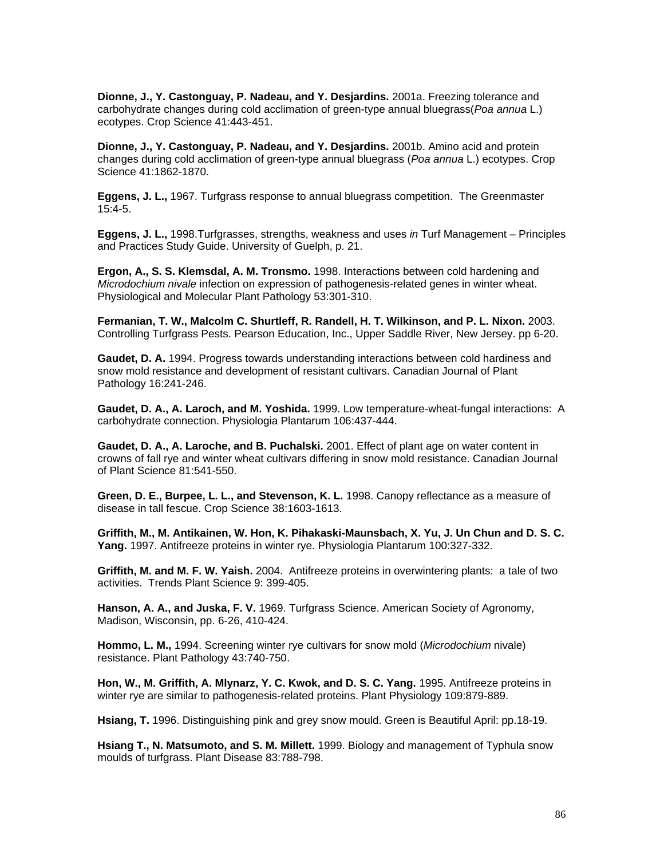**Dionne, J., Y. Castonguay, P. Nadeau, and Y. Desjardins.** 2001a. Freezing tolerance and carbohydrate changes during cold acclimation of green-type annual bluegrass(*Poa annua* L.) ecotypes. Crop Science 41:443-451.

**Dionne, J., Y. Castonguay, P. Nadeau, and Y. Desjardins.** 2001b. Amino acid and protein changes during cold acclimation of green-type annual bluegrass (*Poa annua* L.) ecotypes. Crop Science 41:1862-1870.

**Eggens, J. L.,** 1967. Turfgrass response to annual bluegrass competition. The Greenmaster 15:4-5.

**Eggens, J. L.,** 1998.Turfgrasses, strengths, weakness and uses *in* Turf Management – Principles and Practices Study Guide. University of Guelph, p. 21.

**Ergon, A., S. S. Klemsdal, A. M. Tronsmo.** 1998. Interactions between cold hardening and *Microdochium nivale* infection on expression of pathogenesis-related genes in winter wheat. Physiological and Molecular Plant Pathology 53:301-310.

**Fermanian, T. W., Malcolm C. Shurtleff, R. Randell, H. T. Wilkinson, and P. L. Nixon.** 2003. Controlling Turfgrass Pests. Pearson Education, Inc., Upper Saddle River, New Jersey. pp 6-20.

**Gaudet, D. A.** 1994. Progress towards understanding interactions between cold hardiness and snow mold resistance and development of resistant cultivars. Canadian Journal of Plant Pathology 16:241-246.

**Gaudet, D. A., A. Laroch, and M. Yoshida.** 1999. Low temperature-wheat-fungal interactions: A carbohydrate connection. Physiologia Plantarum 106:437-444.

**Gaudet, D. A., A. Laroche, and B. Puchalski.** 2001. Effect of plant age on water content in crowns of fall rye and winter wheat cultivars differing in snow mold resistance. Canadian Journal of Plant Science 81:541-550.

**Green, D. E., Burpee, L. L., and Stevenson, K. L.** 1998. Canopy reflectance as a measure of disease in tall fescue. Crop Science 38:1603-1613.

**Griffith, M., M. Antikainen, W. Hon, K. Pihakaski-Maunsbach, X. Yu, J. Un Chun and D. S. C. Yang.** 1997. Antifreeze proteins in winter rye. Physiologia Plantarum 100:327-332.

**Griffith, M. and M. F. W. Yaish.** 2004. Antifreeze proteins in overwintering plants: a tale of two activities. Trends Plant Science 9: 399-405.

**Hanson, A. A., and Juska, F. V.** 1969. Turfgrass Science. American Society of Agronomy, Madison, Wisconsin, pp. 6-26, 410-424.

**Hommo, L. M.,** 1994. Screening winter rye cultivars for snow mold (*Microdochium* nivale) resistance. Plant Pathology 43:740-750.

**Hon, W., M. Griffith, A. Mlynarz, Y. C. Kwok, and D. S. C. Yang.** 1995. Antifreeze proteins in winter rye are similar to pathogenesis-related proteins. Plant Physiology 109:879-889.

**Hsiang, T.** 1996. Distinguishing pink and grey snow mould. Green is Beautiful April: pp.18-19.

**Hsiang T., N. Matsumoto, and S. M. Millett.** 1999. Biology and management of Typhula snow moulds of turfgrass. Plant Disease 83:788-798.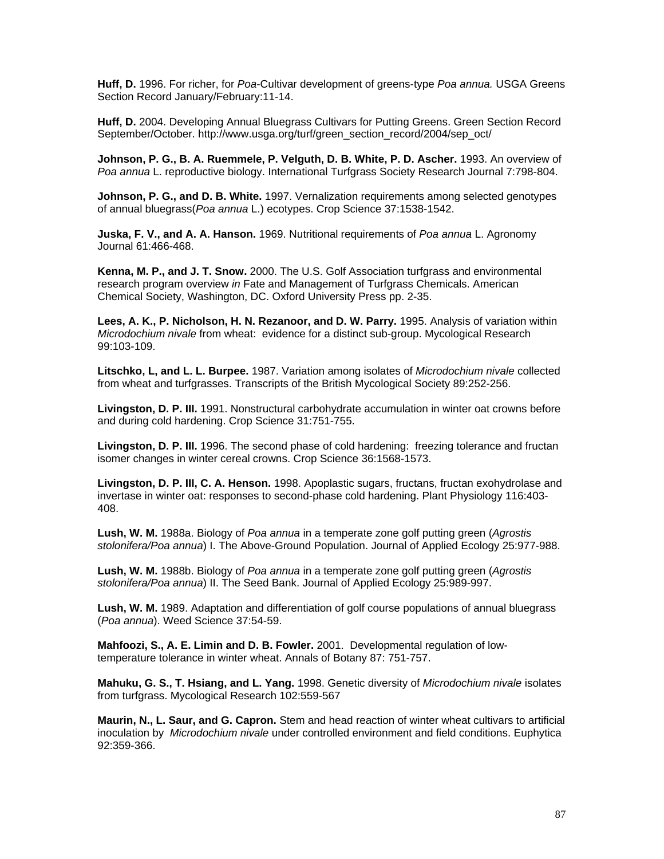**Huff, D.** 1996. For richer, for *Poa*-Cultivar development of greens-type *Poa annua.* USGA Greens Section Record January/February:11-14.

**Huff, D.** 2004. Developing Annual Bluegrass Cultivars for Putting Greens. Green Section Record September/October. http://www.usga.org/turf/green\_section\_record/2004/sep\_oct/

**Johnson, P. G., B. A. Ruemmele, P. Velguth, D. B. White, P. D. Ascher.** 1993. An overview of *Poa annua* L. reproductive biology. International Turfgrass Society Research Journal 7:798-804.

**Johnson, P. G., and D. B. White.** 1997. Vernalization requirements among selected genotypes of annual bluegrass(*Poa annua* L.) ecotypes. Crop Science 37:1538-1542.

**Juska, F. V., and A. A. Hanson.** 1969. Nutritional requirements of *Poa annua* L. Agronomy Journal 61:466-468.

**Kenna, M. P., and J. T. Snow.** 2000. The U.S. Golf Association turfgrass and environmental research program overview *in* Fate and Management of Turfgrass Chemicals. American Chemical Society, Washington, DC. Oxford University Press pp. 2-35.

**Lees, A. K., P. Nicholson, H. N. Rezanoor, and D. W. Parry.** 1995. Analysis of variation within *Microdochium nivale* from wheat: evidence for a distinct sub-group. Mycological Research 99:103-109.

**Litschko, L, and L. L. Burpee.** 1987. Variation among isolates of *Microdochium nivale* collected from wheat and turfgrasses. Transcripts of the British Mycological Society 89:252-256.

**Livingston, D. P. III.** 1991. Nonstructural carbohydrate accumulation in winter oat crowns before and during cold hardening. Crop Science 31:751-755.

**Livingston, D. P. III.** 1996. The second phase of cold hardening: freezing tolerance and fructan isomer changes in winter cereal crowns. Crop Science 36:1568-1573.

**Livingston, D. P. III, C. A. Henson.** 1998. Apoplastic sugars, fructans, fructan exohydrolase and invertase in winter oat: responses to second-phase cold hardening. Plant Physiology 116:403- 408.

**Lush, W. M.** 1988a. Biology of *Poa annua* in a temperate zone golf putting green (*Agrostis stolonifera/Poa annua*) I. The Above-Ground Population. Journal of Applied Ecology 25:977-988.

**Lush, W. M.** 1988b. Biology of *Poa annua* in a temperate zone golf putting green (*Agrostis stolonifera/Poa annua*) II. The Seed Bank. Journal of Applied Ecology 25:989-997.

**Lush, W. M.** 1989. Adaptation and differentiation of golf course populations of annual bluegrass (*Poa annua*). Weed Science 37:54-59.

**Mahfoozi, S., A. E. Limin and D. B. Fowler.** 2001. Developmental regulation of lowtemperature tolerance in winter wheat. Annals of Botany 87: 751-757.

**Mahuku, G. S., T. Hsiang, and L. Yang.** 1998. Genetic diversity of *Microdochium nivale* isolates from turfgrass. Mycological Research 102:559-567

**Maurin, N., L. Saur, and G. Capron.** Stem and head reaction of winter wheat cultivars to artificial inoculation by *Microdochium nivale* under controlled environment and field conditions. Euphytica 92:359-366.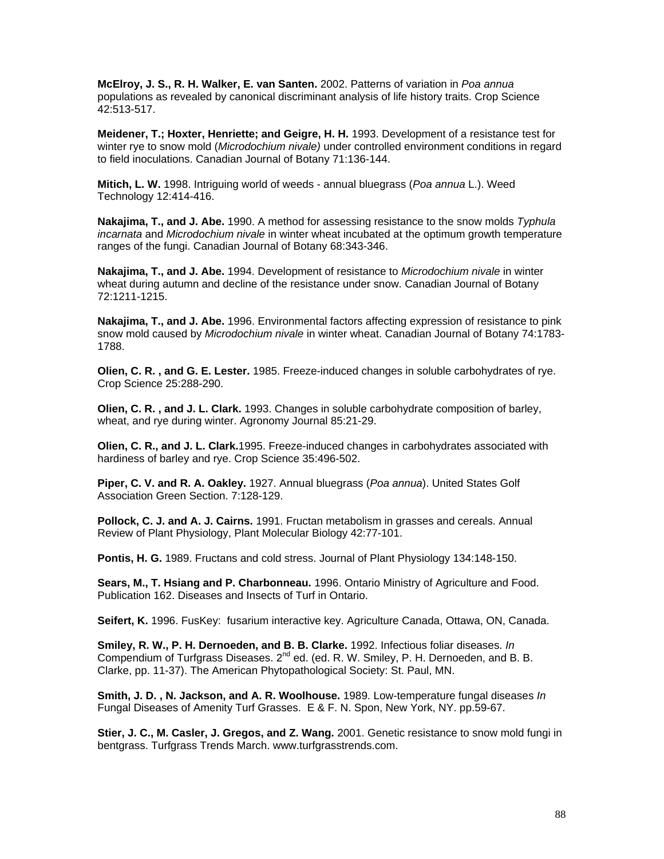**McElroy, J. S., R. H. Walker, E. van Santen.** 2002. Patterns of variation in *Poa annua* populations as revealed by canonical discriminant analysis of life history traits. Crop Science 42:513-517.

**Meidener, T.; Hoxter, Henriette; and Geigre, H. H.** 1993. Development of a resistance test for winter rye to snow mold (*Microdochium nivale)* under controlled environment conditions in regard to field inoculations. Canadian Journal of Botany 71:136-144.

**Mitich, L. W.** 1998. Intriguing world of weeds - annual bluegrass (*Poa annua* L.). Weed Technology 12:414-416.

**Nakajima, T., and J. Abe.** 1990. A method for assessing resistance to the snow molds *Typhula incarnata* and *Microdochium nivale* in winter wheat incubated at the optimum growth temperature ranges of the fungi. Canadian Journal of Botany 68:343-346.

**Nakajima, T., and J. Abe.** 1994. Development of resistance to *Microdochium nivale* in winter wheat during autumn and decline of the resistance under snow. Canadian Journal of Botany 72:1211-1215.

**Nakajima, T., and J. Abe.** 1996. Environmental factors affecting expression of resistance to pink snow mold caused by *Microdochium nivale* in winter wheat. Canadian Journal of Botany 74:1783- 1788.

**Olien, C. R. , and G. E. Lester.** 1985. Freeze-induced changes in soluble carbohydrates of rye. Crop Science 25:288-290.

**Olien, C. R. , and J. L. Clark.** 1993. Changes in soluble carbohydrate composition of barley, wheat, and rye during winter. Agronomy Journal 85:21-29.

**Olien, C. R., and J. L. Clark.**1995. Freeze-induced changes in carbohydrates associated with hardiness of barley and rye. Crop Science 35:496-502.

**Piper, C. V. and R. A. Oakley.** 1927. Annual bluegrass (*Poa annua*). United States Golf Association Green Section. 7:128-129.

**Pollock, C. J. and A. J. Cairns.** 1991. Fructan metabolism in grasses and cereals. Annual Review of Plant Physiology, Plant Molecular Biology 42:77-101.

**Pontis, H. G.** 1989. Fructans and cold stress. Journal of Plant Physiology 134:148-150.

**Sears, M., T. Hsiang and P. Charbonneau.** 1996. Ontario Ministry of Agriculture and Food. Publication 162. Diseases and Insects of Turf in Ontario.

**Seifert, K.** 1996. FusKey: fusarium interactive key. Agriculture Canada, Ottawa, ON, Canada.

**Smiley, R. W., P. H. Dernoeden, and B. B. Clarke.** 1992. Infectious foliar diseases. *In* Compendium of Turfgrass Diseases.  $2^{nd}$  ed. (ed. R. W. Smiley, P. H. Dernoeden, and B. B. Clarke, pp. 11-37). The American Phytopathological Society: St. Paul, MN.

**Smith, J. D. , N. Jackson, and A. R. Woolhouse.** 1989. Low-temperature fungal diseases *In* Fungal Diseases of Amenity Turf Grasses. E & F. N. Spon, New York, NY. pp.59-67.

**Stier, J. C., M. Casler, J. Gregos, and Z. Wang.** 2001. Genetic resistance to snow mold fungi in bentgrass. Turfgrass Trends March. www.turfgrasstrends.com.